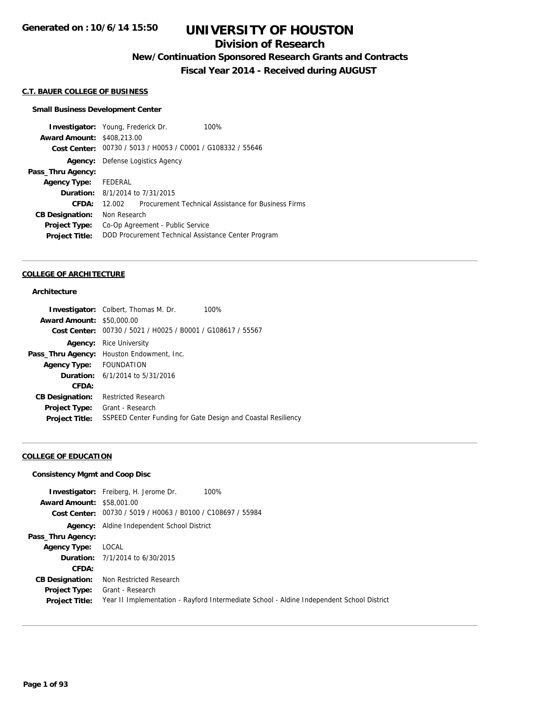### **Division of Research**

**New/Continuation Sponsored Research Grants and Contracts**

**Fiscal Year 2014 - Received during AUGUST**

#### **C.T. BAUER COLLEGE OF BUSINESS**

#### **Small Business Development Center**

**Investigator:** Young, Frederick Dr. 100% **Award Amount:** \$408,213.00 **Cost Center:** 00730 / 5013 / H0053 / C0001 / G108332 / 55646 **Agency:** Defense Logistics Agency **Pass\_Thru Agency: Agency Type:** FEDERAL **Duration:** 8/1/2014 to 7/31/2015 **CFDA:** 12.002 Procurement Technical Assistance for Business Firms **CB Designation:** Non Research **Project Type:** Co-Op Agreement - Public Service **Project Title:** DOD Procurement Technical Assistance Center Program

#### **COLLEGE OF ARCHITECTURE**

#### **Architecture**

|                                  | <b>Investigator:</b> Colbert, Thomas M. Dr.                  | 100% |
|----------------------------------|--------------------------------------------------------------|------|
| <b>Award Amount: \$50,000.00</b> |                                                              |      |
|                                  | Cost Center: 00730 / 5021 / H0025 / B0001 / G108617 / 55567  |      |
| Agency:                          | Rice University                                              |      |
|                                  | Pass_Thru Agency: Houston Endowment, Inc.                    |      |
| Agency Type: FOUNDATION          |                                                              |      |
|                                  | <b>Duration:</b> 6/1/2014 to 5/31/2016                       |      |
| CFDA:                            |                                                              |      |
| <b>CB Designation:</b>           | <b>Restricted Research</b>                                   |      |
| Project Type:                    | Grant - Research                                             |      |
| <b>Project Title:</b>            | SSPEED Center Funding for Gate Design and Coastal Resiliency |      |

#### **COLLEGE OF EDUCATION**

#### **Consistency Mgmt and Coop Disc**

|                                  | 100%<br><b>Investigator:</b> Freiberg, H. Jerome Dr.                                      |
|----------------------------------|-------------------------------------------------------------------------------------------|
| <b>Award Amount: \$58,001.00</b> |                                                                                           |
|                                  | Cost Center: 00730 / 5019 / H0063 / B0100 / C108697 / 55984                               |
|                                  | Agency: Aldine Independent School District                                                |
| Pass_Thru Agency:                |                                                                                           |
| Agency Type:                     | LOCAL                                                                                     |
|                                  | <b>Duration:</b> $7/1/2014$ to $6/30/2015$                                                |
| CFDA:                            |                                                                                           |
| <b>CB Designation:</b>           | Non Restricted Research                                                                   |
| Project Type:                    | Grant - Research                                                                          |
| <b>Project Title:</b>            | Year II Implementation - Rayford Intermediate School - Aldine Independent School District |
|                                  |                                                                                           |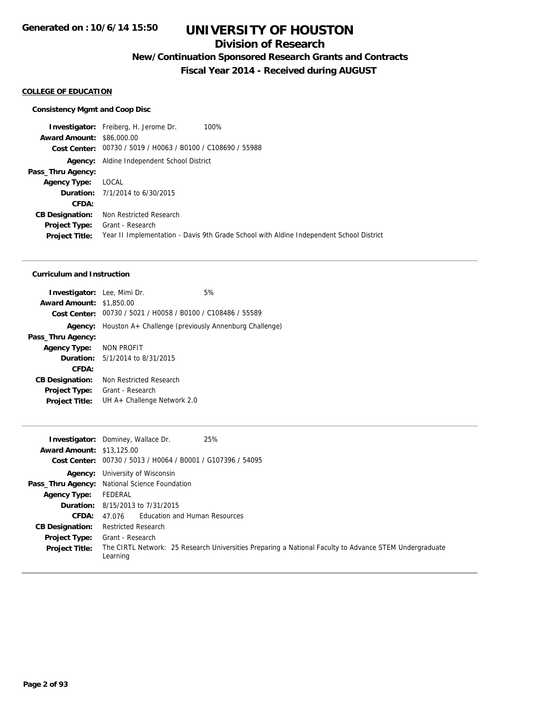### **Division of Research**

**New/Continuation Sponsored Research Grants and Contracts**

**Fiscal Year 2014 - Received during AUGUST**

#### **COLLEGE OF EDUCATION**

#### **Consistency Mgmt and Coop Disc**

**Investigator:** Freiberg, H. Jerome Dr. 100% **Award Amount:** \$86,000.00 **Cost Center:** 00730 / 5019 / H0063 / B0100 / C108690 / 55988 **Agency:** Aldine Independent School District **Pass\_Thru Agency: Agency Type:** LOCAL **Duration:** 7/1/2014 to 6/30/2015 **CFDA: CB Designation:** Non Restricted Research **Project Type:** Grant - Research **Project Title:** Year II Implementation - Davis 9th Grade School with Aldine Independent School District

#### **Curriculum and Instruction**

| <b>Investigator:</b> Lee, Mimi Dr. |                                                               | 5% |
|------------------------------------|---------------------------------------------------------------|----|
| <b>Award Amount: \$1,850.00</b>    |                                                               |    |
|                                    | Cost Center: 00730 / 5021 / H0058 / B0100 / C108486 / 55589   |    |
|                                    | Agency: Houston A+ Challenge (previously Annenburg Challenge) |    |
| Pass_Thru Agency:                  |                                                               |    |
| Agency Type: NON PROFIT            |                                                               |    |
|                                    | <b>Duration:</b> $5/1/2014$ to $8/31/2015$                    |    |
| CFDA:                              |                                                               |    |
| <b>CB Designation:</b>             | Non Restricted Research                                       |    |
| <b>Project Type:</b>               | Grant - Research                                              |    |
| <b>Project Title:</b>              | UH A+ Challenge Network 2.0                                   |    |
|                                    |                                                               |    |

|                                  | 25%<br><b>Investigator:</b> Dominey, Wallace Dr.                                                                   |
|----------------------------------|--------------------------------------------------------------------------------------------------------------------|
| <b>Award Amount: \$13,125.00</b> |                                                                                                                    |
| <b>Cost Center:</b>              | 00730 / 5013 / H0064 / B0001 / G107396 / 54095                                                                     |
|                                  | <b>Agency:</b> University of Wisconsin                                                                             |
|                                  | Pass_Thru Agency: National Science Foundation                                                                      |
| <b>Agency Type:</b>              | FEDERAL                                                                                                            |
|                                  | <b>Duration:</b> 8/15/2013 to 7/31/2015                                                                            |
| CFDA:                            | 47.076 Education and Human Resources                                                                               |
| <b>CB Designation:</b>           | <b>Restricted Research</b>                                                                                         |
| <b>Project Type:</b>             | Grant - Research                                                                                                   |
| <b>Project Title:</b>            | The CIRTL Network: 25 Research Universities Preparing a National Faculty to Advance STEM Undergraduate<br>Learning |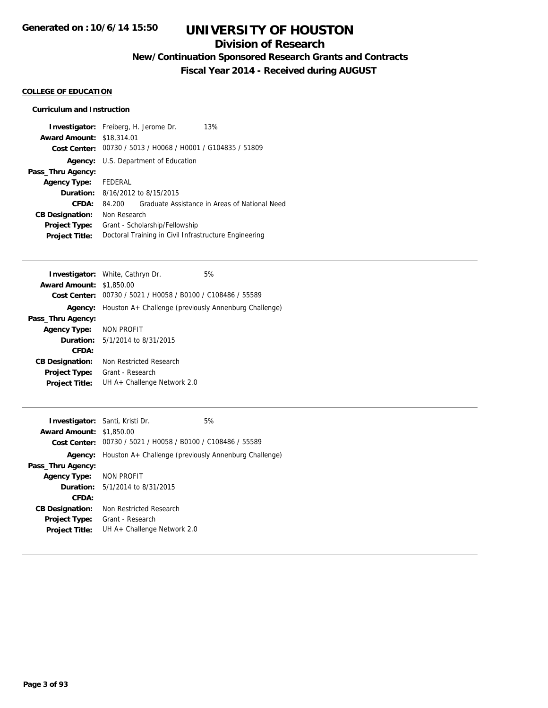### **Division of Research**

**New/Continuation Sponsored Research Grants and Contracts**

**Fiscal Year 2014 - Received during AUGUST**

#### **COLLEGE OF EDUCATION**

#### **Curriculum and Instruction**

|                                  | <b>Investigator:</b> Freiberg, H. Jerome Dr.<br>13%         |
|----------------------------------|-------------------------------------------------------------|
| <b>Award Amount: \$18,314.01</b> |                                                             |
|                                  | Cost Center: 00730 / 5013 / H0068 / H0001 / G104835 / 51809 |
|                                  | <b>Agency:</b> U.S. Department of Education                 |
| Pass_Thru Agency:                |                                                             |
| Agency Type: FEDERAL             |                                                             |
|                                  | <b>Duration:</b> 8/16/2012 to 8/15/2015                     |
| CFDA:                            | Graduate Assistance in Areas of National Need<br>84.200     |
| <b>CB Designation:</b>           | Non Research                                                |
| <b>Project Type:</b>             | Grant - Scholarship/Fellowship                              |
| <b>Project Title:</b>            | Doctoral Training in Civil Infrastructure Engineering       |

|                                 | <b>Investigator:</b> White, Cathryn Dr.               | 5% |
|---------------------------------|-------------------------------------------------------|----|
| <b>Award Amount: \$1,850.00</b> |                                                       |    |
| Cost Center:                    | 00730 / 5021 / H0058 / B0100 / C108486 / 55589        |    |
| Agency:                         | Houston A+ Challenge (previously Annenburg Challenge) |    |
| Pass_Thru Agency:               |                                                       |    |
| Agency Type: NON PROFIT         |                                                       |    |
| <b>Duration:</b>                | 5/1/2014 to 8/31/2015                                 |    |
| CFDA:                           |                                                       |    |
| <b>CB Designation:</b>          | Non Restricted Research                               |    |
| Project Type:                   | Grant - Research                                      |    |
| <b>Project Title:</b>           | UH A+ Challenge Network 2.0                           |    |

| <b>Investigator:</b> Santi, Kristi Dr. |                                                               | 5% |
|----------------------------------------|---------------------------------------------------------------|----|
| <b>Award Amount: \$1,850.00</b>        |                                                               |    |
|                                        | Cost Center: 00730 / 5021 / H0058 / B0100 / C108486 / 55589   |    |
|                                        | Agency: Houston A+ Challenge (previously Annenburg Challenge) |    |
| Pass_Thru Agency:                      |                                                               |    |
| <b>Agency Type:</b>                    | NON PROFIT                                                    |    |
|                                        | <b>Duration:</b> 5/1/2014 to 8/31/2015                        |    |
| CFDA:                                  |                                                               |    |
| <b>CB Designation:</b>                 | Non Restricted Research                                       |    |
| <b>Project Type:</b>                   | Grant - Research                                              |    |
| <b>Project Title:</b>                  | UH A+ Challenge Network 2.0                                   |    |
|                                        |                                                               |    |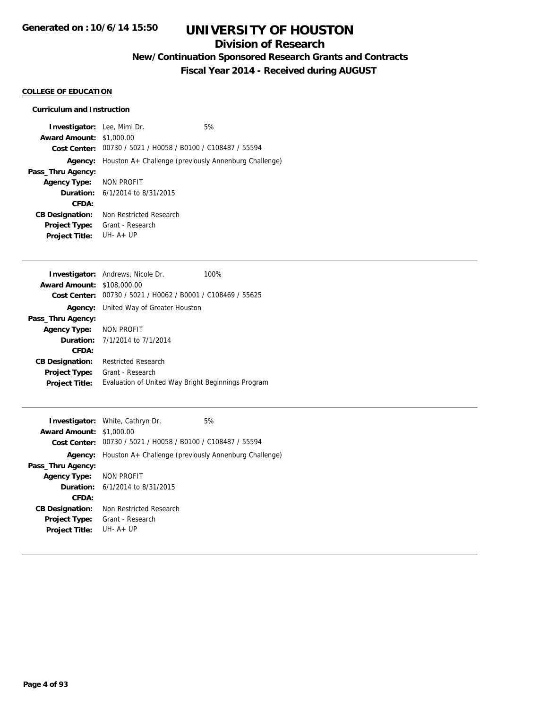## **Division of Research**

**New/Continuation Sponsored Research Grants and Contracts**

**Fiscal Year 2014 - Received during AUGUST**

#### **COLLEGE OF EDUCATION**

#### **Curriculum and Instruction**

| <b>Investigator:</b> Lee, Mimi Dr. |                                                             | 5% |
|------------------------------------|-------------------------------------------------------------|----|
| <b>Award Amount: \$1,000.00</b>    |                                                             |    |
|                                    | Cost Center: 00730 / 5021 / H0058 / B0100 / C108487 / 55594 |    |
| Agency:                            | Houston A+ Challenge (previously Annenburg Challenge)       |    |
| Pass_Thru Agency:                  |                                                             |    |
| Agency Type: NON PROFIT            |                                                             |    |
|                                    | <b>Duration:</b> $6/1/2014$ to $8/31/2015$                  |    |
| CFDA:                              |                                                             |    |
| <b>CB Designation:</b>             | Non Restricted Research                                     |    |
| <b>Project Type:</b>               | Grant - Research                                            |    |
| <b>Project Title:</b>              | $IJIH - A + IJP$                                            |    |
|                                    |                                                             |    |

|                                   | <b>Investigator:</b> Andrews, Nicole Dr.                    | 100% |
|-----------------------------------|-------------------------------------------------------------|------|
| <b>Award Amount: \$108,000.00</b> |                                                             |      |
|                                   | Cost Center: 00730 / 5021 / H0062 / B0001 / C108469 / 55625 |      |
| Agency:                           | United Way of Greater Houston                               |      |
| Pass_Thru Agency:                 |                                                             |      |
| Agency Type: NON PROFIT           |                                                             |      |
|                                   | <b>Duration:</b> 7/1/2014 to 7/1/2014                       |      |
| CFDA:                             |                                                             |      |
| <b>CB Designation:</b>            | <b>Restricted Research</b>                                  |      |
| <b>Project Type:</b>              | Grant - Research                                            |      |
| <b>Project Title:</b>             | Evaluation of United Way Bright Beginnings Program          |      |

|                                                                      | 5%                                                                                                                                                  |
|----------------------------------------------------------------------|-----------------------------------------------------------------------------------------------------------------------------------------------------|
|                                                                      |                                                                                                                                                     |
| Cost Center: 00730 / 5021 / H0058 / B0100 / C108487 / 55594          |                                                                                                                                                     |
| <b>Agency:</b> Houston A+ Challenge (previously Annenburg Challenge) |                                                                                                                                                     |
|                                                                      |                                                                                                                                                     |
|                                                                      |                                                                                                                                                     |
|                                                                      |                                                                                                                                                     |
|                                                                      |                                                                                                                                                     |
| Non Restricted Research                                              |                                                                                                                                                     |
| Grant - Research                                                     |                                                                                                                                                     |
| $I.H. A + IIP$                                                       |                                                                                                                                                     |
|                                                                      | <b>Investigator:</b> White, Cathryn Dr.<br><b>Award Amount: \$1,000.00</b><br>Agency Type: NON PROFIT<br><b>Duration:</b> $6/1/2014$ to $8/31/2015$ |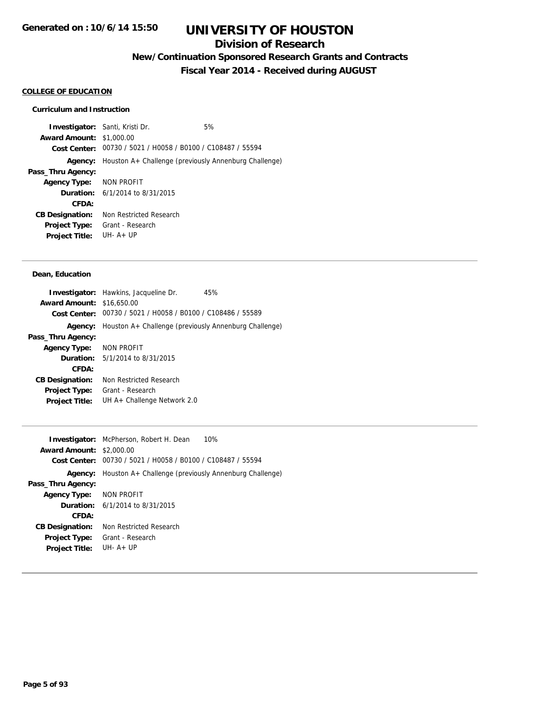### **Division of Research**

**New/Continuation Sponsored Research Grants and Contracts**

**Fiscal Year 2014 - Received during AUGUST**

#### **COLLEGE OF EDUCATION**

#### **Curriculum and Instruction**

**Investigator:** Santi, Kristi Dr. 6% **Award Amount:** \$1,000.00 **Cost Center:** 00730 / 5021 / H0058 / B0100 / C108487 / 55594 **Agency:** Houston A+ Challenge (previously Annenburg Challenge) **Pass\_Thru Agency: Agency Type:** NON PROFIT **Duration:** 6/1/2014 to 8/31/2015 **CFDA: CB Designation:** Non Restricted Research **Project Type:** Grant - Research **Project Title:** UH- A+ UP

#### **Dean, Education**

|                                  | <b>Investigator:</b> Hawkins, Jacqueline Dr.<br>45%         |
|----------------------------------|-------------------------------------------------------------|
| <b>Award Amount: \$16,650.00</b> |                                                             |
|                                  | Cost Center: 00730 / 5021 / H0058 / B0100 / C108486 / 55589 |
| Agency:                          | Houston A+ Challenge (previously Annenburg Challenge)       |
| Pass_Thru Agency:                |                                                             |
| <b>Agency Type:</b>              | NON PROFIT                                                  |
|                                  | <b>Duration:</b> $5/1/2014$ to $8/31/2015$                  |
| CFDA:                            |                                                             |
| <b>CB Designation:</b>           | Non Restricted Research                                     |
| <b>Project Type:</b>             | Grant - Research                                            |
| <b>Project Title:</b>            | UH $A+$ Challenge Network 2.0                               |
|                                  |                                                             |

| 10%<br><b>Investigator:</b> McPherson, Robert H. Dean<br><b>Award Amount: \$2,000.00</b><br>00730 / 5021 / H0058 / B0100 / C108487 / 55594<br>Cost Center: |
|------------------------------------------------------------------------------------------------------------------------------------------------------------|
| Houston A+ Challenge (previously Annenburg Challenge)                                                                                                      |
|                                                                                                                                                            |
| NON PROFIT                                                                                                                                                 |
| <b>Duration:</b> $6/1/2014$ to $8/31/2015$                                                                                                                 |
|                                                                                                                                                            |
| Non Restricted Research                                                                                                                                    |
| Grant - Research                                                                                                                                           |
| $I.H. A + IIP$                                                                                                                                             |
|                                                                                                                                                            |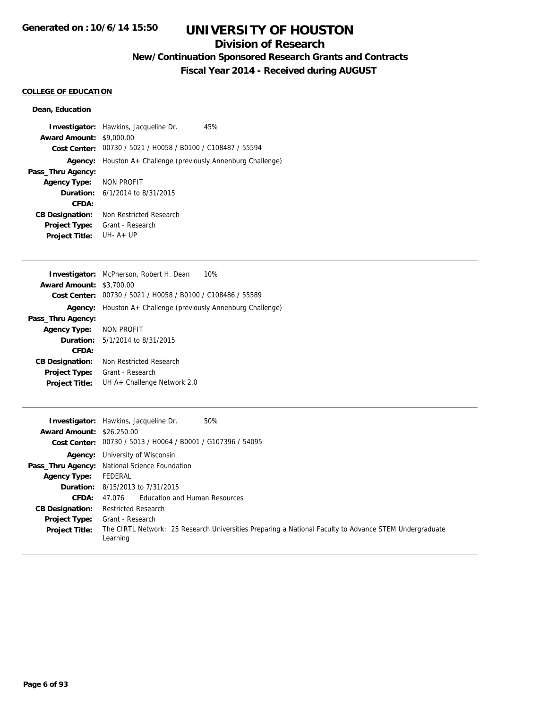### **Division of Research**

## **New/Continuation Sponsored Research Grants and Contracts**

**Fiscal Year 2014 - Received during AUGUST**

#### **COLLEGE OF EDUCATION**

#### **Dean, Education**

| <b>Award Amount: \$9,000.00</b> | <b>Investigator:</b> Hawkins, Jacqueline Dr.<br>Cost Center: 00730 / 5021 / H0058 / B0100 / C108487 / 55594 | 45% |
|---------------------------------|-------------------------------------------------------------------------------------------------------------|-----|
|                                 | <b>Agency:</b> Houston A+ Challenge (previously Annenburg Challenge)                                        |     |
| Pass_Thru Agency:               |                                                                                                             |     |
| Agency Type: NON PROFIT         |                                                                                                             |     |
|                                 | <b>Duration:</b> $6/1/2014$ to $8/31/2015$                                                                  |     |
| CFDA:                           |                                                                                                             |     |
| <b>CB Designation:</b>          | Non Restricted Research                                                                                     |     |
| <b>Project Type:</b>            | Grant - Research                                                                                            |     |
| <b>Project Title:</b>           | $I.H. A + IIP$                                                                                              |     |

|                                 | 10%<br><b>Investigator:</b> McPherson, Robert H. Dean |
|---------------------------------|-------------------------------------------------------|
| <b>Award Amount: \$3,700.00</b> |                                                       |
| Cost Center:                    | 00730 / 5021 / H0058 / B0100 / C108486 / 55589        |
| Agency:                         | Houston A+ Challenge (previously Annenburg Challenge) |
| Pass_Thru Agency:               |                                                       |
| Agency Type: NON PROFIT         |                                                       |
|                                 | <b>Duration:</b> 5/1/2014 to 8/31/2015                |
| CFDA:                           |                                                       |
| <b>CB Designation:</b>          | Non Restricted Research                               |
| <b>Project Type:</b>            | Grant - Research                                      |
| <b>Project Title:</b>           | UH A+ Challenge Network 2.0                           |

| <b>Award Amount: \$26,250.00</b> | 50%<br><b>Investigator:</b> Hawkins, Jacqueline Dr.<br>Cost Center: 00730 / 5013 / H0064 / B0001 / G107396 / 54095 |
|----------------------------------|--------------------------------------------------------------------------------------------------------------------|
|                                  | <b>Agency:</b> University of Wisconsin                                                                             |
|                                  | Pass_Thru Agency: National Science Foundation                                                                      |
| Agency Type:                     | FEDERAL                                                                                                            |
|                                  | <b>Duration:</b> 8/15/2013 to 7/31/2015                                                                            |
| CFDA:                            | 47.076 Education and Human Resources                                                                               |
| <b>CB Designation:</b>           | <b>Restricted Research</b>                                                                                         |
| <b>Project Type:</b>             | Grant - Research                                                                                                   |
| <b>Project Title:</b>            | The CIRTL Network: 25 Research Universities Preparing a National Faculty to Advance STEM Undergraduate<br>Learning |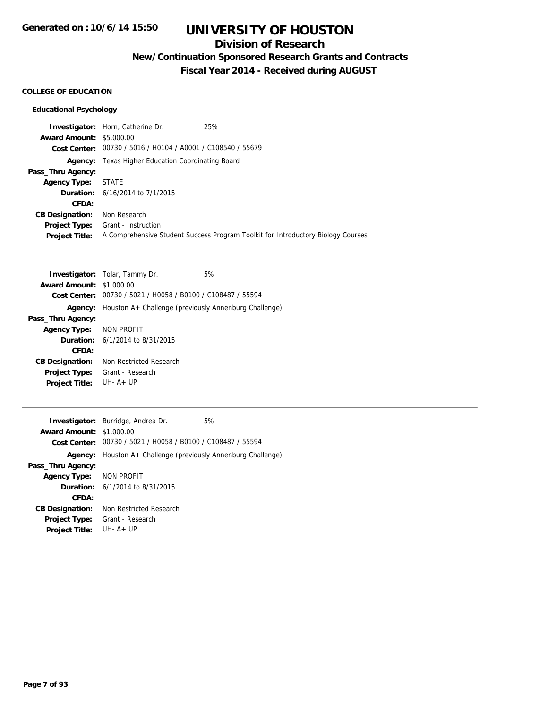### **Division of Research**

**New/Continuation Sponsored Research Grants and Contracts**

**Fiscal Year 2014 - Received during AUGUST**

#### **COLLEGE OF EDUCATION**

#### **Educational Psychology**

|                                 | 25%<br>Investigator: Horn, Catherine Dr.                                         |
|---------------------------------|----------------------------------------------------------------------------------|
| <b>Award Amount: \$5,000.00</b> |                                                                                  |
|                                 | Cost Center: 00730 / 5016 / H0104 / A0001 / C108540 / 55679                      |
|                                 | <b>Agency:</b> Texas Higher Education Coordinating Board                         |
| Pass_Thru Agency:               |                                                                                  |
| <b>Agency Type:</b>             | STATE                                                                            |
|                                 | <b>Duration:</b> 6/16/2014 to 7/1/2015                                           |
| CFDA:                           |                                                                                  |
| <b>CB Designation:</b>          | Non Research                                                                     |
| <b>Project Type:</b>            | Grant - Instruction                                                              |
| <b>Project Title:</b>           | A Comprehensive Student Success Program Toolkit for Introductory Biology Courses |

|                                 | <b>Investigator:</b> Tolar, Tammy Dr.                 | 5% |
|---------------------------------|-------------------------------------------------------|----|
| <b>Award Amount: \$1,000.00</b> |                                                       |    |
| Cost Center:                    | 00730 / 5021 / H0058 / B0100 / C108487 / 55594        |    |
| Agency:                         | Houston A+ Challenge (previously Annenburg Challenge) |    |
| Pass_Thru Agency:               |                                                       |    |
| Agency Type: NON PROFIT         |                                                       |    |
|                                 | <b>Duration:</b> 6/1/2014 to 8/31/2015                |    |
| CFDA:                           |                                                       |    |
| <b>CB Designation:</b>          | Non Restricted Research                               |    |
| <b>Project Type:</b>            | Grant - Research                                      |    |
| <b>Project Title:</b>           | UH-A+UP                                               |    |

|                                 | Investigator: Burridge, Andrea Dr.                            | 5% |
|---------------------------------|---------------------------------------------------------------|----|
| <b>Award Amount: \$1,000.00</b> |                                                               |    |
|                                 | Cost Center: 00730 / 5021 / H0058 / B0100 / C108487 / 55594   |    |
|                                 | Agency: Houston A+ Challenge (previously Annenburg Challenge) |    |
| Pass_Thru Agency:               |                                                               |    |
| Agency Type: NON PROFIT         |                                                               |    |
|                                 | <b>Duration:</b> $6/1/2014$ to $8/31/2015$                    |    |
| CFDA:                           |                                                               |    |
| <b>CB Designation:</b>          | Non Restricted Research                                       |    |
| <b>Project Type:</b>            | Grant - Research                                              |    |
| <b>Project Title:</b>           | $IJIH - A + IJP$                                              |    |
|                                 |                                                               |    |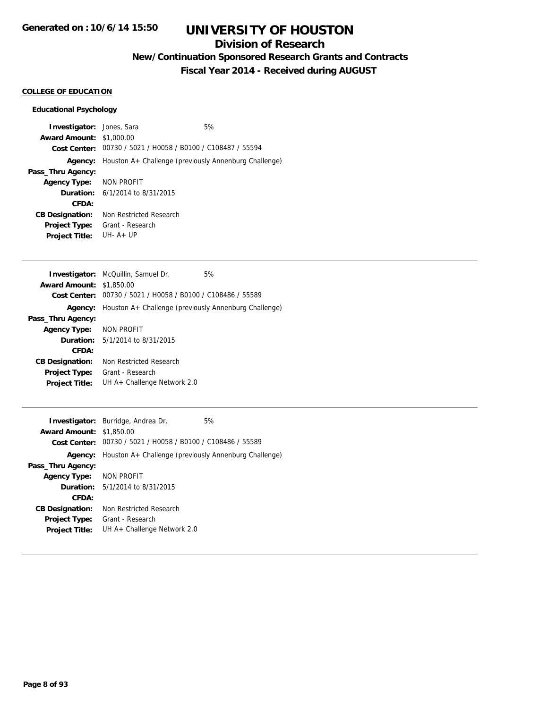## **Division of Research**

## **New/Continuation Sponsored Research Grants and Contracts**

**Fiscal Year 2014 - Received during AUGUST**

#### **COLLEGE OF EDUCATION**

#### **Educational Psychology**

| <b>Investigator:</b> Jones, Sara |                                                               | 5% |
|----------------------------------|---------------------------------------------------------------|----|
| <b>Award Amount: \$1,000.00</b>  |                                                               |    |
|                                  | Cost Center: 00730 / 5021 / H0058 / B0100 / C108487 / 55594   |    |
|                                  | Agency: Houston A+ Challenge (previously Annenburg Challenge) |    |
| Pass_Thru Agency:                |                                                               |    |
| Agency Type: NON PROFIT          |                                                               |    |
|                                  | <b>Duration:</b> $6/1/2014$ to $8/31/2015$                    |    |
| CFDA:                            |                                                               |    |
| <b>CB Designation:</b>           | Non Restricted Research                                       |    |
| Project Type:                    | Grant - Research                                              |    |
| <b>Project Title:</b>            | $IJIH - A + IJP$                                              |    |

|                                 | <b>Investigator:</b> McQuillin, Samuel Dr.            | 5% |
|---------------------------------|-------------------------------------------------------|----|
| <b>Award Amount: \$1,850.00</b> |                                                       |    |
| Cost Center:                    | 00730 / 5021 / H0058 / B0100 / C108486 / 55589        |    |
| Agency:                         | Houston A+ Challenge (previously Annenburg Challenge) |    |
| Pass_Thru Agency:               |                                                       |    |
| Agency Type: NON PROFIT         |                                                       |    |
|                                 | <b>Duration:</b> $5/1/2014$ to $8/31/2015$            |    |
| CFDA:                           |                                                       |    |
| <b>CB Designation:</b>          | Non Restricted Research                               |    |
| Project Type:                   | Grant - Research                                      |    |
| <b>Project Title:</b>           | UH A+ Challenge Network 2.0                           |    |

| <b>Award Amount: \$1,850.00</b> | <b>Investigator:</b> Burridge, Andrea Dr.                     | 5% |
|---------------------------------|---------------------------------------------------------------|----|
|                                 | Cost Center: 00730 / 5021 / H0058 / B0100 / C108486 / 55589   |    |
|                                 | Agency: Houston A+ Challenge (previously Annenburg Challenge) |    |
| Pass_Thru Agency:               |                                                               |    |
| <b>Agency Type:</b>             | NON PROFIT                                                    |    |
|                                 | <b>Duration:</b> 5/1/2014 to 8/31/2015                        |    |
| CFDA:                           |                                                               |    |
| <b>CB Designation:</b>          | Non Restricted Research                                       |    |
| <b>Project Type:</b>            | Grant - Research                                              |    |
| <b>Project Title:</b>           | UH $A+$ Challenge Network 2.0                                 |    |
|                                 |                                                               |    |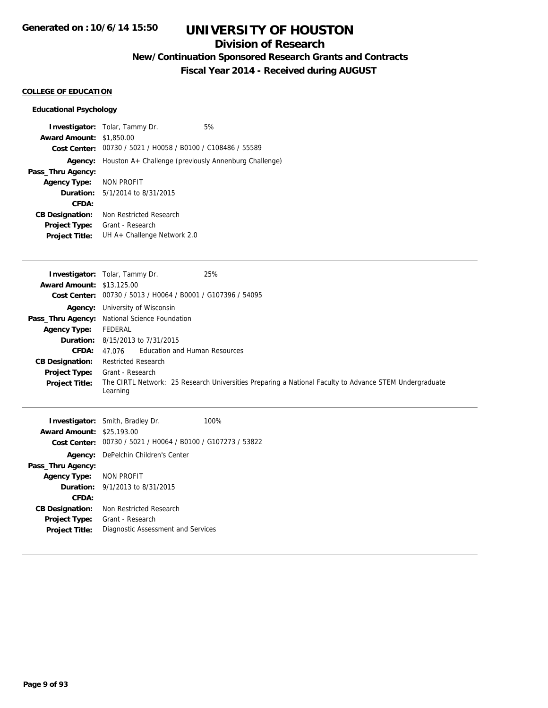### **Division of Research**

**New/Continuation Sponsored Research Grants and Contracts**

**Fiscal Year 2014 - Received during AUGUST**

#### **COLLEGE OF EDUCATION**

#### **Educational Psychology**

**Investigator:** Tolar, Tammy Dr. 6% **Award Amount:** \$1,850.00 **Cost Center:** 00730 / 5021 / H0058 / B0100 / C108486 / 55589 **Agency:** Houston A+ Challenge (previously Annenburg Challenge) **Pass\_Thru Agency: Agency Type:** NON PROFIT **Duration:** 5/1/2014 to 8/31/2015 **CFDA: CB Designation:** Non Restricted Research **Project Type:** Grant - Research **Project Title:** UH A+ Challenge Network 2.0

|                                  | <b>Investigator:</b> Tolar, Tammy Dr.<br>25%                                                                       |
|----------------------------------|--------------------------------------------------------------------------------------------------------------------|
| <b>Award Amount: \$13,125.00</b> |                                                                                                                    |
|                                  | Cost Center: 00730 / 5013 / H0064 / B0001 / G107396 / 54095                                                        |
|                                  | <b>Agency:</b> University of Wisconsin                                                                             |
|                                  | Pass_Thru Agency: National Science Foundation                                                                      |
| <b>Agency Type:</b>              | FEDERAL                                                                                                            |
|                                  | <b>Duration:</b> $8/15/2013$ to $7/31/2015$                                                                        |
| CFDA:                            | 47.076 Education and Human Resources                                                                               |
| <b>CB Designation:</b>           | <b>Restricted Research</b>                                                                                         |
| <b>Project Type:</b>             | Grant - Research                                                                                                   |
| <b>Project Title:</b>            | The CIRTL Network: 25 Research Universities Preparing a National Faculty to Advance STEM Undergraduate<br>Learning |
|                                  | 100%<br><b>Investigator:</b> Smith, Bradley Dr.                                                                    |
| <b>Award Amount: \$25,193.00</b> |                                                                                                                    |
|                                  | $Cost Center: 00730 / 5021 / H0064 / B0100 / G107273 / 53822$                                                      |

| <b>Award Amount: \$25,193.00</b> |                                                             |
|----------------------------------|-------------------------------------------------------------|
|                                  | Cost Center: 00730 / 5021 / H0064 / B0100 / G107273 / 53822 |
|                                  | <b>Agency:</b> DePelchin Children's Center                  |
| Pass_Thru Agency:                |                                                             |
| Agency Type: NON PROFIT          |                                                             |
|                                  | <b>Duration:</b> $9/1/2013$ to $8/31/2015$                  |
| CFDA:                            |                                                             |
| <b>CB Designation:</b>           | Non Restricted Research                                     |
| <b>Project Type:</b>             | Grant - Research                                            |
| <b>Project Title:</b>            | Diagnostic Assessment and Services                          |
|                                  |                                                             |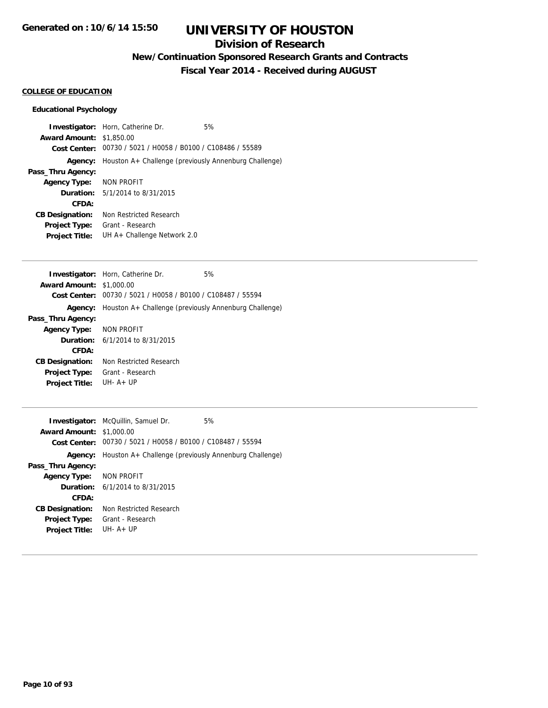### **Division of Research**

**New/Continuation Sponsored Research Grants and Contracts**

**Fiscal Year 2014 - Received during AUGUST**

#### **COLLEGE OF EDUCATION**

#### **Educational Psychology**

**Investigator:** Horn, Catherine Dr. 6% **Award Amount:** \$1,850.00 **Cost Center:** 00730 / 5021 / H0058 / B0100 / C108486 / 55589 **Agency:** Houston A+ Challenge (previously Annenburg Challenge) **Pass\_Thru Agency: Agency Type:** NON PROFIT **Duration:** 5/1/2014 to 8/31/2015 **CFDA: CB Designation:** Non Restricted Research **Project Type:** Grant - Research **Project Title:** UH A+ Challenge Network 2.0

|                                 | <b>Investigator:</b> Horn, Catherine Dr.                    | 5% |
|---------------------------------|-------------------------------------------------------------|----|
| <b>Award Amount: \$1,000.00</b> |                                                             |    |
|                                 | Cost Center: 00730 / 5021 / H0058 / B0100 / C108487 / 55594 |    |
| Agency:                         | Houston A+ Challenge (previously Annenburg Challenge)       |    |
| Pass_Thru Agency:               |                                                             |    |
| Agency Type: NON PROFIT         |                                                             |    |
|                                 | <b>Duration:</b> 6/1/2014 to 8/31/2015                      |    |
| CFDA:                           |                                                             |    |
| <b>CB Designation:</b>          | Non Restricted Research                                     |    |
| <b>Project Type:</b>            | Grant - Research                                            |    |
| <b>Project Title:</b>           | $IJIH - A + IJP$                                            |    |

|                                 | <b>Investigator:</b> McQuillin, Samuel Dr.                    | 5% |
|---------------------------------|---------------------------------------------------------------|----|
| <b>Award Amount: \$1,000.00</b> |                                                               |    |
|                                 | Cost Center: 00730 / 5021 / H0058 / B0100 / C108487 / 55594   |    |
|                                 | Agency: Houston A+ Challenge (previously Annenburg Challenge) |    |
| Pass_Thru Agency:               |                                                               |    |
| Agency Type: NON PROFIT         |                                                               |    |
|                                 | <b>Duration:</b> $6/1/2014$ to $8/31/2015$                    |    |
| CFDA:                           |                                                               |    |
| <b>CB Designation:</b>          | Non Restricted Research                                       |    |
| <b>Project Type:</b>            | Grant - Research                                              |    |
| <b>Project Title:</b>           | $IJIH - A + IJP$                                              |    |
|                                 |                                                               |    |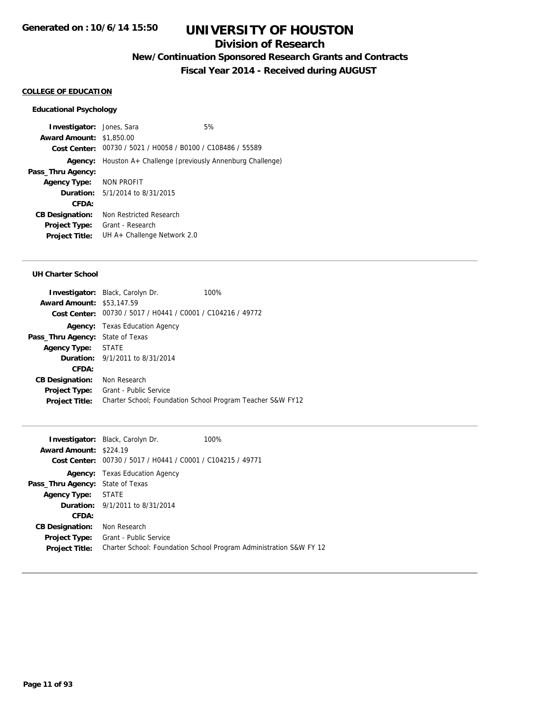### **Division of Research**

**New/Continuation Sponsored Research Grants and Contracts**

**Fiscal Year 2014 - Received during AUGUST**

#### **COLLEGE OF EDUCATION**

#### **Educational Psychology**

**Investigator:** Jones, Sara 6% **Award Amount:** \$1,850.00 **Cost Center:** 00730 / 5021 / H0058 / B0100 / C108486 / 55589 **Agency:** Houston A+ Challenge (previously Annenburg Challenge) **Pass\_Thru Agency: Agency Type:** NON PROFIT **Duration:** 5/1/2014 to 8/31/2015 **CFDA: CB Designation:** Non Restricted Research **Project Type:** Grant - Research **Project Title:** UH A+ Challenge Network 2.0

#### **UH Charter School**

| <b>Investigator:</b> Black, Carolyn Dr.                     | 100%                                                       |
|-------------------------------------------------------------|------------------------------------------------------------|
| <b>Award Amount: \$53,147.59</b>                            |                                                            |
| Cost Center: 00730 / 5017 / H0441 / C0001 / C104216 / 49772 |                                                            |
| <b>Agency:</b> Texas Education Agency                       |                                                            |
| State of Texas                                              |                                                            |
| Agency Type: STATE                                          |                                                            |
| <b>Duration:</b> 9/1/2011 to 8/31/2014                      |                                                            |
|                                                             |                                                            |
| Non Research                                                |                                                            |
| Grant - Public Service                                      |                                                            |
|                                                             | Charter School; Foundation School Program Teacher S&W FY12 |
|                                                             |                                                            |

|                                         | <b>Investigator:</b> Black, Carolyn Dr.                     | 100%                                                               |
|-----------------------------------------|-------------------------------------------------------------|--------------------------------------------------------------------|
| <b>Award Amount: \$224.19</b>           |                                                             |                                                                    |
|                                         | Cost Center: 00730 / 5017 / H0441 / C0001 / C104215 / 49771 |                                                                    |
|                                         | <b>Agency:</b> Texas Education Agency                       |                                                                    |
| <b>Pass_Thru Agency: State of Texas</b> |                                                             |                                                                    |
| <b>Agency Type:</b>                     | STATE                                                       |                                                                    |
|                                         | <b>Duration:</b> 9/1/2011 to 8/31/2014                      |                                                                    |
| CFDA:                                   |                                                             |                                                                    |
| <b>CB Designation:</b>                  | Non Research                                                |                                                                    |
| <b>Project Type:</b>                    | <b>Grant - Public Service</b>                               |                                                                    |
| <b>Project Title:</b>                   |                                                             | Charter School: Foundation School Program Administration S&W FY 12 |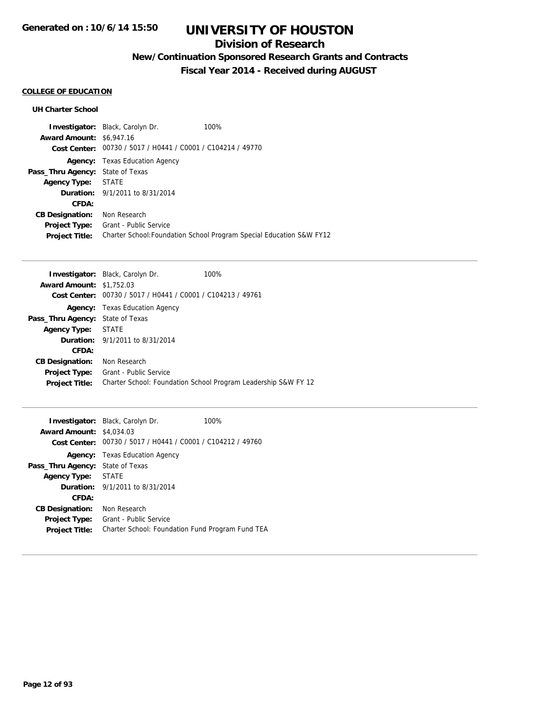## **Division of Research**

## **New/Continuation Sponsored Research Grants and Contracts**

**Fiscal Year 2014 - Received during AUGUST**

### **COLLEGE OF EDUCATION**

#### **UH Charter School**

|                                         | <b>Investigator:</b> Black, Carolyn Dr.                     | 100%                                                                 |
|-----------------------------------------|-------------------------------------------------------------|----------------------------------------------------------------------|
| <b>Award Amount: \$6,947.16</b>         |                                                             |                                                                      |
|                                         | Cost Center: 00730 / 5017 / H0441 / C0001 / C104214 / 49770 |                                                                      |
|                                         | <b>Agency:</b> Texas Education Agency                       |                                                                      |
| <b>Pass_Thru Agency:</b> State of Texas |                                                             |                                                                      |
| <b>Agency Type:</b>                     | STATE                                                       |                                                                      |
|                                         | <b>Duration:</b> 9/1/2011 to 8/31/2014                      |                                                                      |
| CFDA:                                   |                                                             |                                                                      |
| <b>CB Designation:</b>                  | Non Research                                                |                                                                      |
| <b>Project Type:</b>                    | Grant - Public Service                                      |                                                                      |
| <b>Project Title:</b>                   |                                                             | Charter School: Foundation School Program Special Education S&W FY12 |

|                                         | <b>Investigator:</b> Black, Carolyn Dr.                     | 100%                                                           |
|-----------------------------------------|-------------------------------------------------------------|----------------------------------------------------------------|
| <b>Award Amount: \$1,752.03</b>         |                                                             |                                                                |
|                                         | Cost Center: 00730 / 5017 / H0441 / C0001 / C104213 / 49761 |                                                                |
|                                         | <b>Agency:</b> Texas Education Agency                       |                                                                |
| <b>Pass_Thru Agency: State of Texas</b> |                                                             |                                                                |
| <b>Agency Type:</b>                     | STATE                                                       |                                                                |
|                                         | <b>Duration:</b> $9/1/2011$ to $8/31/2014$                  |                                                                |
| <b>CFDA:</b>                            |                                                             |                                                                |
| <b>CB Designation:</b>                  | Non Research                                                |                                                                |
| <b>Project Type:</b>                    | Grant - Public Service                                      |                                                                |
| <b>Project Title:</b>                   |                                                             | Charter School: Foundation School Program Leadership S&W FY 12 |

| <b>Award Amount:</b>   | <b>Investigator:</b> Black, Carolyn Dr.<br>\$4,034.03<br>Cost Center: 00730 / 5017 / H0441 / C0001 / C104212 / 49760 | 100% |
|------------------------|----------------------------------------------------------------------------------------------------------------------|------|
|                        | <b>Agency:</b> Texas Education Agency                                                                                |      |
| Pass_Thru Agency:      | State of Texas                                                                                                       |      |
| <b>Agency Type:</b>    | <b>STATE</b>                                                                                                         |      |
|                        | <b>Duration:</b> $9/1/2011$ to $8/31/2014$                                                                           |      |
| CFDA:                  |                                                                                                                      |      |
| <b>CB Designation:</b> | Non Research                                                                                                         |      |
| Project Type:          | Grant - Public Service                                                                                               |      |
| <b>Project Title:</b>  | Charter School: Foundation Fund Program Fund TEA                                                                     |      |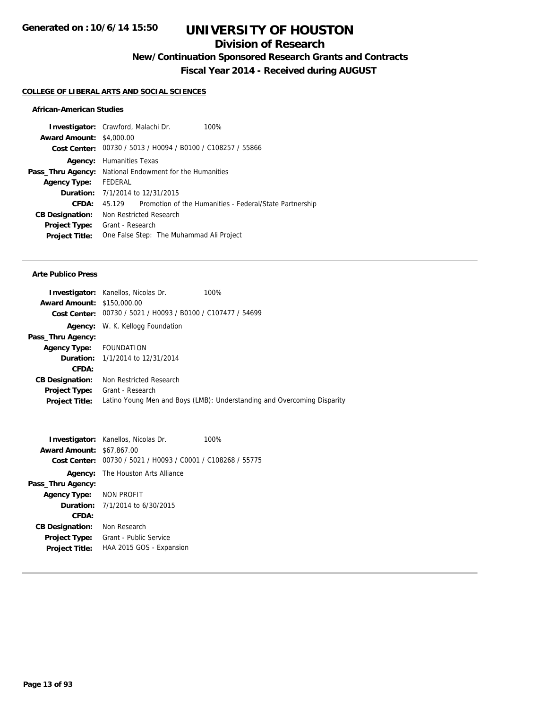### **Division of Research**

**New/Continuation Sponsored Research Grants and Contracts**

**Fiscal Year 2014 - Received during AUGUST**

#### **COLLEGE OF LIBERAL ARTS AND SOCIAL SCIENCES**

#### **African-American Studies**

|                                 | <b>Investigator:</b> Crawford, Malachi Dr.                     | 100%                                                    |
|---------------------------------|----------------------------------------------------------------|---------------------------------------------------------|
| <b>Award Amount: \$4,000.00</b> |                                                                |                                                         |
|                                 | Cost Center: 00730 / 5013 / H0094 / B0100 / C108257 / 55866    |                                                         |
| Agency:                         | Humanities Texas                                               |                                                         |
|                                 | <b>Pass_Thru Agency:</b> National Endowment for the Humanities |                                                         |
| <b>Agency Type:</b>             | FEDERAL                                                        |                                                         |
|                                 | <b>Duration:</b> 7/1/2014 to 12/31/2015                        |                                                         |
| CFDA:                           | 45.129                                                         | Promotion of the Humanities - Federal/State Partnership |
| <b>CB Designation:</b>          | Non Restricted Research                                        |                                                         |
| <b>Project Type:</b>            | Grant - Research                                               |                                                         |
| <b>Project Title:</b>           | One False Step: The Muhammad Ali Project                       |                                                         |
|                                 |                                                                |                                                         |

#### **Arte Publico Press**

|                                   | 100%<br><b>Investigator:</b> Kanellos, Nicolas Dr.                      |
|-----------------------------------|-------------------------------------------------------------------------|
| <b>Award Amount: \$150,000.00</b> |                                                                         |
|                                   | Cost Center: 00730 / 5021 / H0093 / B0100 / C107477 / 54699             |
|                                   | <b>Agency:</b> W. K. Kellogg Foundation                                 |
| Pass_Thru Agency:                 |                                                                         |
| Agency Type: FOUNDATION           |                                                                         |
|                                   | <b>Duration:</b> 1/1/2014 to 12/31/2014                                 |
| CFDA:                             |                                                                         |
| <b>CB Designation:</b>            | Non Restricted Research                                                 |
|                                   | <b>Project Type:</b> Grant - Research                                   |
| <b>Project Title:</b>             | Latino Young Men and Boys (LMB): Understanding and Overcoming Disparity |
|                                   |                                                                         |

|                                  | <b>Investigator:</b> Kanellos, Nicolas Dr.                  | 100% |
|----------------------------------|-------------------------------------------------------------|------|
| <b>Award Amount: \$67,867.00</b> |                                                             |      |
|                                  | Cost Center: 00730 / 5021 / H0093 / C0001 / C108268 / 55775 |      |
|                                  | <b>Agency:</b> The Houston Arts Alliance                    |      |
| Pass_Thru Agency:                |                                                             |      |
| Agency Type: NON PROFIT          |                                                             |      |
|                                  | <b>Duration:</b> 7/1/2014 to 6/30/2015                      |      |
| CFDA:                            |                                                             |      |
| <b>CB Designation:</b>           | Non Research                                                |      |
| <b>Project Type:</b>             | Grant - Public Service                                      |      |
| <b>Project Title:</b>            | HAA 2015 GOS - Expansion                                    |      |
|                                  |                                                             |      |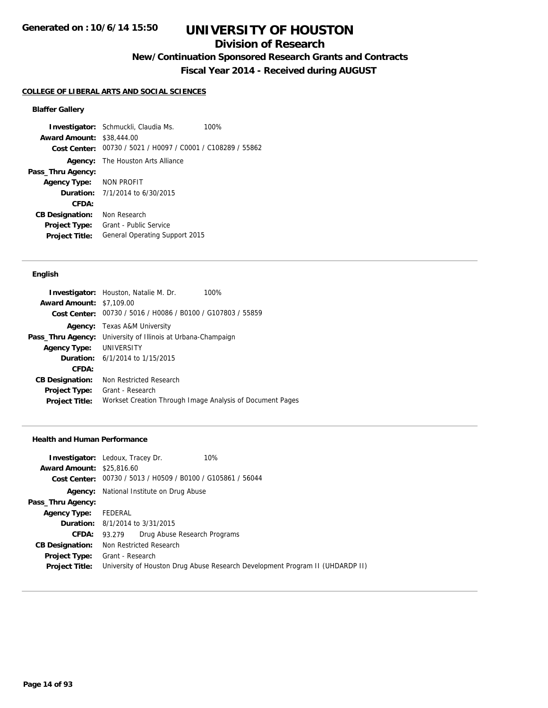### **Division of Research**

**New/Continuation Sponsored Research Grants and Contracts**

**Fiscal Year 2014 - Received during AUGUST**

#### **COLLEGE OF LIBERAL ARTS AND SOCIAL SCIENCES**

#### **Blaffer Gallery**

**Investigator:** Schmuckli, Claudia Ms. 100% **Award Amount:** \$38,444.00 **Cost Center:** 00730 / 5021 / H0097 / C0001 / C108289 / 55862 **Agency:** The Houston Arts Alliance **Pass\_Thru Agency: Agency Type:** NON PROFIT **Duration:** 7/1/2014 to 6/30/2015 **CFDA: CB Designation:** Non Research **Project Type:** Grant - Public Service **Project Title:** General Operating Support 2015

#### **English**

| <b>Investigator:</b> Houston, Natalie M. Dr.<br>100%        |
|-------------------------------------------------------------|
| <b>Award Amount: \$7,109.00</b>                             |
| Cost Center: 00730 / 5016 / H0086 / B0100 / G107803 / 55859 |
| <b>Agency:</b> Texas A&M University                         |
| University of Illinois at Urbana-Champaign                  |
| Agency Type: UNIVERSITY                                     |
| <b>Duration:</b> 6/1/2014 to 1/15/2015                      |
|                                                             |
| Non Restricted Research                                     |
| Grant - Research                                            |
| Workset Creation Through Image Analysis of Document Pages   |
|                                                             |

#### **Health and Human Performance**

| <b>Investigator:</b> Ledoux, Tracey Dr.                     | 10%                                                                           |
|-------------------------------------------------------------|-------------------------------------------------------------------------------|
| <b>Award Amount: \$25,816.60</b>                            |                                                                               |
| Cost Center: 00730 / 5013 / H0509 / B0100 / G105861 / 56044 |                                                                               |
| <b>Agency:</b> National Institute on Drug Abuse             |                                                                               |
|                                                             |                                                                               |
| FEDERAL                                                     |                                                                               |
| <b>Duration:</b> 8/1/2014 to 3/31/2015                      |                                                                               |
| 93.279                                                      |                                                                               |
| Non Restricted Research                                     |                                                                               |
| Grant - Research                                            |                                                                               |
|                                                             | University of Houston Drug Abuse Research Development Program II (UHDARDP II) |
|                                                             | Drug Abuse Research Programs                                                  |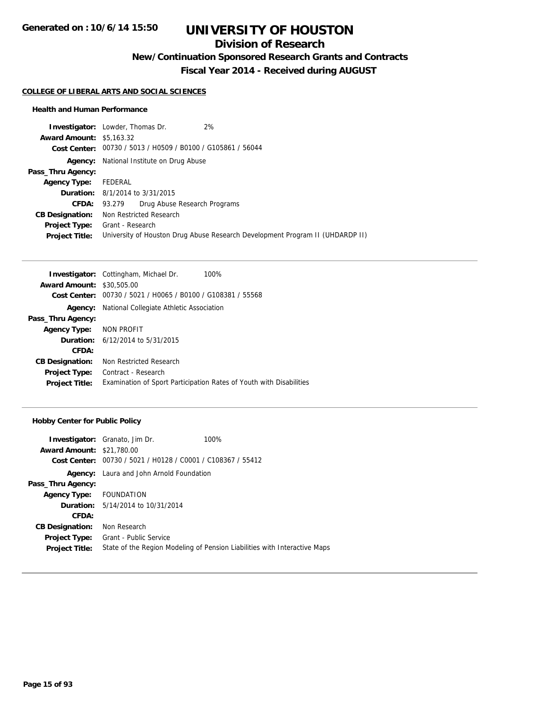## **Division of Research**

**New/Continuation Sponsored Research Grants and Contracts**

**Fiscal Year 2014 - Received during AUGUST**

#### **COLLEGE OF LIBERAL ARTS AND SOCIAL SCIENCES**

#### **Health and Human Performance**

|                                 | 2%<br><b>Investigator:</b> Lowder, Thomas Dr.                                 |
|---------------------------------|-------------------------------------------------------------------------------|
| <b>Award Amount: \$5,163.32</b> |                                                                               |
|                                 | Cost Center: 00730 / 5013 / H0509 / B0100 / G105861 / 56044                   |
|                                 | <b>Agency:</b> National Institute on Drug Abuse                               |
| Pass_Thru Agency:               |                                                                               |
| <b>Agency Type:</b>             | FEDERAL                                                                       |
|                                 | <b>Duration:</b> 8/1/2014 to 3/31/2015                                        |
| <b>CFDA:</b>                    | 93.279 Drug Abuse Research Programs                                           |
| <b>CB Designation:</b>          | Non Restricted Research                                                       |
| Project Type:                   | Grant - Research                                                              |
| <b>Project Title:</b>           | University of Houston Drug Abuse Research Development Program II (UHDARDP II) |

|                                  | <b>Investigator:</b> Cottingham, Michael Dr.<br>100%                |
|----------------------------------|---------------------------------------------------------------------|
| <b>Award Amount: \$30,505,00</b> |                                                                     |
| Cost Center:                     | 00730 / 5021 / H0065 / B0100 / G108381 / 55568                      |
| Agency:                          | National Collegiate Athletic Association                            |
| Pass_Thru Agency:                |                                                                     |
| <b>Agency Type:</b>              | NON PROFIT                                                          |
|                                  | <b>Duration:</b> 6/12/2014 to 5/31/2015                             |
| CFDA:                            |                                                                     |
| <b>CB Designation:</b>           | Non Restricted Research                                             |
| <b>Project Type:</b>             | Contract - Research                                                 |
| <b>Project Title:</b>            | Examination of Sport Participation Rates of Youth with Disabilities |

#### **Hobby Center for Public Policy**

|                                  | <b>Investigator:</b> Granato, Jim Dr.                       | 100%                                                                      |
|----------------------------------|-------------------------------------------------------------|---------------------------------------------------------------------------|
| <b>Award Amount: \$21,780.00</b> |                                                             |                                                                           |
|                                  | Cost Center: 00730 / 5021 / H0128 / C0001 / C108367 / 55412 |                                                                           |
|                                  | <b>Agency:</b> Laura and John Arnold Foundation             |                                                                           |
| Pass_Thru Agency:                |                                                             |                                                                           |
| Agency Type: FOUNDATION          |                                                             |                                                                           |
|                                  | <b>Duration:</b> 5/14/2014 to 10/31/2014                    |                                                                           |
| CFDA:                            |                                                             |                                                                           |
| <b>CB Designation:</b>           | Non Research                                                |                                                                           |
| <b>Project Type:</b>             | Grant - Public Service                                      |                                                                           |
| <b>Project Title:</b>            |                                                             | State of the Region Modeling of Pension Liabilities with Interactive Maps |
|                                  |                                                             |                                                                           |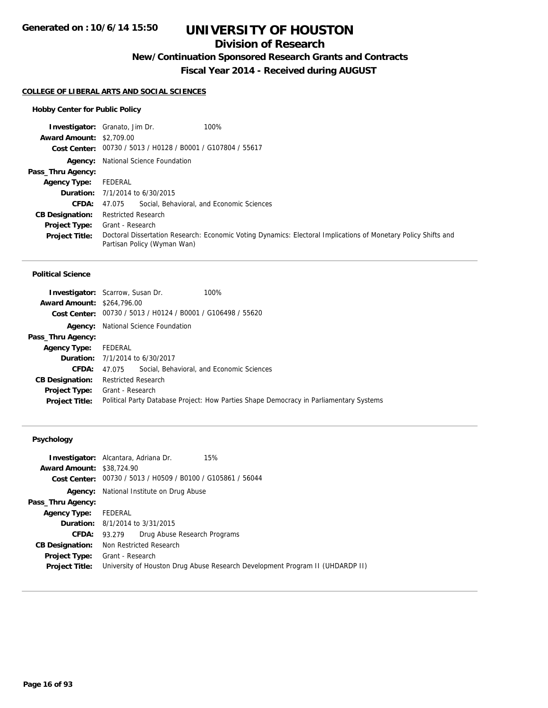### **Division of Research**

**New/Continuation Sponsored Research Grants and Contracts**

**Fiscal Year 2014 - Received during AUGUST**

#### **COLLEGE OF LIBERAL ARTS AND SOCIAL SCIENCES**

#### **Hobby Center for Public Policy**

|                                 | <b>Investigator:</b> Granato, Jim Dr.<br>100%                                                                                                 |
|---------------------------------|-----------------------------------------------------------------------------------------------------------------------------------------------|
| <b>Award Amount: \$2,709.00</b> |                                                                                                                                               |
|                                 | Cost Center: 00730 / 5013 / H0128 / B0001 / G107804 / 55617                                                                                   |
|                                 | <b>Agency:</b> National Science Foundation                                                                                                    |
| Pass_Thru Agency:               |                                                                                                                                               |
| <b>Agency Type:</b>             | FEDERAL                                                                                                                                       |
|                                 | <b>Duration:</b> $7/1/2014$ to $6/30/2015$                                                                                                    |
| <b>CFDA:</b>                    | 47.075 Social, Behavioral, and Economic Sciences                                                                                              |
| <b>CB Designation:</b>          | <b>Restricted Research</b>                                                                                                                    |
| <b>Project Type:</b>            | Grant - Research                                                                                                                              |
| <b>Project Title:</b>           | Doctoral Dissertation Research: Economic Voting Dynamics: Electoral Implications of Monetary Policy Shifts and<br>Partisan Policy (Wyman Wan) |

#### **Political Science**

| <b>Award Amount: \$264,796.00</b> | <b>Investigator:</b> Scarrow, Susan Dr.<br>100%<br>Cost Center: 00730 / 5013 / H0124 / B0001 / G106498 / 55620 |  |  |
|-----------------------------------|----------------------------------------------------------------------------------------------------------------|--|--|
| Agency:                           | National Science Foundation                                                                                    |  |  |
| Pass_Thru Agency:                 |                                                                                                                |  |  |
| <b>Agency Type:</b>               | FEDERAL                                                                                                        |  |  |
|                                   | <b>Duration:</b> 7/1/2014 to 6/30/2017                                                                         |  |  |
| CFDA:                             | 47.075 Social, Behavioral, and Economic Sciences                                                               |  |  |
| <b>CB Designation:</b>            | <b>Restricted Research</b>                                                                                     |  |  |
| <b>Project Type:</b>              | Grant - Research                                                                                               |  |  |
| <b>Project Title:</b>             | Political Party Database Project: How Parties Shape Democracy in Parliamentary Systems                         |  |  |

|                                  | 15%<br><b>Investigator:</b> Alcantara, Adriana Dr.                            |
|----------------------------------|-------------------------------------------------------------------------------|
| <b>Award Amount: \$38,724.90</b> |                                                                               |
|                                  | Cost Center: 00730 / 5013 / H0509 / B0100 / G105861 / 56044                   |
|                                  | <b>Agency:</b> National Institute on Drug Abuse                               |
| Pass_Thru Agency:                |                                                                               |
| <b>Agency Type:</b>              | FEDERAL                                                                       |
|                                  | <b>Duration:</b> 8/1/2014 to 3/31/2015                                        |
| CFDA:                            | Drug Abuse Research Programs<br>93.279                                        |
| <b>CB Designation:</b>           | Non Restricted Research                                                       |
| <b>Project Type:</b>             | Grant - Research                                                              |
| <b>Project Title:</b>            | University of Houston Drug Abuse Research Development Program II (UHDARDP II) |
|                                  |                                                                               |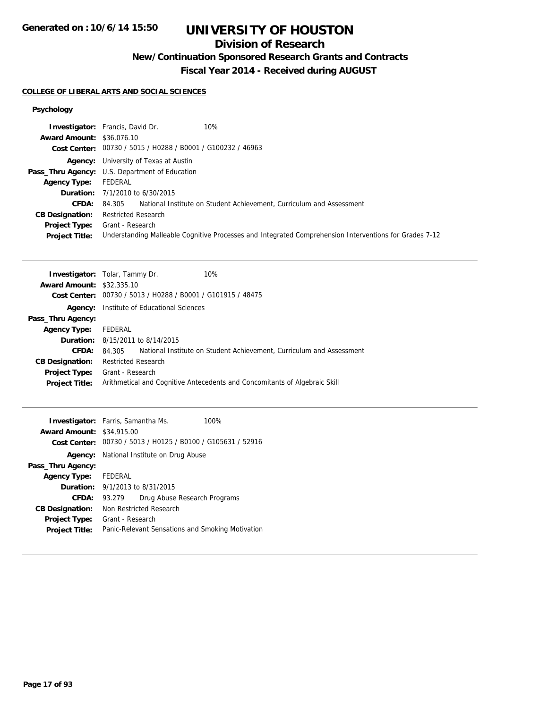### **Division of Research**

## **New/Continuation Sponsored Research Grants and Contracts**

**Fiscal Year 2014 - Received during AUGUST**

#### **COLLEGE OF LIBERAL ARTS AND SOCIAL SCIENCES**

|                                  | 10%<br><b>Investigator:</b> Francis, David Dr.                                                         |
|----------------------------------|--------------------------------------------------------------------------------------------------------|
| <b>Award Amount: \$36,076.10</b> |                                                                                                        |
|                                  | Cost Center: 00730 / 5015 / H0288 / B0001 / G100232 / 46963                                            |
|                                  | <b>Agency:</b> University of Texas at Austin                                                           |
|                                  | <b>Pass_Thru Agency:</b> U.S. Department of Education                                                  |
| Agency Type:                     | FEDERAL                                                                                                |
|                                  | <b>Duration:</b> 7/1/2010 to 6/30/2015                                                                 |
| <b>CFDA:</b>                     | 84.305 National Institute on Student Achievement, Curriculum and Assessment                            |
| <b>CB Designation:</b>           | <b>Restricted Research</b>                                                                             |
| <b>Project Type:</b>             | Grant - Research                                                                                       |
| <b>Project Title:</b>            | Understanding Malleable Cognitive Processes and Integrated Comprehension Interventions for Grades 7-12 |

| <b>Investigator:</b> Tolar, Tammy Dr. |                            |                                                | 10%                                                                         |
|---------------------------------------|----------------------------|------------------------------------------------|-----------------------------------------------------------------------------|
| <b>Award Amount: \$32,335.10</b>      |                            |                                                |                                                                             |
| Cost Center:                          |                            | 00730 / 5013 / H0288 / B0001 / G101915 / 48475 |                                                                             |
| Agency:                               |                            | Institute of Educational Sciences              |                                                                             |
| Pass_Thru Agency:                     |                            |                                                |                                                                             |
| <b>Agency Type:</b>                   | FEDERAL                    |                                                |                                                                             |
|                                       |                            | <b>Duration:</b> 8/15/2011 to 8/14/2015        |                                                                             |
| CFDA:                                 |                            |                                                | 84.305 National Institute on Student Achievement, Curriculum and Assessment |
| <b>CB Designation:</b>                | <b>Restricted Research</b> |                                                |                                                                             |
| Project Type:                         | Grant - Research           |                                                |                                                                             |
| <b>Project Title:</b>                 |                            |                                                | Arithmetical and Cognitive Antecedents and Concomitants of Algebraic Skill  |

| <b>Investigator:</b> Farris, Samantha Ms.<br><b>Award Amount: \$34,915.00</b> |                                                  |                                  | 100%<br>Cost Center: 00730 / 5013 / H0125 / B0100 / G105631 / 52916 |
|-------------------------------------------------------------------------------|--------------------------------------------------|----------------------------------|---------------------------------------------------------------------|
|                                                                               |                                                  |                                  |                                                                     |
| Agency:                                                                       |                                                  | National Institute on Drug Abuse |                                                                     |
| Pass_Thru Agency:                                                             |                                                  |                                  |                                                                     |
| <b>Agency Type:</b>                                                           | FEDERAL                                          |                                  |                                                                     |
|                                                                               | <b>Duration:</b> 9/1/2013 to 8/31/2015           |                                  |                                                                     |
| CFDA:                                                                         | 93.279                                           | Drug Abuse Research Programs     |                                                                     |
| <b>CB Designation:</b>                                                        | Non Restricted Research                          |                                  |                                                                     |
| <b>Project Type:</b>                                                          | Grant - Research                                 |                                  |                                                                     |
| <b>Project Title:</b>                                                         | Panic-Relevant Sensations and Smoking Motivation |                                  |                                                                     |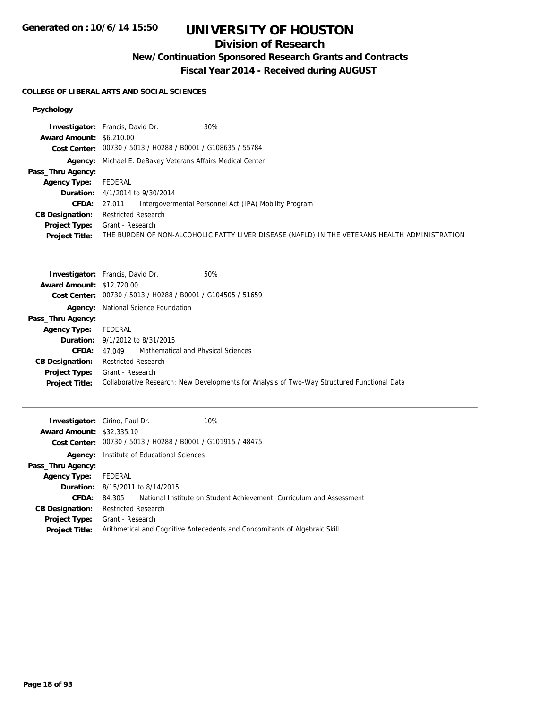### **Division of Research**

**New/Continuation Sponsored Research Grants and Contracts**

**Fiscal Year 2014 - Received during AUGUST**

#### **COLLEGE OF LIBERAL ARTS AND SOCIAL SCIENCES**

|                                 | <b>Investigator:</b> Francis, David Dr.<br>30%                                                |
|---------------------------------|-----------------------------------------------------------------------------------------------|
| <b>Award Amount: \$6,210.00</b> |                                                                                               |
|                                 | Cost Center: 00730 / 5013 / H0288 / B0001 / G108635 / 55784                                   |
|                                 | Agency: Michael E. DeBakey Veterans Affairs Medical Center                                    |
| Pass_Thru Agency:               |                                                                                               |
| <b>Agency Type:</b>             | FEDERAL                                                                                       |
|                                 | <b>Duration:</b> $4/1/2014$ to $9/30/2014$                                                    |
| CFDA:                           | Intergovermental Personnel Act (IPA) Mobility Program<br>27.011                               |
| <b>CB Designation:</b>          | <b>Restricted Research</b>                                                                    |
| <b>Project Type:</b>            | Grant - Research                                                                              |
| <b>Project Title:</b>           | THE BURDEN OF NON-ALCOHOLIC FATTY LIVER DISEASE (NAFLD) IN THE VETERANS HEALTH ADMINISTRATION |

|                                  | 50%<br><b>Investigator:</b> Francis, David Dr.                                              |
|----------------------------------|---------------------------------------------------------------------------------------------|
| <b>Award Amount: \$12,720.00</b> |                                                                                             |
|                                  | Cost Center: 00730 / 5013 / H0288 / B0001 / G104505 / 51659                                 |
|                                  | <b>Agency:</b> National Science Foundation                                                  |
| Pass_Thru Agency:                |                                                                                             |
| <b>Agency Type:</b>              | FEDERAL                                                                                     |
|                                  | <b>Duration:</b> 9/1/2012 to 8/31/2015                                                      |
|                                  | <b>CFDA:</b> 47,049 Mathematical and Physical Sciences                                      |
| <b>CB Designation:</b>           | <b>Restricted Research</b>                                                                  |
| <b>Project Type:</b>             | Grant - Research                                                                            |
| <b>Project Title:</b>            | Collaborative Research: New Developments for Analysis of Two-Way Structured Functional Data |
|                                  |                                                                                             |

|                                  | <b>Investigator:</b> Cirino, Paul Dr.                       | 10%                                                                        |
|----------------------------------|-------------------------------------------------------------|----------------------------------------------------------------------------|
| <b>Award Amount: \$32,335.10</b> |                                                             |                                                                            |
|                                  | Cost Center: 00730 / 5013 / H0288 / B0001 / G101915 / 48475 |                                                                            |
| Agency:                          | Institute of Educational Sciences                           |                                                                            |
| Pass_Thru Agency:                |                                                             |                                                                            |
| <b>Agency Type:</b>              | FEDERAL                                                     |                                                                            |
|                                  | <b>Duration:</b> 8/15/2011 to 8/14/2015                     |                                                                            |
| <b>CFDA:</b>                     | 84.305                                                      | National Institute on Student Achievement, Curriculum and Assessment       |
| <b>CB Designation:</b>           | <b>Restricted Research</b>                                  |                                                                            |
| <b>Project Type:</b>             | Grant - Research                                            |                                                                            |
| <b>Project Title:</b>            |                                                             | Arithmetical and Cognitive Antecedents and Concomitants of Algebraic Skill |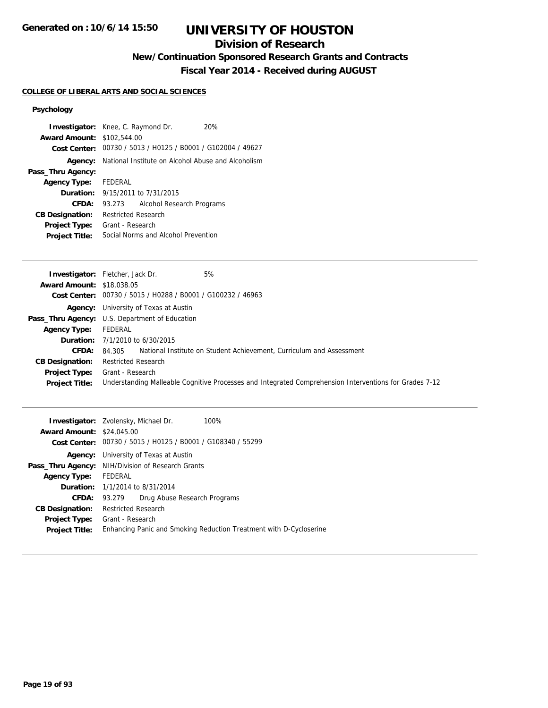## **Division of Research**

**New/Continuation Sponsored Research Grants and Contracts**

**Fiscal Year 2014 - Received during AUGUST**

#### **COLLEGE OF LIBERAL ARTS AND SOCIAL SCIENCES**

| <b>Investigator:</b> Knee, C. Raymond Dr.<br><b>Award Amount: \$102,544.00</b> |                                                            |                                         | 20%<br>Cost Center: 00730 / 5013 / H0125 / B0001 / G102004 / 49627 |
|--------------------------------------------------------------------------------|------------------------------------------------------------|-----------------------------------------|--------------------------------------------------------------------|
|                                                                                | Agency: National Institute on Alcohol Abuse and Alcoholism |                                         |                                                                    |
| Pass_Thru Agency:                                                              |                                                            |                                         |                                                                    |
| Agency Type: FEDERAL                                                           |                                                            |                                         |                                                                    |
|                                                                                |                                                            | <b>Duration:</b> 9/15/2011 to 7/31/2015 |                                                                    |
| CFDA:                                                                          | 93.273                                                     | Alcohol Research Programs               |                                                                    |
| <b>CB Designation:</b>                                                         | <b>Restricted Research</b>                                 |                                         |                                                                    |
| <b>Project Type:</b>                                                           | Grant - Research                                           |                                         |                                                                    |
| <b>Project Title:</b>                                                          | Social Norms and Alcohol Prevention                        |                                         |                                                                    |

|                                  | <b>Investigator:</b> Fletcher, Jack Dr.<br>5%                                                          |
|----------------------------------|--------------------------------------------------------------------------------------------------------|
| <b>Award Amount: \$18,038.05</b> |                                                                                                        |
|                                  | Cost Center: 00730 / 5015 / H0288 / B0001 / G100232 / 46963                                            |
|                                  | <b>Agency:</b> University of Texas at Austin                                                           |
|                                  | Pass_Thru Agency: U.S. Department of Education                                                         |
| <b>Agency Type:</b>              | FEDERAL                                                                                                |
|                                  | <b>Duration:</b> $7/1/2010$ to $6/30/2015$                                                             |
| CFDA:                            | National Institute on Student Achievement, Curriculum and Assessment<br>84.305                         |
| <b>CB Designation:</b>           | <b>Restricted Research</b>                                                                             |
| <b>Project Type:</b>             | Grant - Research                                                                                       |
| <b>Project Title:</b>            | Understanding Malleable Cognitive Processes and Integrated Comprehension Interventions for Grades 7-12 |

|                                  | <b>Investigator:</b> Zvolensky, Michael Dr.<br>100%                |  |  |
|----------------------------------|--------------------------------------------------------------------|--|--|
| <b>Award Amount: \$24,045.00</b> |                                                                    |  |  |
|                                  | Cost Center: 00730 / 5015 / H0125 / B0001 / G108340 / 55299        |  |  |
| Agency:                          | University of Texas at Austin                                      |  |  |
|                                  | Pass_Thru Agency: NIH/Division of Research Grants                  |  |  |
| <b>Agency Type:</b>              | FEDERAL                                                            |  |  |
|                                  | <b>Duration:</b> 1/1/2014 to 8/31/2014                             |  |  |
|                                  | Drug Abuse Research Programs<br><b>CFDA:</b> 93.279                |  |  |
| <b>CB Designation:</b>           | <b>Restricted Research</b>                                         |  |  |
| Project Type:                    | Grant - Research                                                   |  |  |
| <b>Project Title:</b>            | Enhancing Panic and Smoking Reduction Treatment with D-Cycloserine |  |  |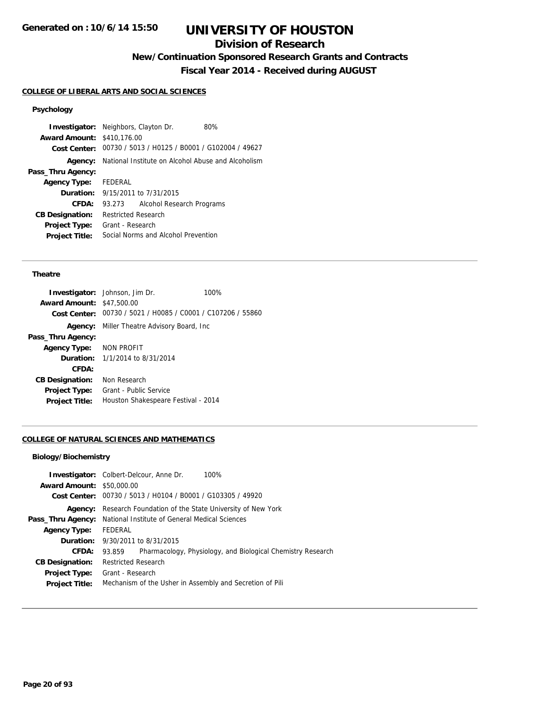## **Division of Research**

**New/Continuation Sponsored Research Grants and Contracts**

**Fiscal Year 2014 - Received during AUGUST**

### **COLLEGE OF LIBERAL ARTS AND SOCIAL SCIENCES**

## **Psychology**

| <b>Investigator:</b> Neighbors, Clayton Dr. |                                                    |                                                             | 80% |
|---------------------------------------------|----------------------------------------------------|-------------------------------------------------------------|-----|
| <b>Award Amount: \$410,176.00</b>           |                                                    |                                                             |     |
|                                             |                                                    | Cost Center: 00730 / 5013 / H0125 / B0001 / G102004 / 49627 |     |
| Agency:                                     | National Institute on Alcohol Abuse and Alcoholism |                                                             |     |
| Pass_Thru Agency:                           |                                                    |                                                             |     |
| <b>Agency Type:</b>                         | FEDERAL                                            |                                                             |     |
|                                             |                                                    | <b>Duration:</b> $9/15/2011$ to $7/31/2015$                 |     |
| CFDA:                                       | 93.273                                             | Alcohol Research Programs                                   |     |
| <b>CB Designation:</b>                      | <b>Restricted Research</b>                         |                                                             |     |
| Project Type:                               | Grant - Research                                   |                                                             |     |
| <b>Project Title:</b>                       |                                                    | Social Norms and Alcohol Prevention                         |     |

#### **Theatre**

|                                  | <b>Investigator:</b> Johnson, Jim Dr.                       | 100% |
|----------------------------------|-------------------------------------------------------------|------|
| <b>Award Amount: \$47,500.00</b> |                                                             |      |
|                                  | Cost Center: 00730 / 5021 / H0085 / C0001 / C107206 / 55860 |      |
|                                  | <b>Agency:</b> Miller Theatre Advisory Board, Inc.          |      |
| Pass_Thru Agency:                |                                                             |      |
| Agency Type: NON PROFIT          |                                                             |      |
|                                  | <b>Duration:</b> $1/1/2014$ to $8/31/2014$                  |      |
| CFDA:                            |                                                             |      |
| <b>CB Designation:</b>           | Non Research                                                |      |
| <b>Project Type:</b>             | Grant - Public Service                                      |      |
| <b>Project Title:</b>            | Houston Shakespeare Festival - 2014                         |      |
|                                  |                                                             |      |

#### **COLLEGE OF NATURAL SCIENCES AND MATHEMATICS**

| <b>Award Amount: \$50,000.00</b> | <b>Investigator:</b> Colbert-Delcour, Anne Dr.<br>100%<br>Cost Center: 00730 / 5013 / H0104 / B0001 / G103305 / 49920 |  |  |
|----------------------------------|-----------------------------------------------------------------------------------------------------------------------|--|--|
| Agency:                          | Research Foundation of the State University of New York                                                               |  |  |
| Pass_Thru Agency:                | National Institute of General Medical Sciences                                                                        |  |  |
| <b>Agency Type:</b>              | FEDERAL                                                                                                               |  |  |
| Duration:                        | 9/30/2011 to 8/31/2015                                                                                                |  |  |
| CFDA:                            | Pharmacology, Physiology, and Biological Chemistry Research<br>93.859                                                 |  |  |
| <b>CB Designation:</b>           | <b>Restricted Research</b>                                                                                            |  |  |
| <b>Project Type:</b>             | Grant - Research                                                                                                      |  |  |
| <b>Project Title:</b>            | Mechanism of the Usher in Assembly and Secretion of Pili                                                              |  |  |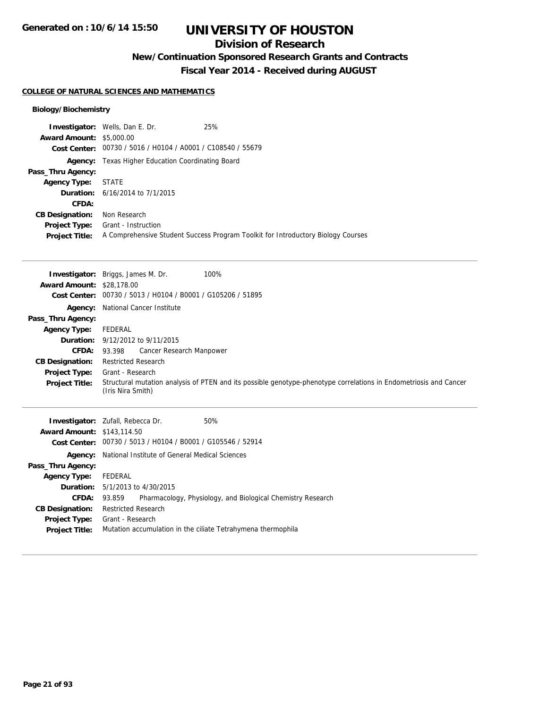### **Division of Research**

**New/Continuation Sponsored Research Grants and Contracts**

**Fiscal Year 2014 - Received during AUGUST**

#### **COLLEGE OF NATURAL SCIENCES AND MATHEMATICS**

|                                 | <b>Investigator:</b> Wells, Dan E. Dr.                      | 25%                                                                              |
|---------------------------------|-------------------------------------------------------------|----------------------------------------------------------------------------------|
| <b>Award Amount: \$5,000.00</b> |                                                             |                                                                                  |
|                                 | Cost Center: 00730 / 5016 / H0104 / A0001 / C108540 / 55679 |                                                                                  |
|                                 | <b>Agency:</b> Texas Higher Education Coordinating Board    |                                                                                  |
| Pass_Thru Agency:               |                                                             |                                                                                  |
| <b>Agency Type:</b>             | STATE                                                       |                                                                                  |
|                                 | <b>Duration:</b> 6/16/2014 to 7/1/2015                      |                                                                                  |
| <b>CFDA:</b>                    |                                                             |                                                                                  |
| <b>CB Designation:</b>          | Non Research                                                |                                                                                  |
| <b>Project Type:</b>            | Grant - Instruction                                         |                                                                                  |
| <b>Project Title:</b>           |                                                             | A Comprehensive Student Success Program Toolkit for Introductory Biology Courses |

| <b>Award Amount: \$28,178.00</b>  | 100%<br><b>Investigator:</b> Briggs, James M. Dr.             |                                                                                                                   |
|-----------------------------------|---------------------------------------------------------------|-------------------------------------------------------------------------------------------------------------------|
| <b>Cost Center:</b>               | 00730 / 5013 / H0104 / B0001 / G105206 / 51895                |                                                                                                                   |
| Agency:                           | National Cancer Institute                                     |                                                                                                                   |
| Pass_Thru Agency:                 |                                                               |                                                                                                                   |
| <b>Agency Type:</b>               | FEDERAL                                                       |                                                                                                                   |
| Duration:                         | 9/12/2012 to 9/11/2015                                        |                                                                                                                   |
| <b>CFDA:</b>                      | Cancer Research Manpower<br>93.398                            |                                                                                                                   |
| <b>CB Designation:</b>            | <b>Restricted Research</b>                                    |                                                                                                                   |
| <b>Project Type:</b>              | Grant - Research                                              |                                                                                                                   |
| <b>Project Title:</b>             | (Iris Nira Smith)                                             | Structural mutation analysis of PTEN and its possible genotype-phenotype correlations in Endometriosis and Cancer |
|                                   |                                                               |                                                                                                                   |
|                                   | <b>Investigator:</b> Zufall, Rebecca Dr.<br>50%               |                                                                                                                   |
| <b>Award Amount: \$143,114.50</b> |                                                               |                                                                                                                   |
|                                   | Cost Center: 00730 / 5013 / H0104 / B0001 / G105546 / 52914   |                                                                                                                   |
|                                   | <b>Agency:</b> National Institute of General Medical Sciences |                                                                                                                   |
| Pass_Thru Agency:                 |                                                               |                                                                                                                   |
| <b>Agency Type:</b>               | FEDERAL                                                       |                                                                                                                   |
| Duration:                         | 5/1/2013 to 4/30/2015                                         |                                                                                                                   |
| <b>CFDA:</b>                      | 93.859                                                        | Pharmacology, Physiology, and Biological Chemistry Research                                                       |
| <b>CB Designation:</b>            | <b>Restricted Research</b>                                    |                                                                                                                   |
| <b>Project Type:</b>              | Grant - Research                                              |                                                                                                                   |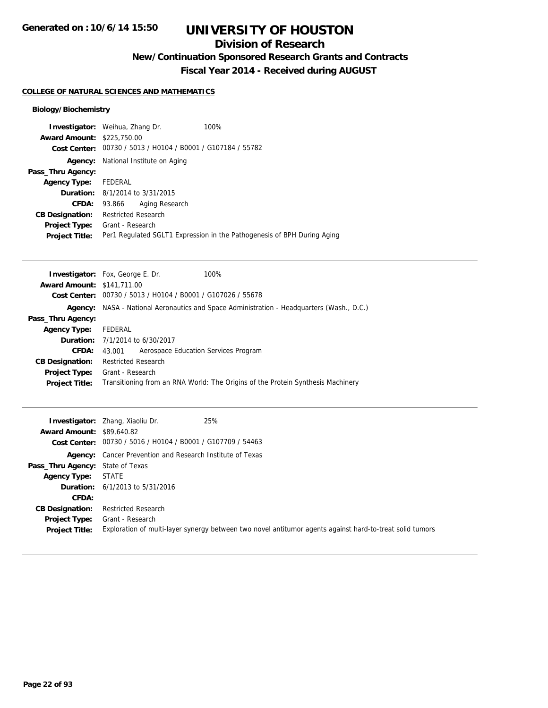### **Division of Research**

**New/Continuation Sponsored Research Grants and Contracts**

**Fiscal Year 2014 - Received during AUGUST**

#### **COLLEGE OF NATURAL SCIENCES AND MATHEMATICS**

|                                   | <b>Investigator:</b> Weihua, Zhang Dr.                      | 100%                                                                    |
|-----------------------------------|-------------------------------------------------------------|-------------------------------------------------------------------------|
| <b>Award Amount: \$225,750.00</b> |                                                             |                                                                         |
|                                   | Cost Center: 00730 / 5013 / H0104 / B0001 / G107184 / 55782 |                                                                         |
| Agency:                           | National Institute on Aging                                 |                                                                         |
| Pass_Thru Agency:                 |                                                             |                                                                         |
| Agency Type: FEDERAL              |                                                             |                                                                         |
|                                   | <b>Duration:</b> 8/1/2014 to 3/31/2015                      |                                                                         |
|                                   | Aging Research<br><b>CFDA: 93.866</b>                       |                                                                         |
| <b>CB Designation:</b>            | <b>Restricted Research</b>                                  |                                                                         |
| <b>Project Type:</b>              | Grant - Research                                            |                                                                         |
| <b>Project Title:</b>             |                                                             | Per1 Regulated SGLT1 Expression in the Pathogenesis of BPH During Aging |

|                                   | 100%<br><b>Investigator:</b> Fox, George E. Dr.                                           |  |  |
|-----------------------------------|-------------------------------------------------------------------------------------------|--|--|
| <b>Award Amount: \$141,711.00</b> |                                                                                           |  |  |
|                                   | Cost Center: 00730 / 5013 / H0104 / B0001 / G107026 / 55678                               |  |  |
|                                   | Agency: NASA - National Aeronautics and Space Administration - Headquarters (Wash., D.C.) |  |  |
| Pass_Thru Agency:                 |                                                                                           |  |  |
| <b>Agency Type:</b>               | FEDERAL                                                                                   |  |  |
|                                   | <b>Duration:</b> 7/1/2014 to 6/30/2017                                                    |  |  |
| <b>CFDA:</b>                      | Aerospace Education Services Program<br>43.001                                            |  |  |
| <b>CB Designation:</b>            | <b>Restricted Research</b>                                                                |  |  |
| <b>Project Type:</b>              | Grant - Research                                                                          |  |  |
| <b>Project Title:</b>             | Transitioning from an RNA World: The Origins of the Protein Synthesis Machinery           |  |  |

| <b>Award Amount: \$89,640.82</b>              | 25%<br><b>Investigator:</b> Zhang, Xiaoliu Dr.<br>Cost Center: 00730 / 5016 / H0104 / B0001 / G107709 / 54463                |
|-----------------------------------------------|------------------------------------------------------------------------------------------------------------------------------|
|                                               | <b>Agency:</b> Cancer Prevention and Research Institute of Texas                                                             |
| Pass_Thru Agency: State of Texas              |                                                                                                                              |
| <b>Agency Type: STATE</b>                     |                                                                                                                              |
|                                               | <b>Duration:</b> $6/1/2013$ to $5/31/2016$                                                                                   |
| CFDA:                                         |                                                                                                                              |
| <b>CB Designation:</b>                        | Restricted Research                                                                                                          |
| <b>Project Type:</b><br><b>Project Title:</b> | Grant - Research<br>Exploration of multi-layer synergy between two novel antitumor agents against hard-to-treat solid tumors |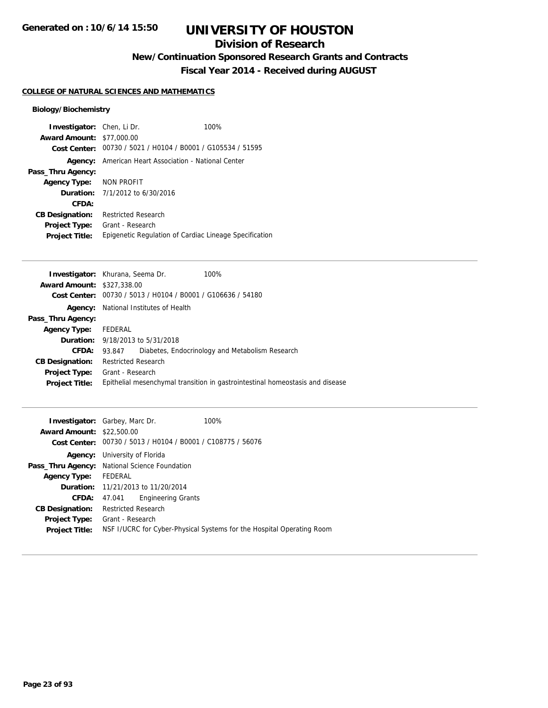## **Division of Research**

**New/Continuation Sponsored Research Grants and Contracts**

**Fiscal Year 2014 - Received during AUGUST**

#### **COLLEGE OF NATURAL SCIENCES AND MATHEMATICS**

| Investigator: Chen, Li Dr.       |                                              | 100%                                                        |
|----------------------------------|----------------------------------------------|-------------------------------------------------------------|
| <b>Award Amount: \$77,000.00</b> |                                              |                                                             |
|                                  |                                              | Cost Center: 00730 / 5021 / H0104 / B0001 / G105534 / 51595 |
| Agency:                          | American Heart Association - National Center |                                                             |
| Pass_Thru Agency:                |                                              |                                                             |
| Agency Type: NON PROFIT          |                                              |                                                             |
|                                  | <b>Duration:</b> 7/1/2012 to 6/30/2016       |                                                             |
| CFDA:                            |                                              |                                                             |
| <b>CB Designation:</b>           | <b>Restricted Research</b>                   |                                                             |
| <b>Project Type:</b>             | Grant - Research                             |                                                             |
| <b>Project Title:</b>            |                                              | Epigenetic Regulation of Cardiac Lineage Specification      |

| <b>Investigator:</b> Khurana, Seema Dr. |                            |                                                | 100%                                                                          |
|-----------------------------------------|----------------------------|------------------------------------------------|-------------------------------------------------------------------------------|
| <b>Award Amount: \$327,338.00</b>       |                            |                                                |                                                                               |
| <b>Cost Center:</b>                     |                            | 00730 / 5013 / H0104 / B0001 / G106636 / 54180 |                                                                               |
| Agency:                                 |                            | National Institutes of Health                  |                                                                               |
| Pass_Thru Agency:                       |                            |                                                |                                                                               |
| <b>Agency Type:</b>                     | FEDERAL                    |                                                |                                                                               |
|                                         |                            | <b>Duration:</b> 9/18/2013 to 5/31/2018        |                                                                               |
| <b>CFDA:</b>                            | 93.847                     |                                                | Diabetes, Endocrinology and Metabolism Research                               |
| <b>CB Designation:</b>                  | <b>Restricted Research</b> |                                                |                                                                               |
| <b>Project Type:</b>                    | Grant - Research           |                                                |                                                                               |
| <b>Project Title:</b>                   |                            |                                                | Epithelial mesenchymal transition in gastrointestinal homeostasis and disease |
|                                         |                            |                                                |                                                                               |

| <b>Investigator:</b> Garbey, Marc Dr.<br><b>Award Amount: \$22,500.00</b> |                                      | Cost Center: 00730 / 5013 / H0104 / B0001 / C108775 / 56076 | 100%                                                                  |
|---------------------------------------------------------------------------|--------------------------------------|-------------------------------------------------------------|-----------------------------------------------------------------------|
|                                                                           | <b>Agency:</b> University of Florida |                                                             |                                                                       |
| <b>Pass_Thru Agency:</b> National Science Foundation                      |                                      |                                                             |                                                                       |
| <b>Agency Type:</b>                                                       | FEDERAL                              |                                                             |                                                                       |
|                                                                           |                                      | <b>Duration:</b> 11/21/2013 to 11/20/2014                   |                                                                       |
| <b>CFDA:</b>                                                              | 47.041                               | <b>Engineering Grants</b>                                   |                                                                       |
| <b>CB Designation:</b>                                                    | <b>Restricted Research</b>           |                                                             |                                                                       |
| <b>Project Type:</b>                                                      | Grant - Research                     |                                                             |                                                                       |
| <b>Project Title:</b>                                                     |                                      |                                                             | NSF I/UCRC for Cyber-Physical Systems for the Hospital Operating Room |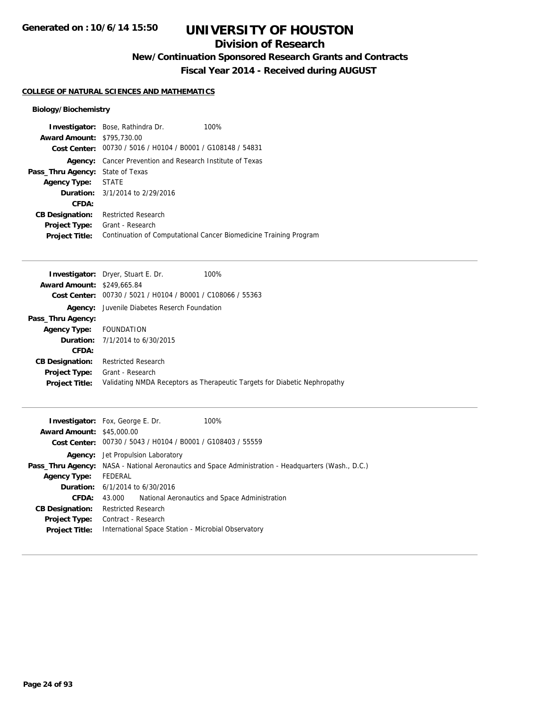### **Division of Research**

**New/Continuation Sponsored Research Grants and Contracts**

**Fiscal Year 2014 - Received during AUGUST**

#### **COLLEGE OF NATURAL SCIENCES AND MATHEMATICS**

|                                         | <b>Investigator:</b> Bose, Rathindra Dr.                    | 100%                                                              |
|-----------------------------------------|-------------------------------------------------------------|-------------------------------------------------------------------|
| <b>Award Amount: \$795,730.00</b>       |                                                             |                                                                   |
|                                         | Cost Center: 00730 / 5016 / H0104 / B0001 / G108148 / 54831 |                                                                   |
| Agency:                                 | Cancer Prevention and Research Institute of Texas           |                                                                   |
| <b>Pass_Thru Agency:</b> State of Texas |                                                             |                                                                   |
| Agency Type: STATE                      |                                                             |                                                                   |
|                                         | <b>Duration:</b> 3/1/2014 to 2/29/2016                      |                                                                   |
| CFDA:                                   |                                                             |                                                                   |
| <b>CB Designation:</b>                  | <b>Restricted Research</b>                                  |                                                                   |
| <b>Project Type:</b>                    | Grant - Research                                            |                                                                   |
| <b>Project Title:</b>                   |                                                             | Continuation of Computational Cancer Biomedicine Training Program |

|                                   | <b>Investigator:</b> Dryer, Stuart E. Dr.<br>100%                         |
|-----------------------------------|---------------------------------------------------------------------------|
| <b>Award Amount: \$249,665.84</b> |                                                                           |
| <b>Cost Center:</b>               | 00730 / 5021 / H0104 / B0001 / C108066 / 55363                            |
|                                   | <b>Agency:</b> Juvenile Diabetes Reserch Foundation                       |
| Pass_Thru Agency:                 |                                                                           |
| Agency Type: FOUNDATION           |                                                                           |
|                                   | <b>Duration:</b> $7/1/2014$ to $6/30/2015$                                |
| CFDA:                             |                                                                           |
| <b>CB Designation:</b>            | <b>Restricted Research</b>                                                |
| <b>Project Type:</b>              | Grant - Research                                                          |
| <b>Project Title:</b>             | Validating NMDA Receptors as Therapeutic Targets for Diabetic Nephropathy |
|                                   |                                                                           |

| <b>Award Amount: \$45,000.00</b> | 100%<br><b>Investigator:</b> Fox, George E. Dr.                                                     |
|----------------------------------|-----------------------------------------------------------------------------------------------------|
|                                  | Cost Center: 00730 / 5043 / H0104 / B0001 / G108403 / 55559                                         |
|                                  | <b>Agency:</b> Jet Propulsion Laboratory                                                            |
|                                  | Pass_Thru Agency: NASA - National Aeronautics and Space Administration - Headquarters (Wash., D.C.) |
| <b>Agency Type:</b>              | FEDERAL                                                                                             |
|                                  | <b>Duration:</b> $6/1/2014$ to $6/30/2016$                                                          |
| CFDA:                            | National Aeronautics and Space Administration<br>43.000                                             |
| <b>CB Designation:</b>           | <b>Restricted Research</b>                                                                          |
| <b>Project Type:</b>             | Contract - Research                                                                                 |
| <b>Project Title:</b>            | International Space Station - Microbial Observatory                                                 |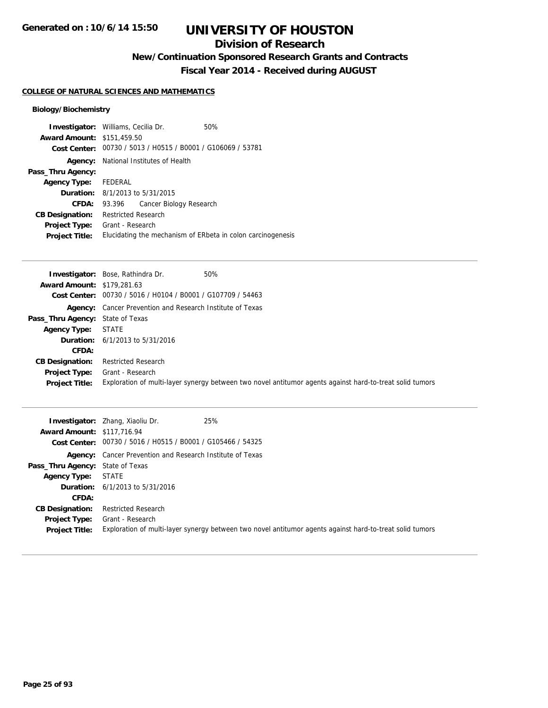## **Division of Research**

**New/Continuation Sponsored Research Grants and Contracts**

**Fiscal Year 2014 - Received during AUGUST**

#### **COLLEGE OF NATURAL SCIENCES AND MATHEMATICS**

|                                   | <b>Investigator:</b> Williams, Cecilia Dr.                  | 50%                                                         |
|-----------------------------------|-------------------------------------------------------------|-------------------------------------------------------------|
| <b>Award Amount: \$151,459.50</b> |                                                             |                                                             |
|                                   | Cost Center: 00730 / 5013 / H0515 / B0001 / G106069 / 53781 |                                                             |
|                                   | <b>Agency:</b> National Institutes of Health                |                                                             |
| Pass_Thru Agency:                 |                                                             |                                                             |
| Agency Type: FEDERAL              |                                                             |                                                             |
|                                   | <b>Duration:</b> 8/1/2013 to 5/31/2015                      |                                                             |
| <b>CFDA:</b>                      | Cancer Biology Research<br>93.396                           |                                                             |
| <b>CB Designation:</b>            | <b>Restricted Research</b>                                  |                                                             |
| <b>Project Type:</b>              | Grant - Research                                            |                                                             |
| <b>Project Title:</b>             |                                                             | Elucidating the mechanism of ERbeta in colon carcinogenesis |

|                                   | 50%<br><b>Investigator:</b> Bose, Rathindra Dr.                                                          |
|-----------------------------------|----------------------------------------------------------------------------------------------------------|
| <b>Award Amount: \$179,281.63</b> |                                                                                                          |
|                                   | Cost Center: 00730 / 5016 / H0104 / B0001 / G107709 / 54463                                              |
|                                   | <b>Agency:</b> Cancer Prevention and Research Institute of Texas                                         |
| Pass_Thru Agency: State of Texas  |                                                                                                          |
| <b>Agency Type: STATE</b>         |                                                                                                          |
|                                   | <b>Duration:</b> $6/1/2013$ to $5/31/2016$                                                               |
| CFDA:                             |                                                                                                          |
| <b>CB Designation:</b>            | <b>Restricted Research</b>                                                                               |
| <b>Project Type:</b>              | Grant - Research                                                                                         |
| <b>Project Title:</b>             | Exploration of multi-layer synergy between two novel antitumor agents against hard-to-treat solid tumors |

| <b>Award Amount: \$117,716.94</b>       | 25%<br><b>Investigator:</b> Zhang, Xiaoliu Dr.<br>Cost Center: 00730 / 5016 / H0515 / B0001 / G105466 / 54325 |
|-----------------------------------------|---------------------------------------------------------------------------------------------------------------|
|                                         | <b>Agency:</b> Cancer Prevention and Research Institute of Texas                                              |
| <b>Pass_Thru Agency:</b> State of Texas |                                                                                                               |
| <b>Agency Type: STATE</b>               |                                                                                                               |
|                                         | <b>Duration:</b> $6/1/2013$ to $5/31/2016$                                                                    |
| <b>CFDA:</b>                            |                                                                                                               |
| <b>CB Designation:</b>                  | <b>Restricted Research</b>                                                                                    |
| <b>Project Type:</b>                    | Grant - Research                                                                                              |
| <b>Project Title:</b>                   | Exploration of multi-layer synergy between two novel antitumor agents against hard-to-treat solid tumors      |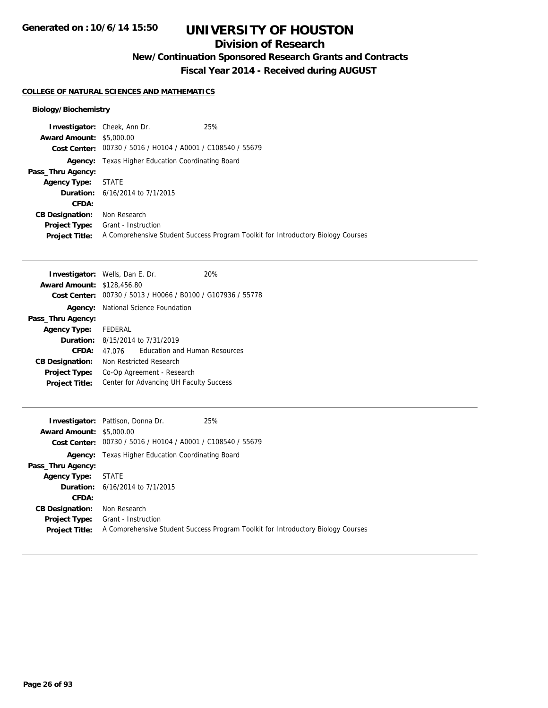### **Division of Research**

**New/Continuation Sponsored Research Grants and Contracts**

**Fiscal Year 2014 - Received during AUGUST**

#### **COLLEGE OF NATURAL SCIENCES AND MATHEMATICS**

|                                 | 25%<br><b>Investigator:</b> Cheek, Ann Dr.                  |                                                                                  |
|---------------------------------|-------------------------------------------------------------|----------------------------------------------------------------------------------|
| <b>Award Amount: \$5,000.00</b> |                                                             |                                                                                  |
|                                 | Cost Center: 00730 / 5016 / H0104 / A0001 / C108540 / 55679 |                                                                                  |
|                                 | <b>Agency:</b> Texas Higher Education Coordinating Board    |                                                                                  |
| Pass_Thru Agency:               |                                                             |                                                                                  |
| <b>Agency Type:</b>             | STATE                                                       |                                                                                  |
|                                 | <b>Duration:</b> 6/16/2014 to 7/1/2015                      |                                                                                  |
| <b>CFDA:</b>                    |                                                             |                                                                                  |
| <b>CB Designation:</b>          | Non Research                                                |                                                                                  |
| <b>Project Type:</b>            | Grant - Instruction                                         |                                                                                  |
| <b>Project Title:</b>           |                                                             | A Comprehensive Student Success Program Toolkit for Introductory Biology Courses |

| <b>Investigator:</b> Wells, Dan E. Dr. |                                         |                                                | 20% |
|----------------------------------------|-----------------------------------------|------------------------------------------------|-----|
| <b>Award Amount: \$128,456.80</b>      |                                         |                                                |     |
| Cost Center:                           |                                         | 00730 / 5013 / H0066 / B0100 / G107936 / 55778 |     |
| Agency:                                | National Science Foundation             |                                                |     |
| Pass_Thru Agency:                      |                                         |                                                |     |
| <b>Agency Type:</b>                    | FEDERAL                                 |                                                |     |
|                                        |                                         | <b>Duration:</b> 8/15/2014 to 7/31/2019        |     |
| CFDA:                                  | 47 076                                  | <b>Education and Human Resources</b>           |     |
| <b>CB Designation:</b>                 |                                         | Non Restricted Research                        |     |
| <b>Project Type:</b>                   |                                         | Co-Op Agreement - Research                     |     |
| <b>Project Title:</b>                  | Center for Advancing UH Faculty Success |                                                |     |

|                                 | <b>Investigator:</b> Pattison, Donna Dr.                    | 25%                                                                              |
|---------------------------------|-------------------------------------------------------------|----------------------------------------------------------------------------------|
| <b>Award Amount: \$5,000.00</b> |                                                             |                                                                                  |
|                                 | Cost Center: 00730 / 5016 / H0104 / A0001 / C108540 / 55679 |                                                                                  |
|                                 | <b>Agency:</b> Texas Higher Education Coordinating Board    |                                                                                  |
| Pass_Thru Agency:               |                                                             |                                                                                  |
| <b>Agency Type:</b>             | STATE                                                       |                                                                                  |
|                                 | <b>Duration:</b> 6/16/2014 to 7/1/2015                      |                                                                                  |
| CFDA:                           |                                                             |                                                                                  |
| <b>CB Designation:</b>          | Non Research                                                |                                                                                  |
|                                 | <b>Project Type:</b> Grant - Instruction                    |                                                                                  |
| <b>Project Title:</b>           |                                                             | A Comprehensive Student Success Program Toolkit for Introductory Biology Courses |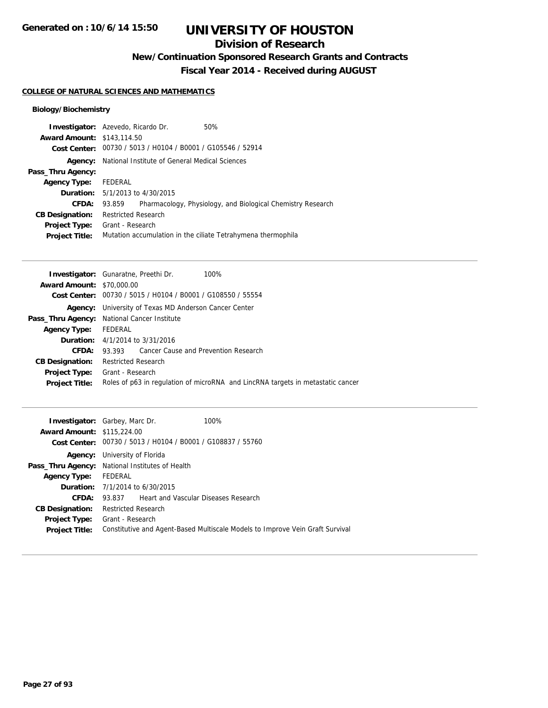### **Division of Research**

**New/Continuation Sponsored Research Grants and Contracts**

**Fiscal Year 2014 - Received during AUGUST**

#### **COLLEGE OF NATURAL SCIENCES AND MATHEMATICS**

|                                   | <b>Investigator:</b> Azevedo, Ricardo Dr.                    | 50%                                                         |
|-----------------------------------|--------------------------------------------------------------|-------------------------------------------------------------|
| <b>Award Amount: \$143,114.50</b> |                                                              |                                                             |
|                                   | Cost Center: 00730 / 5013 / H0104 / B0001 / G105546 / 52914  |                                                             |
| Agency:                           | National Institute of General Medical Sciences               |                                                             |
| Pass_Thru Agency:                 |                                                              |                                                             |
| <b>Agency Type:</b>               | FEDERAL                                                      |                                                             |
|                                   | <b>Duration:</b> 5/1/2013 to 4/30/2015                       |                                                             |
| CFDA:                             | 93.859                                                       | Pharmacology, Physiology, and Biological Chemistry Research |
| <b>CB Designation:</b>            | <b>Restricted Research</b>                                   |                                                             |
| <b>Project Type:</b>              | Grant - Research                                             |                                                             |
| <b>Project Title:</b>             | Mutation accumulation in the ciliate Tetrahymena thermophila |                                                             |

|                                  | <b>Investigator:</b> Gunaratne, Preethi Dr.<br>100%                             |
|----------------------------------|---------------------------------------------------------------------------------|
| <b>Award Amount: \$70,000.00</b> |                                                                                 |
|                                  | Cost Center: 00730 / 5015 / H0104 / B0001 / G108550 / 55554                     |
|                                  | <b>Agency:</b> University of Texas MD Anderson Cancer Center                    |
|                                  | <b>Pass_Thru Agency:</b> National Cancer Institute                              |
| <b>Agency Type:</b>              | FEDERAL                                                                         |
|                                  | <b>Duration:</b> 4/1/2014 to 3/31/2016                                          |
| CFDA:                            | 93.393 Cancer Cause and Prevention Research                                     |
| <b>CB Designation:</b>           | <b>Restricted Research</b>                                                      |
| <b>Project Type:</b>             | Grant - Research                                                                |
| <b>Project Title:</b>            | Roles of p63 in regulation of microRNA and LincRNA targets in metastatic cancer |
|                                  |                                                                                 |

|                                   | <b>Investigator:</b> Garbey, Marc Dr.                       | 100%                                                                          |
|-----------------------------------|-------------------------------------------------------------|-------------------------------------------------------------------------------|
| <b>Award Amount: \$115,224.00</b> |                                                             |                                                                               |
|                                   | Cost Center: 00730 / 5013 / H0104 / B0001 / G108837 / 55760 |                                                                               |
|                                   | <b>Agency:</b> University of Florida                        |                                                                               |
|                                   | Pass_Thru Agency: National Institutes of Health             |                                                                               |
| <b>Agency Type:</b>               | FEDERAL                                                     |                                                                               |
|                                   | <b>Duration:</b> $7/1/2014$ to $6/30/2015$                  |                                                                               |
| CFDA:                             | 93.837 Heart and Vascular Diseases Research                 |                                                                               |
| <b>CB Designation:</b>            | <b>Restricted Research</b>                                  |                                                                               |
|                                   | <b>Project Type:</b> Grant - Research                       |                                                                               |
| <b>Project Title:</b>             |                                                             | Constitutive and Agent-Based Multiscale Models to Improve Vein Graft Survival |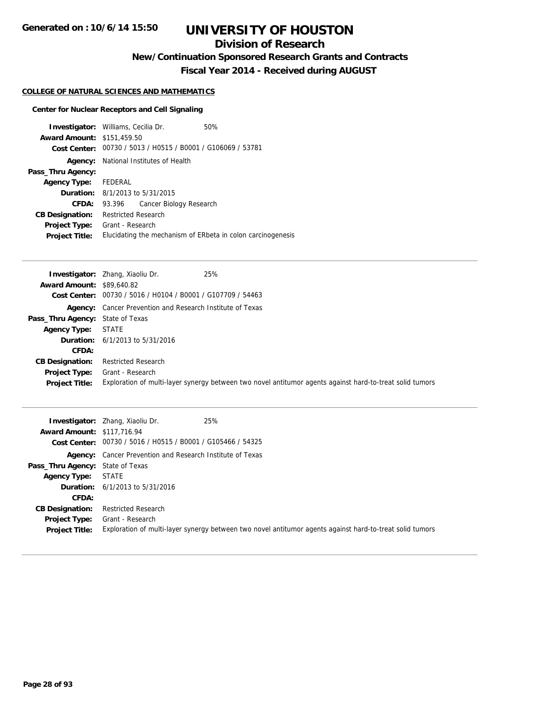## **Division of Research**

**New/Continuation Sponsored Research Grants and Contracts**

**Fiscal Year 2014 - Received during AUGUST**

#### **COLLEGE OF NATURAL SCIENCES AND MATHEMATICS**

#### **Center for Nuclear Receptors and Cell Signaling**

|                                   | <b>Investigator:</b> Williams, Cecilia Dr.   | 50%                                                         |
|-----------------------------------|----------------------------------------------|-------------------------------------------------------------|
| <b>Award Amount: \$151,459.50</b> |                                              |                                                             |
|                                   |                                              | Cost Center: 00730 / 5013 / H0515 / B0001 / G106069 / 53781 |
|                                   | <b>Agency:</b> National Institutes of Health |                                                             |
| Pass_Thru Agency:                 |                                              |                                                             |
| Agency Type: FEDERAL              |                                              |                                                             |
|                                   | <b>Duration:</b> 8/1/2013 to 5/31/2015       |                                                             |
| <b>CFDA:</b>                      | 93.396 Cancer Biology Research               |                                                             |
| <b>CB Designation:</b>            | <b>Restricted Research</b>                   |                                                             |
| <b>Project Type:</b>              | Grant - Research                             |                                                             |
| <b>Project Title:</b>             |                                              | Elucidating the mechanism of ERbeta in colon carcinogenesis |

|                                  | 25%<br><b>Investigator:</b> Zhang, Xiaoliu Dr.                                                           |
|----------------------------------|----------------------------------------------------------------------------------------------------------|
| <b>Award Amount: \$89,640.82</b> |                                                                                                          |
|                                  | Cost Center: 00730 / 5016 / H0104 / B0001 / G107709 / 54463                                              |
|                                  | <b>Agency:</b> Cancer Prevention and Research Institute of Texas                                         |
| Pass_Thru Agency: State of Texas |                                                                                                          |
| <b>Agency Type: STATE</b>        |                                                                                                          |
|                                  | <b>Duration:</b> $6/1/2013$ to $5/31/2016$                                                               |
| CFDA:                            |                                                                                                          |
| <b>CB Designation:</b>           | <b>Restricted Research</b>                                                                               |
| <b>Project Type:</b>             | Grant - Research                                                                                         |
| <b>Project Title:</b>            | Exploration of multi-layer synergy between two novel antitumor agents against hard-to-treat solid tumors |

| <b>Award Amount: \$117,716.94</b>             | 25%<br><b>Investigator:</b> Zhang, Xiaoliu Dr.<br>Cost Center: 00730 / 5016 / H0515 / B0001 / G105466 / 54325                |
|-----------------------------------------------|------------------------------------------------------------------------------------------------------------------------------|
|                                               | <b>Agency:</b> Cancer Prevention and Research Institute of Texas                                                             |
| <b>Pass_Thru Agency:</b> State of Texas       |                                                                                                                              |
| <b>Agency Type:</b>                           | STATE                                                                                                                        |
|                                               | <b>Duration:</b> $6/1/2013$ to $5/31/2016$                                                                                   |
| <b>CFDA:</b>                                  |                                                                                                                              |
| <b>CB Designation:</b>                        | <b>Restricted Research</b>                                                                                                   |
| <b>Project Type:</b><br><b>Project Title:</b> | Grant - Research<br>Exploration of multi-layer synergy between two novel antitumor agents against hard-to-treat solid tumors |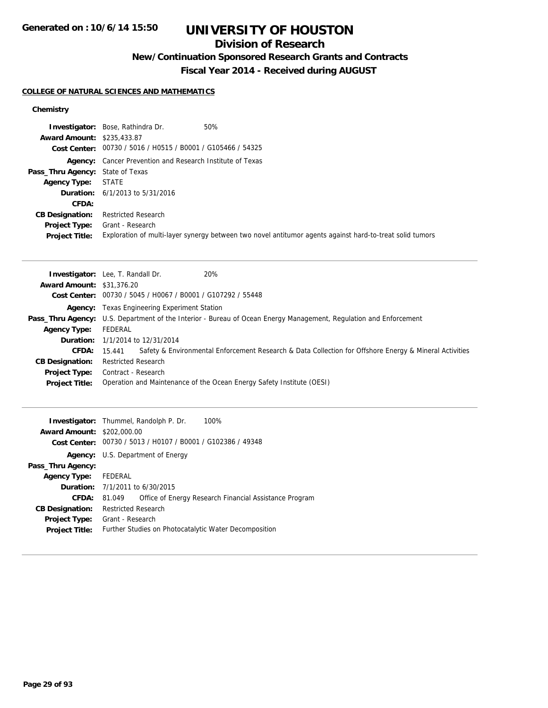## **Division of Research**

## **New/Continuation Sponsored Research Grants and Contracts**

**Fiscal Year 2014 - Received during AUGUST**

#### **COLLEGE OF NATURAL SCIENCES AND MATHEMATICS**

#### **Chemistry**

|                                         | 50%<br><b>Investigator:</b> Bose, Rathindra Dr.                                                          |
|-----------------------------------------|----------------------------------------------------------------------------------------------------------|
| <b>Award Amount: \$235,433.87</b>       |                                                                                                          |
|                                         | Cost Center: 00730 / 5016 / H0515 / B0001 / G105466 / 54325                                              |
|                                         | <b>Agency:</b> Cancer Prevention and Research Institute of Texas                                         |
| <b>Pass_Thru Agency:</b> State of Texas |                                                                                                          |
| <b>Agency Type:</b>                     | STATE                                                                                                    |
|                                         | <b>Duration:</b> $6/1/2013$ to $5/31/2016$                                                               |
| CFDA:                                   |                                                                                                          |
| <b>CB Designation:</b>                  | <b>Restricted Research</b>                                                                               |
| <b>Project Type:</b>                    | Grant - Research                                                                                         |
| <b>Project Title:</b>                   | Exploration of multi-layer synergy between two novel antitumor agents against hard-to-treat solid tumors |

|                                  | 20%<br><b>Investigator:</b> Lee, T. Randall Dr.                                                                   |
|----------------------------------|-------------------------------------------------------------------------------------------------------------------|
| <b>Award Amount: \$31,376.20</b> |                                                                                                                   |
|                                  | Cost Center: 00730 / 5045 / H0067 / B0001 / G107292 / 55448                                                       |
|                                  | <b>Agency:</b> Texas Engineering Experiment Station                                                               |
|                                  | Pass_Thru Agency: U.S. Department of the Interior - Bureau of Ocean Energy Management, Regulation and Enforcement |
| <b>Agency Type:</b>              | FEDERAL                                                                                                           |
|                                  | <b>Duration:</b> 1/1/2014 to 12/31/2014                                                                           |
| CFDA:                            | Safety & Environmental Enforcement Research & Data Collection for Offshore Energy & Mineral Activities<br>15.441  |
| <b>CB Designation:</b>           | <b>Restricted Research</b>                                                                                        |
| <b>Project Type:</b>             | Contract - Research                                                                                               |
| <b>Project Title:</b>            | Operation and Maintenance of the Ocean Energy Safety Institute (OESI)                                             |

|                                   | 100%<br><b>Investigator:</b> Thummel, Randolph P. Dr.            |
|-----------------------------------|------------------------------------------------------------------|
| <b>Award Amount: \$202,000.00</b> |                                                                  |
|                                   | Cost Center: 00730 / 5013 / H0107 / B0001 / G102386 / 49348      |
|                                   | Agency: U.S. Department of Energy                                |
| Pass_Thru Agency:                 |                                                                  |
| Agency Type: FEDERAL              |                                                                  |
|                                   | <b>Duration:</b> 7/1/2011 to 6/30/2015                           |
| <b>CFDA:</b>                      | Office of Energy Research Financial Assistance Program<br>81.049 |
| <b>CB Designation:</b>            | <b>Restricted Research</b>                                       |
| <b>Project Type:</b>              | Grant - Research                                                 |
| <b>Project Title:</b>             | Further Studies on Photocatalytic Water Decomposition            |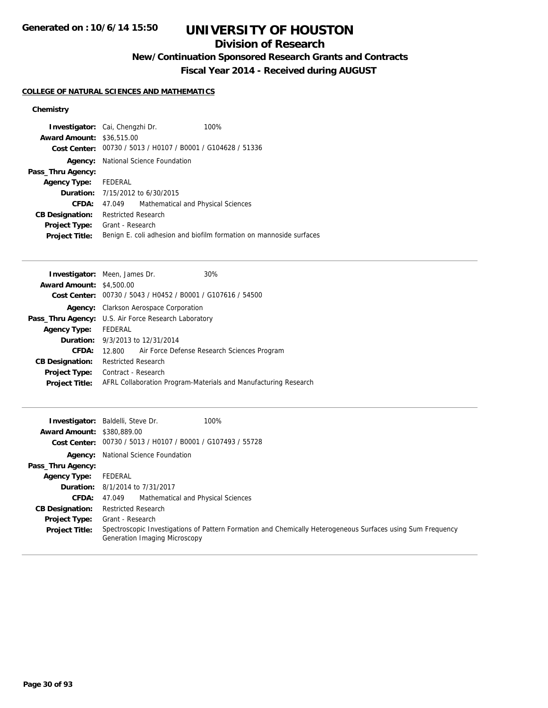## **Division of Research**

**New/Continuation Sponsored Research Grants and Contracts**

**Fiscal Year 2014 - Received during AUGUST**

#### **COLLEGE OF NATURAL SCIENCES AND MATHEMATICS**

#### **Chemistry**

| <b>Investigator:</b> Cai, Chengzhi Dr. |                     |                                                             | 100%                                                                |
|----------------------------------------|---------------------|-------------------------------------------------------------|---------------------------------------------------------------------|
| <b>Award Amount: \$36,515.00</b>       |                     |                                                             |                                                                     |
|                                        |                     | Cost Center: 00730 / 5013 / H0107 / B0001 / G104628 / 51336 |                                                                     |
| Agency:                                |                     | National Science Foundation                                 |                                                                     |
| Pass_Thru Agency:                      |                     |                                                             |                                                                     |
| Agency Type: FEDERAL                   |                     |                                                             |                                                                     |
|                                        |                     | <b>Duration:</b> 7/15/2012 to 6/30/2015                     |                                                                     |
| CFDA:                                  | 47.049              | Mathematical and Physical Sciences                          |                                                                     |
| <b>CB Designation:</b>                 | Restricted Research |                                                             |                                                                     |
| <b>Project Type:</b>                   | Grant - Research    |                                                             |                                                                     |
| <b>Project Title:</b>                  |                     |                                                             | Benign E. coli adhesion and biofilm formation on mannoside surfaces |

| <b>Investigator:</b> Meen, James Dr. | 30%                                                                                                                                                     |
|--------------------------------------|---------------------------------------------------------------------------------------------------------------------------------------------------------|
| <b>Award Amount: \$4,500.00</b>      |                                                                                                                                                         |
|                                      | Cost Center: 00730 / 5043 / H0452 / B0001 / G107616 / 54500                                                                                             |
|                                      |                                                                                                                                                         |
|                                      |                                                                                                                                                         |
| Agency Type: FEDERAL                 |                                                                                                                                                         |
|                                      |                                                                                                                                                         |
|                                      | 12.800 Air Force Defense Research Sciences Program                                                                                                      |
| <b>Restricted Research</b>           |                                                                                                                                                         |
| Contract - Research                  |                                                                                                                                                         |
|                                      | AFRL Collaboration Program-Materials and Manufacturing Research                                                                                         |
|                                      | <b>Agency:</b> Clarkson Aerospace Corporation<br><b>Pass_Thru Agency:</b> U.S. Air Force Research Laboratory<br><b>Duration:</b> 9/3/2013 to 12/31/2014 |

| <b>Award Amount: \$380,889,00</b> | <b>Investigator:</b> Baldelli, Steve Dr.<br>100%<br>Cost Center: 00730 / 5013 / H0107 / B0001 / G107493 / 55728                              |
|-----------------------------------|----------------------------------------------------------------------------------------------------------------------------------------------|
|                                   | <b>Agency:</b> National Science Foundation                                                                                                   |
| Pass_Thru Agency:                 |                                                                                                                                              |
| <b>Agency Type:</b>               | FEDERAL                                                                                                                                      |
|                                   | <b>Duration:</b> 8/1/2014 to 7/31/2017                                                                                                       |
| <b>CFDA:</b>                      | Mathematical and Physical Sciences<br>47.049                                                                                                 |
| <b>CB Designation:</b>            | <b>Restricted Research</b>                                                                                                                   |
| <b>Project Type:</b>              | Grant - Research                                                                                                                             |
| <b>Project Title:</b>             | Spectroscopic Investigations of Pattern Formation and Chemically Heterogeneous Surfaces using Sum Frequency<br>Generation Imaging Microscopy |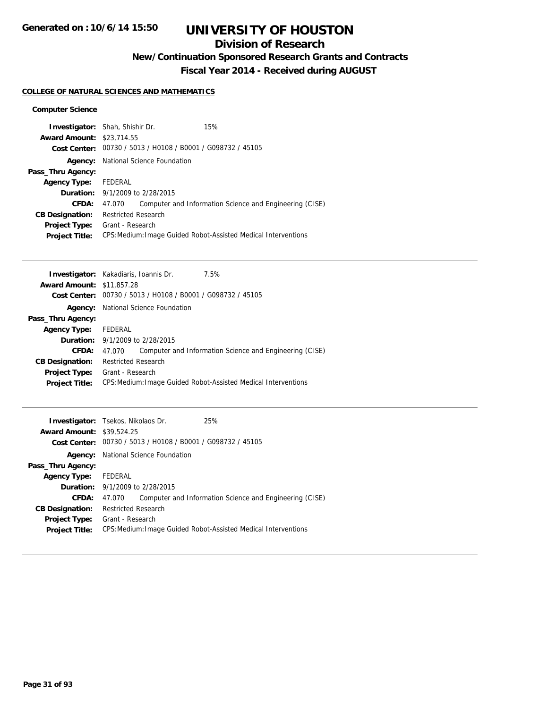### **Division of Research**

**New/Continuation Sponsored Research Grants and Contracts**

**Fiscal Year 2014 - Received during AUGUST**

#### **COLLEGE OF NATURAL SCIENCES AND MATHEMATICS**

#### **Computer Science**

|                                  | <b>Investigator:</b> Shah, Shishir Dr.                      | 15%                                                            |
|----------------------------------|-------------------------------------------------------------|----------------------------------------------------------------|
| <b>Award Amount: \$23,714.55</b> |                                                             |                                                                |
|                                  | Cost Center: 00730 / 5013 / H0108 / B0001 / G098732 / 45105 |                                                                |
| Agency:                          | National Science Foundation                                 |                                                                |
| Pass_Thru Agency:                |                                                             |                                                                |
| Agency Type: FEDERAL             |                                                             |                                                                |
|                                  | <b>Duration:</b> 9/1/2009 to 2/28/2015                      |                                                                |
| CFDA:                            | 47.070                                                      | Computer and Information Science and Engineering (CISE)        |
| <b>CB Designation:</b>           | <b>Restricted Research</b>                                  |                                                                |
| <b>Project Type:</b>             | Grant - Research                                            |                                                                |
| <b>Project Title:</b>            |                                                             | CPS: Medium: Image Guided Robot-Assisted Medical Interventions |

|                                  | <b>Investigator:</b> Kakadiaris, Ioannis Dr.<br>7.5%              |
|----------------------------------|-------------------------------------------------------------------|
| <b>Award Amount: \$11,857.28</b> |                                                                   |
|                                  | Cost Center: 00730 / 5013 / H0108 / B0001 / G098732 / 45105       |
| Agency:                          | National Science Foundation                                       |
| Pass_Thru Agency:                |                                                                   |
| <b>Agency Type:</b>              | FEDERAL                                                           |
|                                  | <b>Duration:</b> 9/1/2009 to 2/28/2015                            |
| CFDA:                            | Computer and Information Science and Engineering (CISE)<br>47.070 |
| <b>CB Designation:</b>           | Restricted Research                                               |
| <b>Project Type:</b>             | Grant - Research                                                  |
| <b>Project Title:</b>            | CPS: Medium: Image Guided Robot-Assisted Medical Interventions    |
|                                  |                                                                   |

| <b>Investigator:</b> Tsekos, Nikolaos Dr.<br><b>Award Amount: \$39,524.25</b> |                                                                |                                                             | 25%                                                     |
|-------------------------------------------------------------------------------|----------------------------------------------------------------|-------------------------------------------------------------|---------------------------------------------------------|
|                                                                               |                                                                | Cost Center: 00730 / 5013 / H0108 / B0001 / G098732 / 45105 |                                                         |
|                                                                               | <b>Agency:</b> National Science Foundation                     |                                                             |                                                         |
| Pass_Thru Agency:                                                             |                                                                |                                                             |                                                         |
| <b>Agency Type:</b>                                                           | FEDERAL                                                        |                                                             |                                                         |
|                                                                               | <b>Duration:</b> 9/1/2009 to 2/28/2015                         |                                                             |                                                         |
| CFDA:                                                                         | 47.070                                                         |                                                             | Computer and Information Science and Engineering (CISE) |
| <b>CB Designation:</b>                                                        | <b>Restricted Research</b>                                     |                                                             |                                                         |
| <b>Project Type:</b>                                                          | Grant - Research                                               |                                                             |                                                         |
| <b>Project Title:</b>                                                         | CPS: Medium: Image Guided Robot-Assisted Medical Interventions |                                                             |                                                         |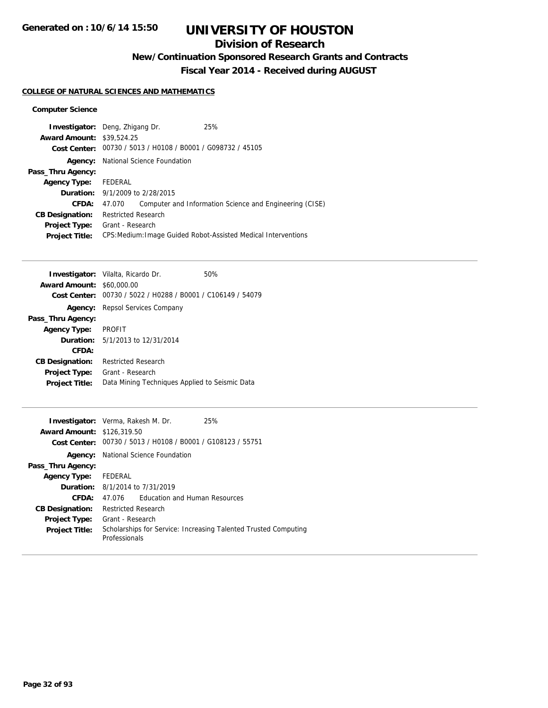### **Division of Research**

**New/Continuation Sponsored Research Grants and Contracts**

**Fiscal Year 2014 - Received during AUGUST**

#### **COLLEGE OF NATURAL SCIENCES AND MATHEMATICS**

#### **Computer Science**

|                                  | <b>Investigator:</b> Deng, Zhigang Dr.                      | 25%                                                            |  |
|----------------------------------|-------------------------------------------------------------|----------------------------------------------------------------|--|
| <b>Award Amount: \$39,524.25</b> |                                                             |                                                                |  |
|                                  | Cost Center: 00730 / 5013 / H0108 / B0001 / G098732 / 45105 |                                                                |  |
| Agency:                          | National Science Foundation                                 |                                                                |  |
| Pass_Thru Agency:                |                                                             |                                                                |  |
| <b>Agency Type:</b>              | FEDERAL                                                     |                                                                |  |
|                                  | <b>Duration:</b> 9/1/2009 to 2/28/2015                      |                                                                |  |
| CFDA:                            | 47.070                                                      | Computer and Information Science and Engineering (CISE)        |  |
| <b>CB Designation:</b>           | <b>Restricted Research</b>                                  |                                                                |  |
| <b>Project Type:</b>             | Grant - Research                                            |                                                                |  |
| <b>Project Title:</b>            |                                                             | CPS: Medium: Image Guided Robot-Assisted Medical Interventions |  |

|                                  | <b>Investigator:</b> Vilalta, Ricardo Dr.      | 50% |
|----------------------------------|------------------------------------------------|-----|
| <b>Award Amount: \$60,000.00</b> |                                                |     |
| Cost Center:                     | 00730 / 5022 / H0288 / B0001 / C106149 / 54079 |     |
| Agency:                          | Repsol Services Company                        |     |
| Pass_Thru Agency:                |                                                |     |
| <b>Agency Type:</b>              | <b>PROFIT</b>                                  |     |
|                                  | <b>Duration:</b> $5/1/2013$ to $12/31/2014$    |     |
| CFDA:                            |                                                |     |
| <b>CB Designation:</b>           | <b>Restricted Research</b>                     |     |
| <b>Project Type:</b>             | Grant - Research                               |     |
| <b>Project Title:</b>            | Data Mining Techniques Applied to Seismic Data |     |
|                                  |                                                |     |

| <b>Investigator:</b> Verma, Rakesh M. Dr. |                             |                                                             | 25%                                                             |
|-------------------------------------------|-----------------------------|-------------------------------------------------------------|-----------------------------------------------------------------|
| <b>Award Amount: \$126,319.50</b>         |                             |                                                             |                                                                 |
|                                           |                             | Cost Center: 00730 / 5013 / H0108 / B0001 / G108123 / 55751 |                                                                 |
| Agency:                                   | National Science Foundation |                                                             |                                                                 |
| Pass_Thru Agency:                         |                             |                                                             |                                                                 |
| <b>Agency Type:</b>                       | FEDERAL                     |                                                             |                                                                 |
|                                           |                             | <b>Duration:</b> 8/1/2014 to 7/31/2019                      |                                                                 |
| CFDA:                                     | 47 076                      | Education and Human Resources                               |                                                                 |
| <b>CB Designation:</b>                    | <b>Restricted Research</b>  |                                                             |                                                                 |
| <b>Project Type:</b>                      | Grant - Research            |                                                             |                                                                 |
| <b>Project Title:</b>                     | Professionals               |                                                             | Scholarships for Service: Increasing Talented Trusted Computing |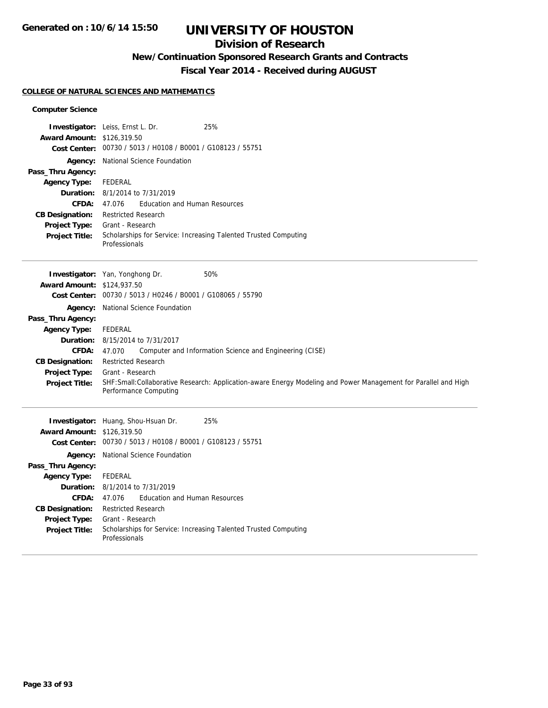### **Division of Research**

## **New/Continuation Sponsored Research Grants and Contracts**

**Fiscal Year 2014 - Received during AUGUST**

#### **COLLEGE OF NATURAL SCIENCES AND MATHEMATICS**

#### **Computer Science**

| Award Amount: \$126,319.50<br>Agency:<br>Pass_Thru Agency:<br><b>Agency Type:</b><br>Duration:<br>CFDA:<br><b>CB Designation:</b><br>Project Type:<br><b>Project Title:</b>                                  | 25%<br><b>Investigator:</b> Leiss, Ernst L. Dr.<br>Cost Center: 00730 / 5013 / H0108 / B0001 / G108123 / 55751<br>National Science Foundation<br><b>FEDERAL</b><br>8/1/2014 to 7/31/2019<br><b>Education and Human Resources</b><br>47.076<br><b>Restricted Research</b><br>Grant - Research<br>Scholarships for Service: Increasing Talented Trusted Computing<br>Professionals                                                       |
|--------------------------------------------------------------------------------------------------------------------------------------------------------------------------------------------------------------|----------------------------------------------------------------------------------------------------------------------------------------------------------------------------------------------------------------------------------------------------------------------------------------------------------------------------------------------------------------------------------------------------------------------------------------|
| <b>Award Amount: \$124,937.50</b><br><b>Cost Center:</b><br>Pass_Thru Agency:<br><b>Agency Type:</b><br>Duration:<br><b>CFDA:</b><br><b>CB Designation:</b><br><b>Project Type:</b><br><b>Project Title:</b> | 50%<br>Investigator: Yan, Yonghong Dr.<br>00730 / 5013 / H0246 / B0001 / G108065 / 55790<br>Agency: National Science Foundation<br>FEDERAL<br>8/15/2014 to 7/31/2017<br>47.070<br>Computer and Information Science and Engineering (CISE)<br><b>Restricted Research</b><br>Grant - Research<br>SHF:Small:Collaborative Research: Application-aware Energy Modeling and Power Management for Parallel and High<br>Performance Computing |
| <b>Award Amount: \$126,319.50</b><br>Pass_Thru Agency:<br><b>Agency Type:</b><br><b>CFDA:</b><br><b>CB Designation:</b><br>Project Type:<br><b>Project Title:</b>                                            | 25%<br>Investigator: Huang, Shou-Hsuan Dr.<br>Cost Center: 00730 / 5013 / H0108 / B0001 / G108123 / 55751<br>Agency: National Science Foundation<br>FEDERAL<br><b>Duration:</b> 8/1/2014 to 7/31/2019<br><b>Education and Human Resources</b><br>47.076<br><b>Restricted Research</b><br>Grant - Research<br>Scholarships for Service: Increasing Talented Trusted Computing<br>Professionals                                          |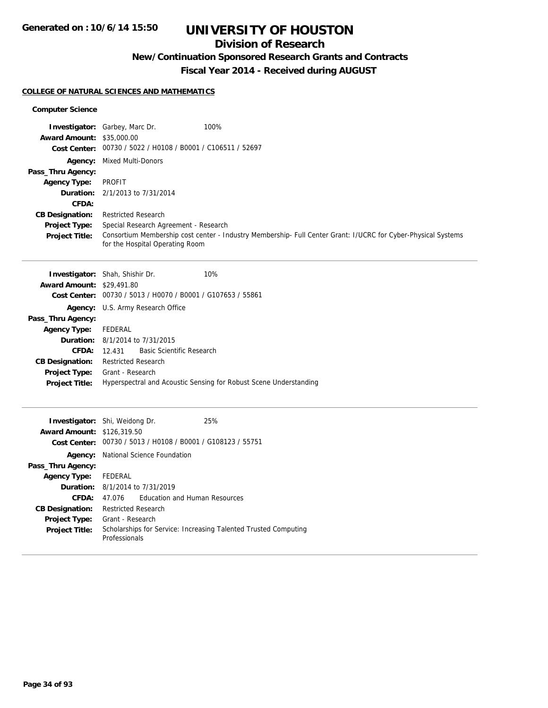## **Division of Research**

## **New/Continuation Sponsored Research Grants and Contracts**

**Fiscal Year 2014 - Received during AUGUST**

#### **COLLEGE OF NATURAL SCIENCES AND MATHEMATICS**

| <b>Award Amount: \$35,000.00</b><br>Pass_Thru Agency:<br><b>Agency Type:</b><br>CFDA:<br><b>CB Designation:</b><br><b>Project Type:</b><br><b>Project Title:</b>  | Investigator: Garbey, Marc Dr.<br>100%<br>Cost Center: 00730 / 5022 / H0108 / B0001 / C106511 / 52697<br><b>Agency:</b> Mixed Multi-Donors<br><b>PROFIT</b><br><b>Duration:</b> 2/1/2013 to 7/31/2014<br><b>Restricted Research</b><br>Special Research Agreement - Research<br>Consortium Membership cost center - Industry Membership- Full Center Grant: I/UCRC for Cyber-Physical Systems<br>for the Hospital Operating Room |
|-------------------------------------------------------------------------------------------------------------------------------------------------------------------|----------------------------------------------------------------------------------------------------------------------------------------------------------------------------------------------------------------------------------------------------------------------------------------------------------------------------------------------------------------------------------------------------------------------------------|
| <b>Award Amount: \$29,491.80</b><br>Pass_Thru Agency:<br><b>Agency Type:</b><br>CFDA:<br><b>CB Designation:</b><br>Project Type:<br><b>Project Title:</b>         | 10%<br><b>Investigator:</b> Shah, Shishir Dr.<br>Cost Center: 00730 / 5013 / H0070 / B0001 / G107653 / 55861<br>Agency: U.S. Army Research Office<br><b>FEDERAL</b><br><b>Duration:</b> 8/1/2014 to 7/31/2015<br><b>Basic Scientific Research</b><br>12.431<br><b>Restricted Research</b><br>Grant - Research<br>Hyperspectral and Acoustic Sensing for Robust Scene Understanding                                               |
| <b>Award Amount: \$126,319.50</b><br>Pass_Thru Agency:<br><b>Agency Type:</b><br><b>CFDA:</b><br><b>CB Designation:</b><br>Project Type:<br><b>Project Title:</b> | 25%<br><b>Investigator:</b> Shi, Weidong Dr.<br>Cost Center: 00730 / 5013 / H0108 / B0001 / G108123 / 55751<br>Agency: National Science Foundation<br><b>FEDERAL</b><br><b>Duration:</b> 8/1/2014 to 7/31/2019<br><b>Education and Human Resources</b><br>47.076<br><b>Restricted Research</b><br>Grant - Research<br>Scholarships for Service: Increasing Talented Trusted Computing<br>Professionals                           |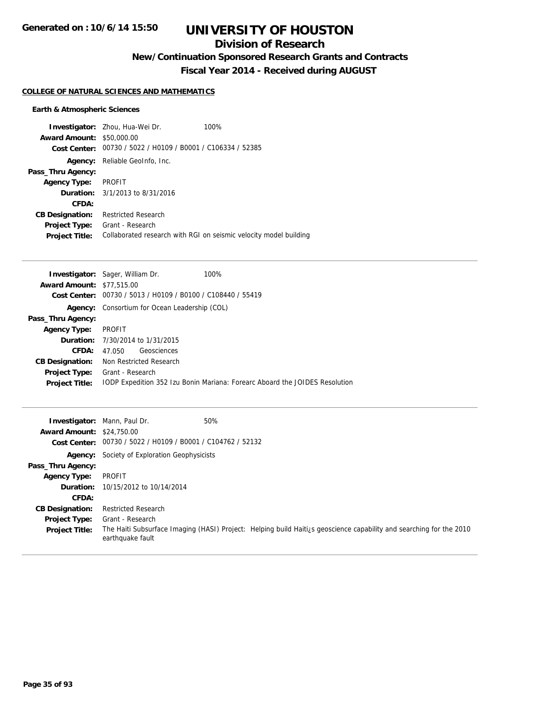## **Division of Research**

**New/Continuation Sponsored Research Grants and Contracts**

**Fiscal Year 2014 - Received during AUGUST**

#### **COLLEGE OF NATURAL SCIENCES AND MATHEMATICS**

#### **Earth & Atmospheric Sciences**

| <b>Award Amount: \$50,000.00</b><br>Cost Center: | <b>Investigator:</b> Zhou, Hua-Wei Dr.<br>00730 / 5022 / H0109 / B0001 / C106334 / 52385 | 100%                                                              |
|--------------------------------------------------|------------------------------------------------------------------------------------------|-------------------------------------------------------------------|
| Agency:                                          | Reliable GeoInfo, Inc.                                                                   |                                                                   |
| Pass_Thru Agency:                                |                                                                                          |                                                                   |
| <b>Agency Type:</b>                              | PROFIT                                                                                   |                                                                   |
|                                                  | <b>Duration:</b> 3/1/2013 to 8/31/2016                                                   |                                                                   |
| CFDA:                                            |                                                                                          |                                                                   |
| <b>CB Designation:</b>                           | <b>Restricted Research</b>                                                               |                                                                   |
| <b>Project Type:</b>                             | Grant - Research                                                                         |                                                                   |
| <b>Project Title:</b>                            |                                                                                          | Collaborated research with RGI on seismic velocity model building |

|                                  | <b>Investigator:</b> Sager, William Dr.<br>100%                             |
|----------------------------------|-----------------------------------------------------------------------------|
| <b>Award Amount: \$77,515.00</b> |                                                                             |
| Cost Center:                     | 00730 / 5013 / H0109 / B0100 / C108440 / 55419                              |
|                                  | <b>Agency:</b> Consortium for Ocean Leadership (COL)                        |
| Pass_Thru Agency:                |                                                                             |
| <b>Agency Type:</b>              | <b>PROFIT</b>                                                               |
|                                  | <b>Duration:</b> 7/30/2014 to 1/31/2015                                     |
| CFDA:                            | Geosciences<br>47.050                                                       |
| <b>CB Designation:</b>           | Non Restricted Research                                                     |
|                                  | <b>Project Type:</b> Grant - Research                                       |
| <b>Project Title:</b>            | TODP Expedition 352 Izu Bonin Mariana: Forearc Aboard the JOIDES Resolution |
|                                  |                                                                             |

| <b>Award Amount: \$24,750.00</b> | 50%<br><b>Investigator:</b> Mann, Paul Dr.                                                                                              |
|----------------------------------|-----------------------------------------------------------------------------------------------------------------------------------------|
|                                  | Cost Center: 00730 / 5022 / H0109 / B0001 / C104762 / 52132                                                                             |
|                                  | <b>Agency:</b> Society of Exploration Geophysicists                                                                                     |
| Pass_Thru Agency:                |                                                                                                                                         |
| <b>Agency Type:</b>              | PROFIT                                                                                                                                  |
|                                  | <b>Duration:</b> 10/15/2012 to 10/14/2014                                                                                               |
| CFDA:                            |                                                                                                                                         |
| <b>CB Designation:</b>           | <b>Restricted Research</b>                                                                                                              |
| <b>Project Type:</b>             | Grant - Research                                                                                                                        |
| <b>Project Title:</b>            | The Haiti Subsurface Imaging (HASI) Project: Helping build Haitizs geoscience capability and searching for the 2010<br>earthquake fault |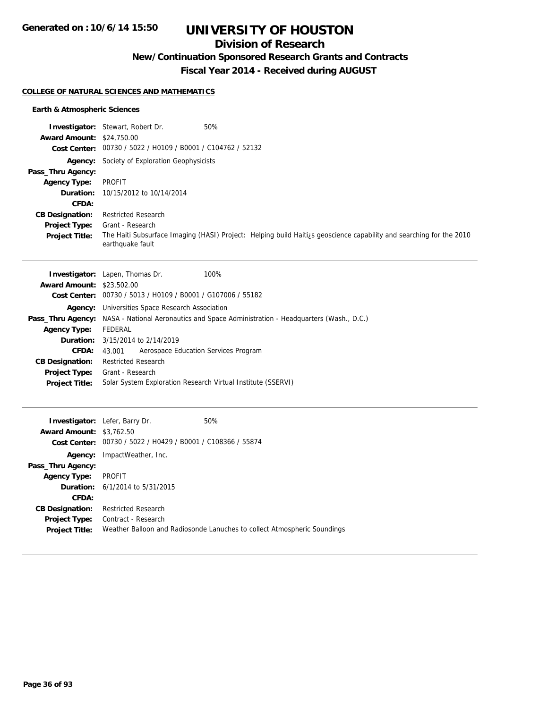## **Division of Research**

### **New/Continuation Sponsored Research Grants and Contracts**

**Fiscal Year 2014 - Received during AUGUST**

#### **COLLEGE OF NATURAL SCIENCES AND MATHEMATICS**

#### **Earth & Atmospheric Sciences**

|                                  | 50%<br><b>Investigator:</b> Stewart, Robert Dr.                                                                                         |
|----------------------------------|-----------------------------------------------------------------------------------------------------------------------------------------|
| <b>Award Amount: \$24,750.00</b> |                                                                                                                                         |
|                                  | Cost Center: 00730 / 5022 / H0109 / B0001 / C104762 / 52132                                                                             |
|                                  | <b>Agency:</b> Society of Exploration Geophysicists                                                                                     |
| Pass_Thru Agency:                |                                                                                                                                         |
| <b>Agency Type:</b>              | PROFIT                                                                                                                                  |
|                                  | <b>Duration:</b> 10/15/2012 to 10/14/2014                                                                                               |
| CFDA:                            |                                                                                                                                         |
| <b>CB Designation:</b>           | <b>Restricted Research</b>                                                                                                              |
| <b>Project Type:</b>             | Grant - Research                                                                                                                        |
| <b>Project Title:</b>            | The Haiti Subsurface Imaging (HASI) Project: Helping build Haitigs geoscience capability and searching for the 2010<br>earthquake fault |

|                                  | <b>Investigator:</b> Lapen, Thomas Dr.<br>100%                                                             |  |  |
|----------------------------------|------------------------------------------------------------------------------------------------------------|--|--|
| <b>Award Amount: \$23,502.00</b> |                                                                                                            |  |  |
|                                  | Cost Center: 00730 / 5013 / H0109 / B0001 / G107006 / 55182                                                |  |  |
|                                  | Agency: Universities Space Research Association                                                            |  |  |
|                                  | <b>Pass_Thru Agency:</b> NASA - National Aeronautics and Space Administration - Headquarters (Wash., D.C.) |  |  |
| <b>Agency Type:</b>              | FEDERAL                                                                                                    |  |  |
|                                  | <b>Duration:</b> 3/15/2014 to 2/14/2019                                                                    |  |  |
| <b>CFDA:</b>                     | Aerospace Education Services Program<br>43.001                                                             |  |  |
| <b>CB Designation:</b>           | <b>Restricted Research</b>                                                                                 |  |  |
| <b>Project Type:</b>             | Grant - Research                                                                                           |  |  |
| <b>Project Title:</b>            | Solar System Exploration Research Virtual Institute (SSERVI)                                               |  |  |

| <b>Award Amount: \$3,762.50</b> | <b>Investigator:</b> Lefer, Barry Dr.                       | 50%                                                                      |
|---------------------------------|-------------------------------------------------------------|--------------------------------------------------------------------------|
|                                 | Cost Center: 00730 / 5022 / H0429 / B0001 / C108366 / 55874 |                                                                          |
| Agency:                         | ImpactWeather, Inc.                                         |                                                                          |
| Pass_Thru Agency:               |                                                             |                                                                          |
| <b>Agency Type:</b>             | PROFIT                                                      |                                                                          |
|                                 | <b>Duration:</b> 6/1/2014 to 5/31/2015                      |                                                                          |
| CFDA:                           |                                                             |                                                                          |
| <b>CB Designation:</b>          | <b>Restricted Research</b>                                  |                                                                          |
| <b>Project Type:</b>            | Contract - Research                                         |                                                                          |
| <b>Project Title:</b>           |                                                             | Weather Balloon and Radiosonde Lanuches to collect Atmospheric Soundings |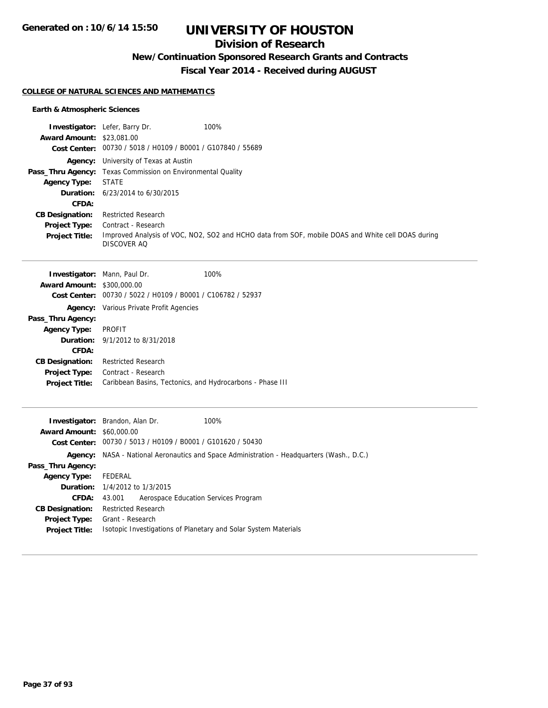## **Division of Research**

**New/Continuation Sponsored Research Grants and Contracts**

**Fiscal Year 2014 - Received during AUGUST**

### **COLLEGE OF NATURAL SCIENCES AND MATHEMATICS**

### **Earth & Atmospheric Sciences**

|                                   | Investigator: Lefer, Barry Dr.                                  | 100%                                                                                              |
|-----------------------------------|-----------------------------------------------------------------|---------------------------------------------------------------------------------------------------|
| <b>Award Amount: \$23,081.00</b>  |                                                                 |                                                                                                   |
|                                   | Cost Center: 00730 / 5018 / H0109 / B0001 / G107840 / 55689     |                                                                                                   |
|                                   | Agency: University of Texas at Austin                           |                                                                                                   |
|                                   | Pass_Thru Agency: Texas Commission on Environmental Quality     |                                                                                                   |
| <b>Agency Type:</b>               | <b>STATE</b>                                                    |                                                                                                   |
| Duration:<br>CFDA:                | 6/23/2014 to 6/30/2015                                          |                                                                                                   |
| <b>CB Designation:</b>            | <b>Restricted Research</b>                                      |                                                                                                   |
| <b>Project Type:</b>              | Contract - Research                                             |                                                                                                   |
| <b>Project Title:</b>             |                                                                 | Improved Analysis of VOC, NO2, SO2 and HCHO data from SOF, mobile DOAS and White cell DOAS during |
|                                   | DISCOVER AO                                                     |                                                                                                   |
|                                   |                                                                 |                                                                                                   |
|                                   | Investigator: Mann, Paul Dr.                                    | 100%                                                                                              |
| <b>Award Amount: \$300,000.00</b> |                                                                 |                                                                                                   |
|                                   | Cost Center: 00730 / 5022 / H0109 / B0001 / C106782 / 52937     |                                                                                                   |
|                                   | <b>Agency:</b> Various Private Profit Agencies                  |                                                                                                   |
| Pass_Thru Agency:                 |                                                                 |                                                                                                   |
| <b>Agency Type:</b>               | <b>PROFIT</b>                                                   |                                                                                                   |
| Duration:                         | 9/1/2012 to 8/31/2018                                           |                                                                                                   |
| <b>CFDA:</b>                      |                                                                 |                                                                                                   |
| <b>CB Designation:</b>            | <b>Restricted Research</b>                                      |                                                                                                   |
| <b>Project Type:</b>              | Contract - Research                                             |                                                                                                   |
| <b>Project Title:</b>             | Caribbean Basins, Tectonics, and Hydrocarbons - Phase III       |                                                                                                   |
|                                   |                                                                 |                                                                                                   |
|                                   | <b>Investigator:</b> Brandon, Alan Dr.                          | 100%                                                                                              |
| <b>Award Amount: \$60,000.00</b>  |                                                                 |                                                                                                   |
|                                   | Cost Center: 00730 / 5013 / H0109 / B0001 / G101620 / 50430     |                                                                                                   |
|                                   |                                                                 | Agency: NASA - National Aeronautics and Space Administration - Headquarters (Wash., D.C.)         |
| Pass_Thru Agency:                 |                                                                 |                                                                                                   |
| <b>Agency Type:</b>               | <b>FEDERAL</b>                                                  |                                                                                                   |
| Duration:                         | 1/4/2012 to 1/3/2015                                            |                                                                                                   |
| CFDA:                             | 43.001<br>Aerospace Education Services Program                  |                                                                                                   |
| <b>CB Designation:</b>            | <b>Restricted Research</b>                                      |                                                                                                   |
| <b>Project Type:</b>              | Grant - Research                                                |                                                                                                   |
| <b>Project Title:</b>             | Isotopic Investigations of Planetary and Solar System Materials |                                                                                                   |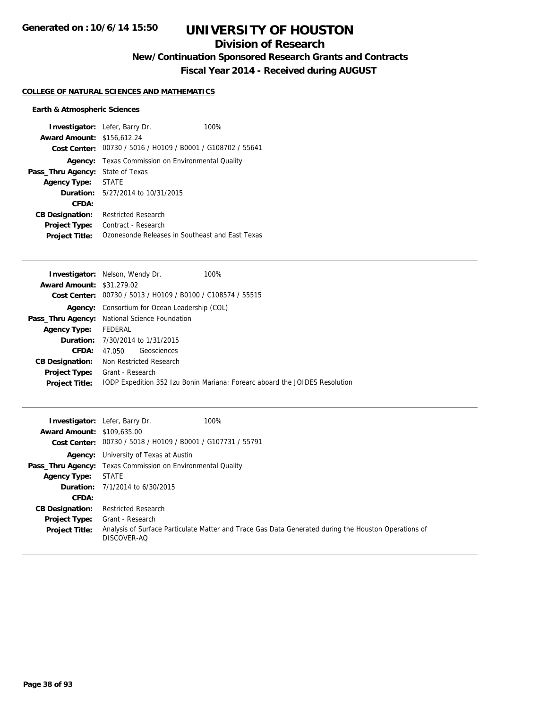## **Division of Research**

**New/Continuation Sponsored Research Grants and Contracts**

**Fiscal Year 2014 - Received during AUGUST**

### **COLLEGE OF NATURAL SCIENCES AND MATHEMATICS**

### **Earth & Atmospheric Sciences**

|                                   | <b>Investigator:</b> Lefer, Barry Dr.                       | 100% |
|-----------------------------------|-------------------------------------------------------------|------|
| <b>Award Amount: \$156,612.24</b> |                                                             |      |
|                                   | Cost Center: 00730 / 5016 / H0109 / B0001 / G108702 / 55641 |      |
| Agency:                           | Texas Commission on Environmental Quality                   |      |
| Pass_Thru Agency:                 | State of Texas                                              |      |
| <b>Agency Type:</b>               | <b>STATE</b>                                                |      |
|                                   | <b>Duration:</b> 5/27/2014 to 10/31/2015                    |      |
| CFDA:                             |                                                             |      |
| <b>CB Designation:</b>            | Restricted Research                                         |      |
| <b>Project Type:</b>              | Contract - Research                                         |      |
| <b>Project Title:</b>             | Ozonesonde Releases in Southeast and East Texas             |      |

| 100%<br><b>Investigator:</b> Nelson, Wendy Dr.                              |
|-----------------------------------------------------------------------------|
| <b>Award Amount: \$31,279.02</b>                                            |
| Cost Center: 00730 / 5013 / H0109 / B0100 / C108574 / 55515                 |
| <b>Agency:</b> Consortium for Ocean Leadership (COL)                        |
| <b>Pass_Thru Agency:</b> National Science Foundation                        |
| FEDERAL                                                                     |
| <b>Duration:</b> 7/30/2014 to 1/31/2015                                     |
| Geosciences<br>47.050                                                       |
| Non Restricted Research                                                     |
| <b>Project Type:</b><br>Grant - Research                                    |
| TODP Expedition 352 Izu Bonin Mariana: Forearc aboard the JOIDES Resolution |
|                                                                             |

| <b>Award Amount: \$109,635,00</b> | 100%<br><b>Investigator:</b> Lefer, Barry Dr.<br>Cost Center: 00730 / 5018 / H0109 / B0001 / G107731 / 55791        |
|-----------------------------------|---------------------------------------------------------------------------------------------------------------------|
|                                   | <b>Agency:</b> University of Texas at Austin                                                                        |
|                                   | <b>Pass_Thru Agency:</b> Texas Commission on Environmental Quality                                                  |
| <b>Agency Type:</b>               | <b>STATE</b>                                                                                                        |
|                                   | <b>Duration:</b> $7/1/2014$ to $6/30/2015$                                                                          |
| CFDA:                             |                                                                                                                     |
| <b>CB Designation:</b>            | <b>Restricted Research</b>                                                                                          |
| <b>Project Type:</b>              | Grant - Research                                                                                                    |
| <b>Project Title:</b>             | Analysis of Surface Particulate Matter and Trace Gas Data Generated during the Houston Operations of<br>DISCOVER-AO |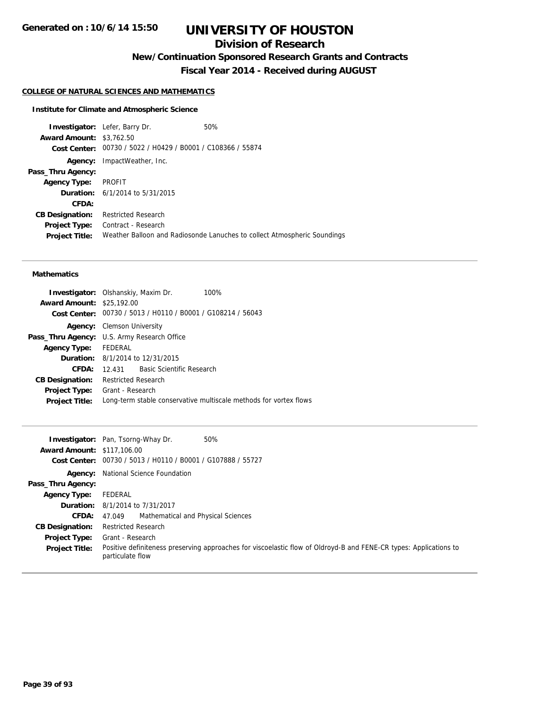## **Division of Research**

**New/Continuation Sponsored Research Grants and Contracts**

**Fiscal Year 2014 - Received during AUGUST**

### **COLLEGE OF NATURAL SCIENCES AND MATHEMATICS**

#### **Institute for Climate and Atmospheric Science**

**Investigator:** Lefer, Barry Dr. 60% **Award Amount:** \$3,762.50 **Cost Center:** 00730 / 5022 / H0429 / B0001 / C108366 / 55874 **Agency:** ImpactWeather, Inc. **Pass\_Thru Agency: Agency Type:** PROFIT **Duration:** 6/1/2014 to 5/31/2015 **CFDA: CB Designation:** Restricted Research **Project Type:** Contract - Research **Project Title:** Weather Balloon and Radiosonde Lanuches to collect Atmospheric Soundings

### **Mathematics**

|                                  | <b>Investigator:</b> Olshanskiy, Maxim Dr.                  | 100%                                                              |
|----------------------------------|-------------------------------------------------------------|-------------------------------------------------------------------|
|                                  |                                                             |                                                                   |
| <b>Award Amount: \$25,192.00</b> |                                                             |                                                                   |
|                                  | Cost Center: 00730 / 5013 / H0110 / B0001 / G108214 / 56043 |                                                                   |
| Agency:                          | Clemson University                                          |                                                                   |
|                                  | <b>Pass_Thru Agency:</b> U.S. Army Research Office          |                                                                   |
| <b>Agency Type:</b>              | FEDERAL                                                     |                                                                   |
|                                  | <b>Duration:</b> 8/1/2014 to 12/31/2015                     |                                                                   |
| CFDA:                            | 12.431 Basic Scientific Research                            |                                                                   |
| <b>CB Designation:</b>           | <b>Restricted Research</b>                                  |                                                                   |
| <b>Project Type:</b>             | Grant - Research                                            |                                                                   |
| <b>Project Title:</b>            |                                                             | Long-term stable conservative multiscale methods for vortex flows |
|                                  |                                                             |                                                                   |

|                                   | 50%<br><b>Investigator:</b> Pan, Tsorng-Whay Dr.                                                                                      |
|-----------------------------------|---------------------------------------------------------------------------------------------------------------------------------------|
| <b>Award Amount: \$117,106.00</b> |                                                                                                                                       |
| Cost Center:                      | 00730 / 5013 / H0110 / B0001 / G107888 / 55727                                                                                        |
|                                   | <b>Agency:</b> National Science Foundation                                                                                            |
| Pass_Thru Agency:                 |                                                                                                                                       |
| <b>Agency Type:</b>               | FEDERAL                                                                                                                               |
|                                   | <b>Duration:</b> 8/1/2014 to 7/31/2017                                                                                                |
| <b>CFDA:</b>                      | Mathematical and Physical Sciences<br>47.049                                                                                          |
| <b>CB Designation:</b>            | <b>Restricted Research</b>                                                                                                            |
| <b>Project Type:</b>              | Grant - Research                                                                                                                      |
| <b>Project Title:</b>             | Positive definiteness preserving approaches for viscoelastic flow of Oldroyd-B and FENE-CR types: Applications to<br>particulate flow |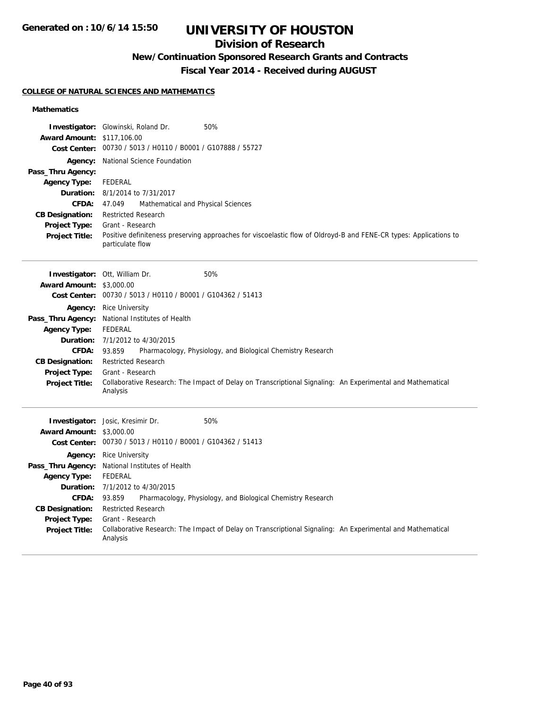## **Division of Research**

## **New/Continuation Sponsored Research Grants and Contracts**

**Fiscal Year 2014 - Received during AUGUST**

### **COLLEGE OF NATURAL SCIENCES AND MATHEMATICS**

### **Mathematics**

| <b>Award Amount: \$117,106.00</b> | 50%<br><b>Investigator:</b> Glowinski, Roland Dr.                                                                                     |
|-----------------------------------|---------------------------------------------------------------------------------------------------------------------------------------|
|                                   | Cost Center: 00730 / 5013 / H0110 / B0001 / G107888 / 55727                                                                           |
|                                   | Agency: National Science Foundation                                                                                                   |
| Pass_Thru Agency:                 |                                                                                                                                       |
| <b>Agency Type:</b>               | <b>FEDERAL</b>                                                                                                                        |
|                                   | <b>Duration:</b> 8/1/2014 to 7/31/2017                                                                                                |
| <b>CFDA:</b>                      | 47.049<br>Mathematical and Physical Sciences                                                                                          |
| <b>CB Designation:</b>            | <b>Restricted Research</b>                                                                                                            |
| <b>Project Type:</b>              | Grant - Research                                                                                                                      |
| <b>Project Title:</b>             | Positive definiteness preserving approaches for viscoelastic flow of Oldroyd-B and FENE-CR types: Applications to<br>particulate flow |
|                                   | 50%<br><b>Investigator: Ott, William Dr.</b>                                                                                          |
| <b>Award Amount: \$3,000.00</b>   |                                                                                                                                       |
|                                   | Cost Center: 00730 / 5013 / H0110 / B0001 / G104362 / 51413                                                                           |
|                                   | <b>Agency:</b> Rice University                                                                                                        |
|                                   | Pass_Thru Agency: National Institutes of Health                                                                                       |
| <b>Agency Type:</b>               | <b>FEDERAL</b>                                                                                                                        |
|                                   | <b>Duration:</b> 7/1/2012 to 4/30/2015                                                                                                |
| CFDA:                             | 93.859<br>Pharmacology, Physiology, and Biological Chemistry Research                                                                 |
| <b>CB Designation:</b>            | <b>Restricted Research</b>                                                                                                            |
| <b>Project Type:</b>              | Grant - Research                                                                                                                      |
| <b>Project Title:</b>             | Collaborative Research: The Impact of Delay on Transcriptional Signaling: An Experimental and Mathematical<br>Analysis                |
|                                   | Investigator: Josic, Kresimir Dr.<br>50%                                                                                              |
| <b>Award Amount: \$3,000.00</b>   |                                                                                                                                       |
|                                   | Cost Center: 00730 / 5013 / H0110 / B0001 / G104362 / 51413                                                                           |
|                                   | <b>Agency:</b> Rice University                                                                                                        |
|                                   | Pass_Thru Agency: National Institutes of Health                                                                                       |
| <b>Agency Type:</b>               | <b>FEDERAL</b>                                                                                                                        |
|                                   | <b>Duration:</b> 7/1/2012 to 4/30/2015                                                                                                |
| <b>CFDA:</b>                      | Pharmacology, Physiology, and Biological Chemistry Research<br>93.859                                                                 |
| <b>CB Designation:</b>            | <b>Restricted Research</b>                                                                                                            |
| Project Type:                     | Grant - Research                                                                                                                      |
| <b>Project Title:</b>             | Collaborative Research: The Impact of Delay on Transcriptional Signaling: An Experimental and Mathematical<br>Analysis                |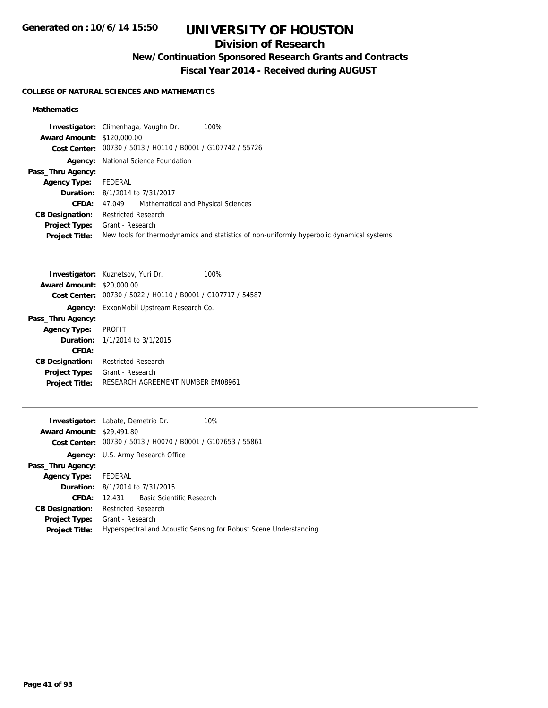## **Division of Research**

## **New/Continuation Sponsored Research Grants and Contracts**

**Fiscal Year 2014 - Received during AUGUST**

### **COLLEGE OF NATURAL SCIENCES AND MATHEMATICS**

### **Mathematics**

| 100%<br><b>Investigator:</b> Climenhaga, Vaughn Dr.                                       |
|-------------------------------------------------------------------------------------------|
| <b>Award Amount: \$120,000.00</b>                                                         |
| Cost Center: 00730 / 5013 / H0110 / B0001 / G107742 / 55726                               |
| National Science Foundation                                                               |
|                                                                                           |
| FEDERAL                                                                                   |
| <b>Duration:</b> 8/1/2014 to 7/31/2017                                                    |
| 47.049 Mathematical and Physical Sciences<br>CFDA:                                        |
| <b>Restricted Research</b>                                                                |
| <b>Project Type:</b> Grant - Research                                                     |
| New tools for thermodynamics and statistics of non-uniformly hyperbolic dynamical systems |
|                                                                                           |

| <b>Award Amount:</b>   | <b>Investigator:</b> Kuznetsov, Yuri Dr.<br>\$20,000.00 | 100% |
|------------------------|---------------------------------------------------------|------|
| Cost Center:           | 00730 / 5022 / H0110 / B0001 / C107717 / 54587          |      |
| Agency:                | ExxonMobil Upstream Research Co.                        |      |
| Pass_Thru Agency:      |                                                         |      |
| <b>Agency Type:</b>    | <b>PROFIT</b>                                           |      |
|                        | <b>Duration:</b> 1/1/2014 to 3/1/2015                   |      |
| CFDA:                  |                                                         |      |
| <b>CB Designation:</b> | Restricted Research                                     |      |
| <b>Project Type:</b>   | Grant - Research                                        |      |
| <b>Project Title:</b>  | RESEARCH AGREEMENT NUMBER EM08961                       |      |
|                        |                                                         |      |

| <b>Investigator:</b> Labate, Demetrio Dr.                   | 10%                                                               |
|-------------------------------------------------------------|-------------------------------------------------------------------|
| <b>Award Amount: \$29,491.80</b>                            |                                                                   |
| Cost Center: 00730 / 5013 / H0070 / B0001 / G107653 / 55861 |                                                                   |
| <b>Agency:</b> U.S. Army Research Office                    |                                                                   |
|                                                             |                                                                   |
| Agency Type: FEDERAL                                        |                                                                   |
| <b>Duration:</b> 8/1/2014 to 7/31/2015                      |                                                                   |
| 12.431 Basic Scientific Research                            |                                                                   |
| <b>Restricted Research</b>                                  |                                                                   |
| <b>Project Type:</b><br>Grant - Research                    |                                                                   |
|                                                             | Hyperspectral and Acoustic Sensing for Robust Scene Understanding |
|                                                             |                                                                   |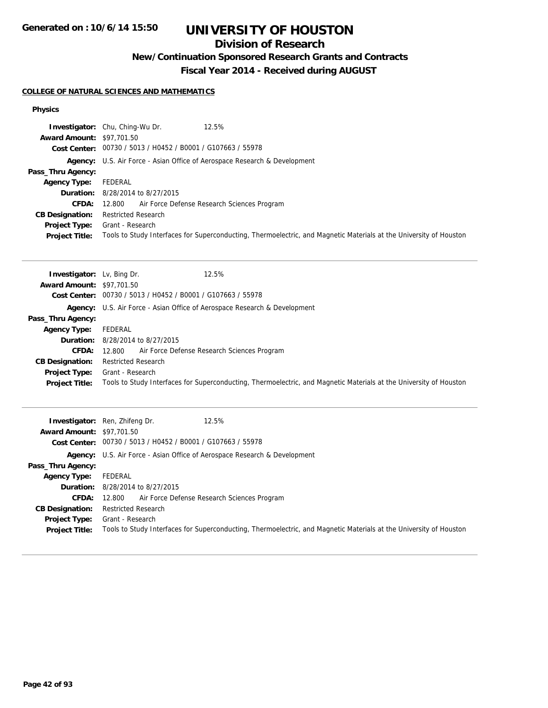## **Division of Research**

**New/Continuation Sponsored Research Grants and Contracts**

**Fiscal Year 2014 - Received during AUGUST**

### **COLLEGE OF NATURAL SCIENCES AND MATHEMATICS**

### **Physics**

|                                  | 12.5%<br><b>Investigator:</b> Chu, Ching-Wu Dr.                                                                    |
|----------------------------------|--------------------------------------------------------------------------------------------------------------------|
| <b>Award Amount: \$97,701.50</b> |                                                                                                                    |
|                                  | Cost Center: 00730 / 5013 / H0452 / B0001 / G107663 / 55978                                                        |
|                                  | <b>Agency:</b> U.S. Air Force - Asian Office of Aerospace Research & Development                                   |
| Pass_Thru Agency:                |                                                                                                                    |
| <b>Agency Type:</b>              | FEDERAL                                                                                                            |
|                                  | <b>Duration:</b> 8/28/2014 to 8/27/2015                                                                            |
| CFDA:                            | 12.800 Air Force Defense Research Sciences Program                                                                 |
| <b>CB Designation:</b>           | <b>Restricted Research</b>                                                                                         |
| <b>Project Type:</b>             | Grant - Research                                                                                                   |
| <b>Project Title:</b>            | Tools to Study Interfaces for Superconducting, Thermoelectric, and Magnetic Materials at the University of Houston |

| <b>Investigator:</b> Lv, Bing Dr. | 12.5%                                                                                                              |
|-----------------------------------|--------------------------------------------------------------------------------------------------------------------|
| <b>Award Amount: \$97,701.50</b>  |                                                                                                                    |
|                                   | Cost Center: 00730 / 5013 / H0452 / B0001 / G107663 / 55978                                                        |
|                                   | <b>Agency:</b> U.S. Air Force - Asian Office of Aerospace Research & Development                                   |
| Pass_Thru Agency:                 |                                                                                                                    |
| <b>Agency Type:</b>               | FEDERAL                                                                                                            |
|                                   | <b>Duration:</b> 8/28/2014 to 8/27/2015                                                                            |
| <b>CFDA:</b>                      | 12.800 Air Force Defense Research Sciences Program                                                                 |
| <b>CB Designation:</b>            | <b>Restricted Research</b>                                                                                         |
| <b>Project Type:</b>              | Grant - Research                                                                                                   |
| <b>Project Title:</b>             | Tools to Study Interfaces for Superconducting, Thermoelectric, and Magnetic Materials at the University of Houston |

| <b>Award Amount: \$97,701.50</b>              | <b>Investigator:</b> Ren, Zhifeng Dr.<br>12.5%<br>Cost Center: 00730 / 5013 / H0452 / B0001 / G107663 / 55978                          |
|-----------------------------------------------|----------------------------------------------------------------------------------------------------------------------------------------|
|                                               | Agency: U.S. Air Force - Asian Office of Aerospace Research & Development                                                              |
| Pass_Thru Agency:                             |                                                                                                                                        |
| <b>Agency Type:</b>                           | FEDERAL                                                                                                                                |
|                                               | <b>Duration:</b> 8/28/2014 to 8/27/2015                                                                                                |
|                                               | <b>CFDA:</b> 12.800 Air Force Defense Research Sciences Program                                                                        |
| <b>CB Designation:</b>                        | <b>Restricted Research</b>                                                                                                             |
| <b>Project Type:</b><br><b>Project Title:</b> | Grant - Research<br>Tools to Study Interfaces for Superconducting, Thermoelectric, and Magnetic Materials at the University of Houston |
|                                               |                                                                                                                                        |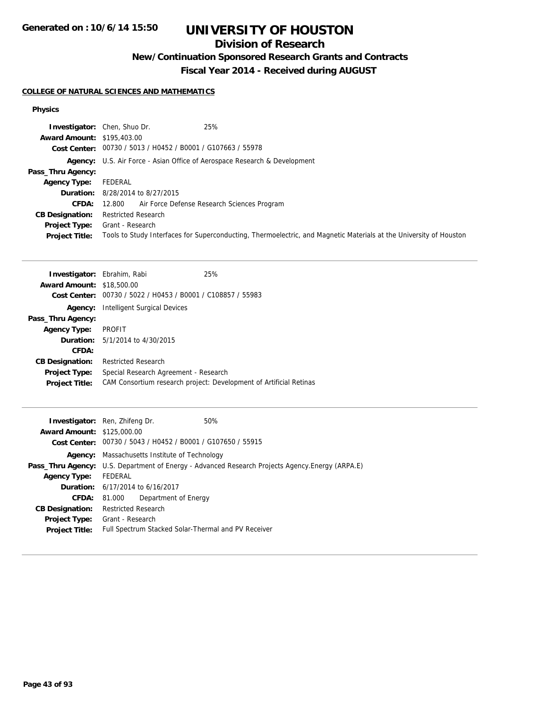## **Division of Research**

**New/Continuation Sponsored Research Grants and Contracts**

**Fiscal Year 2014 - Received during AUGUST**

### **COLLEGE OF NATURAL SCIENCES AND MATHEMATICS**

### **Physics**

|                                   | 25%<br><b>Investigator:</b> Chen, Shuo Dr.                                                                         |
|-----------------------------------|--------------------------------------------------------------------------------------------------------------------|
| <b>Award Amount: \$195,403.00</b> |                                                                                                                    |
|                                   | Cost Center: 00730 / 5013 / H0452 / B0001 / G107663 / 55978                                                        |
|                                   | Agency: U.S. Air Force - Asian Office of Aerospace Research & Development                                          |
| Pass_Thru Agency:                 |                                                                                                                    |
| <b>Agency Type:</b>               | FEDERAL                                                                                                            |
|                                   | <b>Duration:</b> 8/28/2014 to 8/27/2015                                                                            |
| <b>CFDA:</b>                      | 12.800 Air Force Defense Research Sciences Program                                                                 |
| <b>CB Designation:</b>            | <b>Restricted Research</b>                                                                                         |
| <b>Project Type:</b>              | Grant - Research                                                                                                   |
| <b>Project Title:</b>             | Tools to Study Interfaces for Superconducting, Thermoelectric, and Magnetic Materials at the University of Houston |

| <b>Investigator:</b> Ebrahim, Rabi             | 25%                                                                |
|------------------------------------------------|--------------------------------------------------------------------|
| <b>Award Amount: \$18,500.00</b>               |                                                                    |
| 00730 / 5022 / H0453 / B0001 / C108857 / 55983 |                                                                    |
| Intelligent Surgical Devices                   |                                                                    |
|                                                |                                                                    |
| PROFIT                                         |                                                                    |
| <b>Duration:</b> $5/1/2014$ to $4/30/2015$     |                                                                    |
|                                                |                                                                    |
| <b>Restricted Research</b>                     |                                                                    |
| Special Research Agreement - Research          |                                                                    |
|                                                | CAM Consortium research project: Development of Artificial Retinas |
|                                                |                                                                    |

|                                   | 50%<br><b>Investigator:</b> Ren, Zhifeng Dr.                                                            |  |
|-----------------------------------|---------------------------------------------------------------------------------------------------------|--|
| <b>Award Amount: \$125,000.00</b> |                                                                                                         |  |
|                                   | Cost Center: 00730 / 5043 / H0452 / B0001 / G107650 / 55915                                             |  |
|                                   | <b>Agency:</b> Massachusetts Institute of Technology                                                    |  |
|                                   | <b>Pass_Thru Agency:</b> U.S. Department of Energy - Advanced Research Projects Agency. Energy (ARPA.E) |  |
| <b>Agency Type:</b>               | FEDERAL                                                                                                 |  |
|                                   | <b>Duration:</b> 6/17/2014 to 6/16/2017                                                                 |  |
| <b>CFDA:</b>                      | Department of Energy<br>81.000                                                                          |  |
| <b>CB Designation:</b>            | <b>Restricted Research</b>                                                                              |  |
| <b>Project Type:</b>              | Grant - Research                                                                                        |  |
| <b>Project Title:</b>             | Full Spectrum Stacked Solar-Thermal and PV Receiver                                                     |  |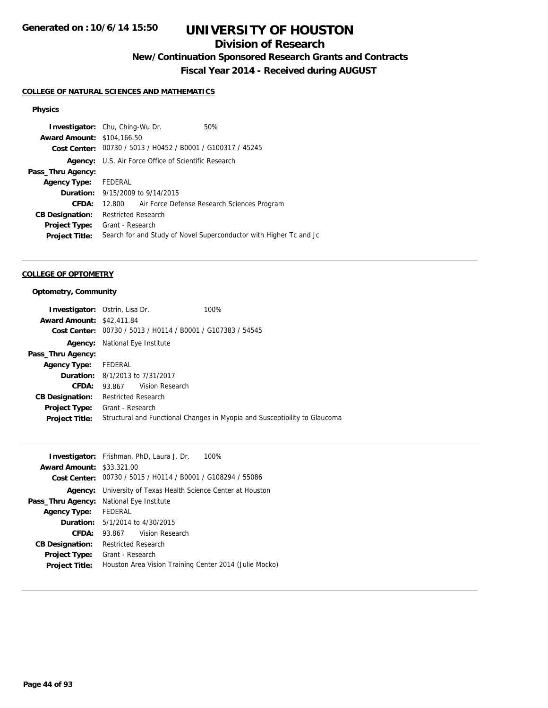## **Division of Research**

**New/Continuation Sponsored Research Grants and Contracts**

**Fiscal Year 2014 - Received during AUGUST**

### **COLLEGE OF NATURAL SCIENCES AND MATHEMATICS**

### **Physics**

| <b>Investigator:</b> Chu, Ching-Wu Dr. |                            |                                                             | 50%                                                                |
|----------------------------------------|----------------------------|-------------------------------------------------------------|--------------------------------------------------------------------|
| <b>Award Amount: \$104,166.50</b>      |                            |                                                             |                                                                    |
|                                        |                            | Cost Center: 00730 / 5013 / H0452 / B0001 / G100317 / 45245 |                                                                    |
| Agency:                                |                            | U.S. Air Force Office of Scientific Research                |                                                                    |
| Pass_Thru Agency:                      |                            |                                                             |                                                                    |
| Agency Type: FEDERAL                   |                            |                                                             |                                                                    |
|                                        |                            | <b>Duration:</b> $9/15/2009$ to $9/14/2015$                 |                                                                    |
| CFDA:                                  |                            |                                                             | 12.800 Air Force Defense Research Sciences Program                 |
| <b>CB Designation:</b>                 | <b>Restricted Research</b> |                                                             |                                                                    |
| Project Type:                          | Grant - Research           |                                                             |                                                                    |
| <b>Project Title:</b>                  |                            |                                                             | Search for and Study of Novel Superconductor with Higher Tc and Jc |
|                                        |                            |                                                             |                                                                    |

### **COLLEGE OF OPTOMETRY**

### **Optometry, Community**

|                                  | <b>Investigator:</b> Ostrin, Lisa Dr.  | 100%                                                                       |
|----------------------------------|----------------------------------------|----------------------------------------------------------------------------|
| <b>Award Amount: \$42,411.84</b> |                                        |                                                                            |
|                                  |                                        | Cost Center: 00730 / 5013 / H0114 / B0001 / G107383 / 54545                |
|                                  | <b>Agency:</b> National Eye Institute  |                                                                            |
| Pass_Thru Agency:                |                                        |                                                                            |
| Agency Type: FEDERAL             |                                        |                                                                            |
|                                  | <b>Duration:</b> 8/1/2013 to 7/31/2017 |                                                                            |
| CFDA:                            | 93.867 Vision Research                 |                                                                            |
| <b>CB Designation:</b>           | <b>Restricted Research</b>             |                                                                            |
| <b>Project Type:</b>             | Grant - Research                       |                                                                            |
| <b>Project Title:</b>            |                                        | Structural and Functional Changes in Myopia and Susceptibility to Glaucoma |
|                                  |                                        |                                                                            |

|                                  | <b>Investigator:</b> Frishman, PhD, Laura J. Dr.<br>100%    |
|----------------------------------|-------------------------------------------------------------|
| <b>Award Amount: \$33,321,00</b> |                                                             |
|                                  | Cost Center: 00730 / 5015 / H0114 / B0001 / G108294 / 55086 |
| Agency:                          | University of Texas Health Science Center at Houston        |
| Pass_Thru Agency:                | National Eye Institute                                      |
| <b>Agency Type:</b>              | FEDERAL                                                     |
| Duration:                        | 5/1/2014 to 4/30/2015                                       |
| CFDA:                            | 93.867 Vision Research                                      |
| <b>CB Designation:</b>           | <b>Restricted Research</b>                                  |
| <b>Project Type:</b>             | Grant - Research                                            |
| <b>Project Title:</b>            | Houston Area Vision Training Center 2014 (Julie Mocko)      |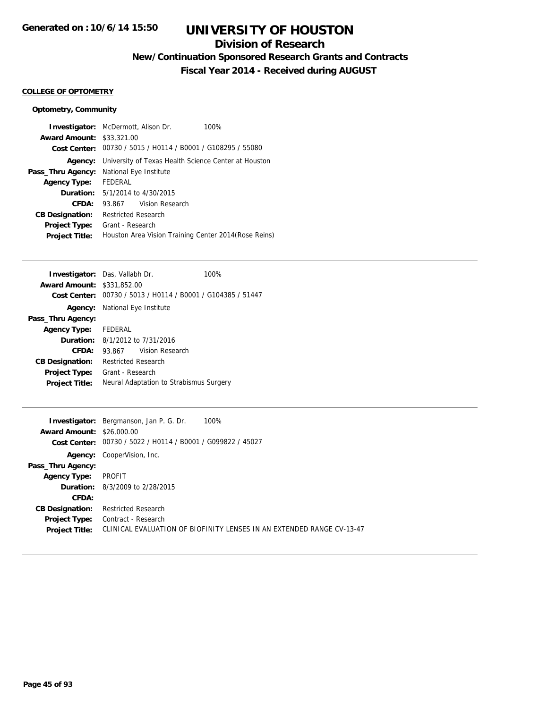## **Division of Research**

**New/Continuation Sponsored Research Grants and Contracts**

**Fiscal Year 2014 - Received during AUGUST**

### **COLLEGE OF OPTOMETRY**

### **Optometry, Community**

|                                  | <b>Investigator:</b> McDermott, Alison Dr.<br>100%          |
|----------------------------------|-------------------------------------------------------------|
| <b>Award Amount: \$33,321,00</b> |                                                             |
|                                  | Cost Center: 00730 / 5015 / H0114 / B0001 / G108295 / 55080 |
| Agency:                          | University of Texas Health Science Center at Houston        |
| Pass_Thru Agency:                | National Eye Institute                                      |
| <b>Agency Type:</b>              | FFDFRAI                                                     |
| Duration:                        | 5/1/2014 to 4/30/2015                                       |
| CFDA:                            | 93.867 Vision Research                                      |
| <b>CB Designation:</b>           | <b>Restricted Research</b>                                  |
| <b>Project Type:</b>             | Grant - Research                                            |
| <b>Project Title:</b>            | Houston Area Vision Training Center 2014 (Rose Reins)       |

| <b>Investigator:</b> Das, Vallabh Dr.  |                                       |                                                             | 100% |
|----------------------------------------|---------------------------------------|-------------------------------------------------------------|------|
| <b>Award Amount: \$331,852.00</b>      |                                       |                                                             |      |
|                                        |                                       | Cost Center: 00730 / 5013 / H0114 / B0001 / G104385 / 51447 |      |
|                                        | <b>Agency:</b> National Eye Institute |                                                             |      |
| Pass_Thru Agency:                      |                                       |                                                             |      |
| Agency Type: FEDERAL                   |                                       |                                                             |      |
| <b>Duration:</b> 8/1/2012 to 7/31/2016 |                                       |                                                             |      |
| CFDA:                                  |                                       | 93.867 Vision Research                                      |      |
| <b>CB Designation:</b>                 | <b>Restricted Research</b>            |                                                             |      |
| Project Type:                          | Grant - Research                      |                                                             |      |
| <b>Project Title:</b>                  |                                       | Neural Adaptation to Strabismus Surgery                     |      |

|                                  | 100%<br><b>Investigator:</b> Bergmanson, Jan P. G. Dr.                |
|----------------------------------|-----------------------------------------------------------------------|
| <b>Award Amount: \$26,000.00</b> |                                                                       |
|                                  | Cost Center: 00730 / 5022 / H0114 / B0001 / G099822 / 45027           |
|                                  | <b>Agency:</b> CooperVision, Inc.                                     |
| Pass_Thru Agency:                |                                                                       |
| <b>Agency Type:</b>              | PROFIT                                                                |
|                                  | <b>Duration:</b> 8/3/2009 to 2/28/2015                                |
| CFDA:                            |                                                                       |
| <b>CB Designation:</b>           | <b>Restricted Research</b>                                            |
| <b>Project Type:</b>             | Contract - Research                                                   |
| <b>Project Title:</b>            | CLINICAL EVALUATION OF BIOFINITY LENSES IN AN EXTENDED RANGE CV-13-47 |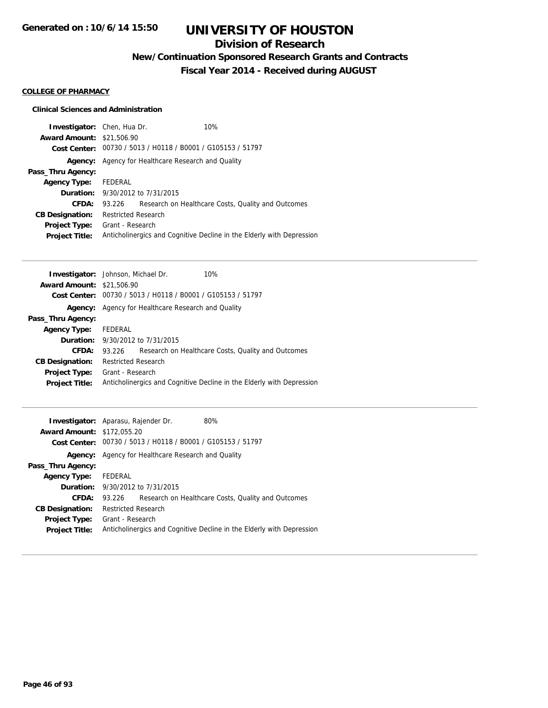## **Division of Research**

**New/Continuation Sponsored Research Grants and Contracts**

**Fiscal Year 2014 - Received during AUGUST**

### **COLLEGE OF PHARMACY**

| <b>Investigator:</b> Chen, Hua Dr.<br><b>Award Amount: \$21,506.90</b> |                                            | Cost Center: 00730 / 5013 / H0118 / B0001 / G105153 / 51797 | 10%                                                                   |
|------------------------------------------------------------------------|--------------------------------------------|-------------------------------------------------------------|-----------------------------------------------------------------------|
| Agency:                                                                | Agency for Healthcare Research and Quality |                                                             |                                                                       |
| Pass_Thru Agency:                                                      |                                            |                                                             |                                                                       |
| <b>Agency Type:</b>                                                    | FEDERAL                                    |                                                             |                                                                       |
|                                                                        |                                            | <b>Duration:</b> 9/30/2012 to 7/31/2015                     |                                                                       |
| CFDA:                                                                  | 93.226                                     |                                                             | Research on Healthcare Costs, Quality and Outcomes                    |
| <b>CB Designation:</b>                                                 | <b>Restricted Research</b>                 |                                                             |                                                                       |
| <b>Project Type:</b>                                                   | Grant - Research                           |                                                             |                                                                       |
| <b>Project Title:</b>                                                  |                                            |                                                             | Anticholinergics and Cognitive Decline in the Elderly with Depression |

| <b>Award Amount: \$21,506.90</b><br>Cost Center: 00730 / 5013 / H0118 / B0001 / G105153 / 51797<br>Agency for Healthcare Research and Quality<br>Agency:<br>Pass_Thru Agency:<br>FEDERAL<br><b>Agency Type:</b><br><b>Duration:</b> 9/30/2012 to 7/31/2015<br>CFDA:<br>Research on Healthcare Costs, Quality and Outcomes<br>93.226<br><b>Restricted Research</b><br><b>CB Designation:</b><br>Grant - Research<br><b>Project Type:</b><br>Anticholinergics and Cognitive Decline in the Elderly with Depression<br><b>Project Title:</b> | <b>Investigator:</b> Johnson, Michael Dr. |  | 10% |
|-------------------------------------------------------------------------------------------------------------------------------------------------------------------------------------------------------------------------------------------------------------------------------------------------------------------------------------------------------------------------------------------------------------------------------------------------------------------------------------------------------------------------------------------|-------------------------------------------|--|-----|
|                                                                                                                                                                                                                                                                                                                                                                                                                                                                                                                                           |                                           |  |     |
|                                                                                                                                                                                                                                                                                                                                                                                                                                                                                                                                           |                                           |  |     |
|                                                                                                                                                                                                                                                                                                                                                                                                                                                                                                                                           |                                           |  |     |
|                                                                                                                                                                                                                                                                                                                                                                                                                                                                                                                                           |                                           |  |     |
|                                                                                                                                                                                                                                                                                                                                                                                                                                                                                                                                           |                                           |  |     |
|                                                                                                                                                                                                                                                                                                                                                                                                                                                                                                                                           |                                           |  |     |
|                                                                                                                                                                                                                                                                                                                                                                                                                                                                                                                                           |                                           |  |     |
|                                                                                                                                                                                                                                                                                                                                                                                                                                                                                                                                           |                                           |  |     |
|                                                                                                                                                                                                                                                                                                                                                                                                                                                                                                                                           |                                           |  |     |
|                                                                                                                                                                                                                                                                                                                                                                                                                                                                                                                                           |                                           |  |     |

| <b>Investigator:</b> Aparasu, Rajender Dr. |                            |                                                             | 80%                                                                   |
|--------------------------------------------|----------------------------|-------------------------------------------------------------|-----------------------------------------------------------------------|
| <b>Award Amount: \$172,055.20</b>          |                            |                                                             |                                                                       |
|                                            |                            | Cost Center: 00730 / 5013 / H0118 / B0001 / G105153 / 51797 |                                                                       |
| Agency:                                    |                            | Agency for Healthcare Research and Quality                  |                                                                       |
| Pass_Thru Agency:                          |                            |                                                             |                                                                       |
| <b>Agency Type:</b>                        | FEDERAL                    |                                                             |                                                                       |
|                                            |                            | <b>Duration:</b> 9/30/2012 to 7/31/2015                     |                                                                       |
| CFDA:                                      | 93.226                     |                                                             | Research on Healthcare Costs, Quality and Outcomes                    |
| <b>CB Designation:</b>                     | <b>Restricted Research</b> |                                                             |                                                                       |
| <b>Project Type:</b>                       | Grant - Research           |                                                             |                                                                       |
| <b>Project Title:</b>                      |                            |                                                             | Anticholinergics and Cognitive Decline in the Elderly with Depression |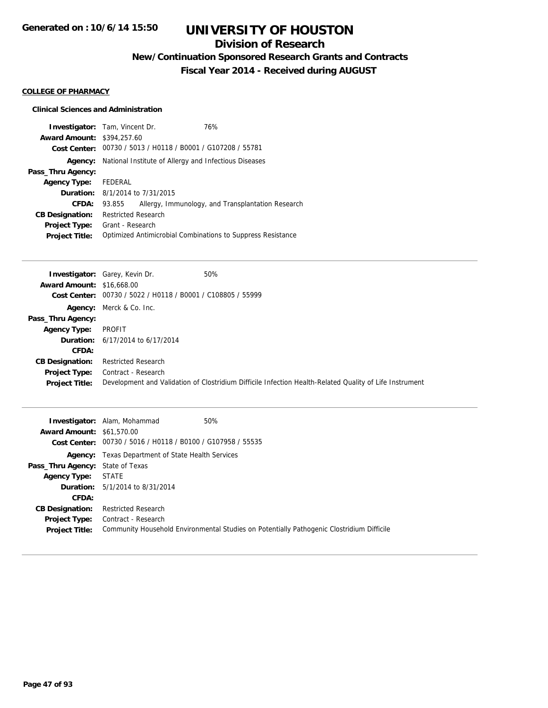## **Division of Research**

**New/Continuation Sponsored Research Grants and Contracts**

**Fiscal Year 2014 - Received during AUGUST**

### **COLLEGE OF PHARMACY**

| <b>Award Amount: \$394,257.60</b> | <b>Investigator:</b> Tam, Vincent Dr.  | 76%<br>Cost Center: 00730 / 5013 / H0118 / B0001 / G107208 / 55781 |
|-----------------------------------|----------------------------------------|--------------------------------------------------------------------|
| Agency:                           |                                        | National Institute of Allergy and Infectious Diseases              |
| Pass_Thru Agency:                 |                                        |                                                                    |
| <b>Agency Type:</b>               | FEDERAL                                |                                                                    |
|                                   | <b>Duration:</b> 8/1/2014 to 7/31/2015 |                                                                    |
| CFDA:                             | 93.855                                 | Allergy, Immunology, and Transplantation Research                  |
| <b>CB Designation:</b>            | <b>Restricted Research</b>             |                                                                    |
| <b>Project Type:</b>              | Grant - Research                       |                                                                    |
| <b>Project Title:</b>             |                                        | Optimized Antimicrobial Combinations to Suppress Resistance        |

|                                  | <b>Investigator:</b> Garey, Kevin Dr.<br>50%                                                            |
|----------------------------------|---------------------------------------------------------------------------------------------------------|
| <b>Award Amount: \$16,668.00</b> |                                                                                                         |
| Cost Center:                     | 00730 / 5022 / H0118 / B0001 / C108805 / 55999                                                          |
|                                  | Agency: Merck & Co. Inc.                                                                                |
| Pass_Thru Agency:                |                                                                                                         |
| <b>Agency Type:</b>              | PROFIT                                                                                                  |
|                                  | <b>Duration:</b> $6/17/2014$ to $6/17/2014$                                                             |
| CFDA:                            |                                                                                                         |
| <b>CB Designation:</b>           | <b>Restricted Research</b>                                                                              |
| <b>Project Type:</b>             | Contract - Research                                                                                     |
| <b>Project Title:</b>            | Development and Validation of Clostridium Difficile Infection Health-Related Quality of Life Instrument |

| <b>Award Amount: \$61,570.00</b>        | 50%<br><b>Investigator:</b> Alam, Mohammad<br>Cost Center: 00730 / 5016 / H0118 / B0100 / G107958 / 55535 |
|-----------------------------------------|-----------------------------------------------------------------------------------------------------------|
|                                         | <b>Agency:</b> Texas Department of State Health Services                                                  |
| <b>Pass_Thru Agency: State of Texas</b> |                                                                                                           |
| <b>Agency Type: STATE</b>               |                                                                                                           |
|                                         | <b>Duration:</b> $5/1/2014$ to $8/31/2014$                                                                |
| CFDA:                                   |                                                                                                           |
| <b>CB Designation:</b>                  | <b>Restricted Research</b>                                                                                |
|                                         | <b>Project Type:</b> Contract - Research                                                                  |
| <b>Project Title:</b>                   | Community Household Environmental Studies on Potentially Pathogenic Clostridium Difficile                 |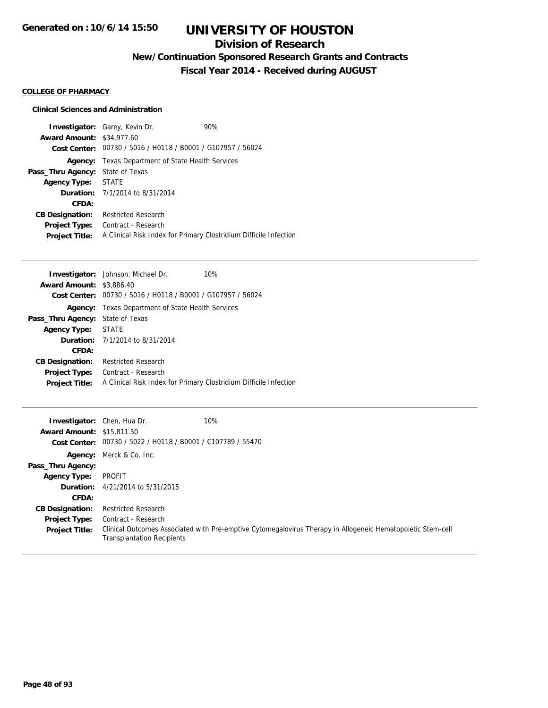## **Division of Research**

**New/Continuation Sponsored Research Grants and Contracts**

**Fiscal Year 2014 - Received during AUGUST**

### **COLLEGE OF PHARMACY**

| <b>Award Amount: \$34,977.60</b> | <b>Investigator:</b> Garey, Kevin Dr.<br>Cost Center: 00730 / 5016 / H0118 / B0001 / G107957 / 56024 | 90% |
|----------------------------------|------------------------------------------------------------------------------------------------------|-----|
|                                  | <b>Agency:</b> Texas Department of State Health Services                                             |     |
| Pass_Thru Agency:                | State of Texas                                                                                       |     |
| Agency Type: STATE               |                                                                                                      |     |
|                                  | <b>Duration:</b> $7/1/2014$ to $8/31/2014$                                                           |     |
| CFDA:                            |                                                                                                      |     |
| <b>CB Designation:</b>           | <b>Restricted Research</b>                                                                           |     |
| <b>Project Type:</b>             | Contract - Research                                                                                  |     |
| <b>Project Title:</b>            | A Clinical Risk Index for Primary Clostridium Difficile Infection                                    |     |

| <b>Investigator:</b> Johnson, Michael Dr.<br>10%                  |
|-------------------------------------------------------------------|
| <b>Award Amount: \$3,886.40</b>                                   |
| 00730 / 5016 / H0118 / B0001 / G107957 / 56024<br>Cost Center:    |
| Agency: Texas Department of State Health Services                 |
| <b>Pass_Thru Agency: State of Texas</b>                           |
| Agency Type: STATE                                                |
| <b>Duration:</b> $7/1/2014$ to $8/31/2014$                        |
|                                                                   |
| <b>Restricted Research</b>                                        |
| Contract - Research                                               |
| A Clinical Risk Index for Primary Clostridium Difficile Infection |
|                                                                   |

| <b>Investigator:</b> Chen, Hua Dr. |                                                             | 10%                                                                                                         |
|------------------------------------|-------------------------------------------------------------|-------------------------------------------------------------------------------------------------------------|
| <b>Award Amount: \$15,811.50</b>   |                                                             |                                                                                                             |
|                                    | Cost Center: 00730 / 5022 / H0118 / B0001 / C107789 / 55470 |                                                                                                             |
|                                    | Agency: Merck & Co. Inc.                                    |                                                                                                             |
| Pass_Thru Agency:                  |                                                             |                                                                                                             |
| <b>Agency Type:</b>                | PROFIT                                                      |                                                                                                             |
|                                    | <b>Duration:</b> 4/21/2014 to 5/31/2015                     |                                                                                                             |
| CFDA:                              |                                                             |                                                                                                             |
| <b>CB Designation:</b>             | <b>Restricted Research</b>                                  |                                                                                                             |
| Project Type:                      | Contract - Research                                         |                                                                                                             |
| <b>Project Title:</b>              | <b>Transplantation Recipients</b>                           | Clinical Outcomes Associated with Pre-emptive Cytomegalovirus Therapy in Allogeneic Hematopoietic Stem-cell |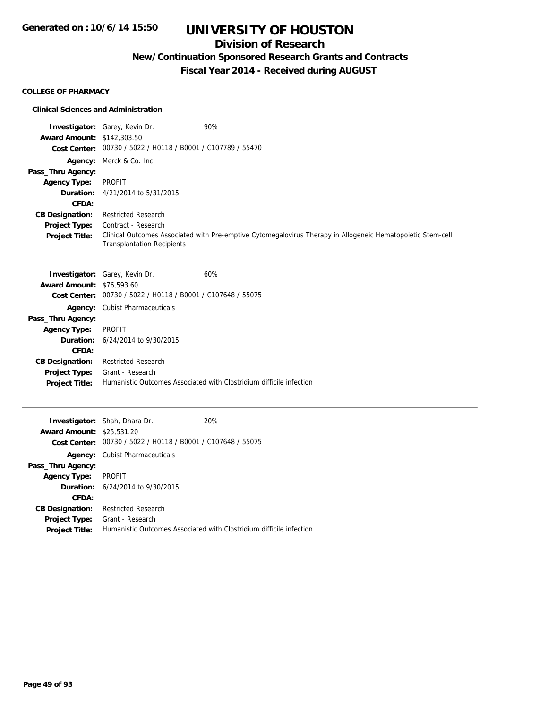## **Division of Research**

## **New/Continuation Sponsored Research Grants and Contracts**

**Fiscal Year 2014 - Received during AUGUST**

### **COLLEGE OF PHARMACY**

|                                          | <b>Investigator:</b> Garey, Kevin Dr.                               | 90%                                                                                                         |
|------------------------------------------|---------------------------------------------------------------------|-------------------------------------------------------------------------------------------------------------|
| <b>Award Amount: \$142,303.50</b>        | Cost Center: 00730 / 5022 / H0118 / B0001 / C107789 / 55470         |                                                                                                             |
|                                          |                                                                     |                                                                                                             |
|                                          | Agency: Merck & Co. Inc.                                            |                                                                                                             |
| Pass_Thru Agency:<br><b>Agency Type:</b> | <b>PROFIT</b>                                                       |                                                                                                             |
| Duration:                                | 4/21/2014 to 5/31/2015                                              |                                                                                                             |
| CFDA:                                    |                                                                     |                                                                                                             |
| <b>CB Designation:</b>                   | <b>Restricted Research</b>                                          |                                                                                                             |
| Project Type:                            | Contract - Research                                                 |                                                                                                             |
| <b>Project Title:</b>                    |                                                                     | Clinical Outcomes Associated with Pre-emptive Cytomegalovirus Therapy in Allogeneic Hematopoietic Stem-cell |
|                                          | <b>Transplantation Recipients</b>                                   |                                                                                                             |
|                                          |                                                                     |                                                                                                             |
|                                          | <b>Investigator:</b> Garey, Kevin Dr.                               | 60%                                                                                                         |
| <b>Award Amount: \$76,593.60</b>         |                                                                     |                                                                                                             |
| <b>Cost Center:</b>                      | 00730 / 5022 / H0118 / B0001 / C107648 / 55075                      |                                                                                                             |
|                                          | <b>Agency:</b> Cubist Pharmaceuticals                               |                                                                                                             |
| Pass_Thru Agency:                        |                                                                     |                                                                                                             |
| <b>Agency Type:</b>                      | <b>PROFIT</b>                                                       |                                                                                                             |
| Duration:                                | 6/24/2014 to 9/30/2015                                              |                                                                                                             |
| CFDA:                                    |                                                                     |                                                                                                             |
| <b>CB Designation:</b>                   | <b>Restricted Research</b>                                          |                                                                                                             |
| Project Type:                            | Grant - Research                                                    |                                                                                                             |
| <b>Project Title:</b>                    | Humanistic Outcomes Associated with Clostridium difficile infection |                                                                                                             |
|                                          |                                                                     |                                                                                                             |
|                                          | Investigator: Shah, Dhara Dr.                                       | 20%                                                                                                         |
| <b>Award Amount: \$25,531.20</b>         |                                                                     |                                                                                                             |
|                                          | Cost Center: 00730 / 5022 / H0118 / B0001 / C107648 / 55075         |                                                                                                             |
|                                          | Agency: Cubist Pharmaceuticals                                      |                                                                                                             |
| Pass_Thru Agency:                        |                                                                     |                                                                                                             |
| <b>Agency Type:</b>                      | <b>PROFIT</b>                                                       |                                                                                                             |
| Duration:                                | 6/24/2014 to 9/30/2015                                              |                                                                                                             |
| CFDA:                                    |                                                                     |                                                                                                             |
| <b>CB Designation:</b>                   | <b>Restricted Research</b>                                          |                                                                                                             |
| Project Type:                            | Grant - Research                                                    |                                                                                                             |
| <b>Project Title:</b>                    | Humanistic Outcomes Associated with Clostridium difficile infection |                                                                                                             |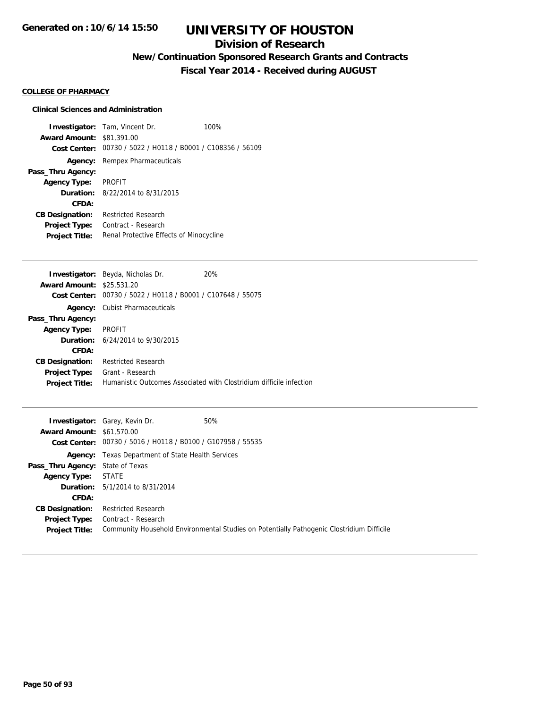## **Division of Research**

## **New/Continuation Sponsored Research Grants and Contracts**

**Fiscal Year 2014 - Received during AUGUST**

### **COLLEGE OF PHARMACY**

### **Clinical Sciences and Administration**

**Investigator:** Tam, Vincent Dr. 100% **Award Amount:** \$81,391.00 **Cost Center:** 00730 / 5022 / H0118 / B0001 / C108356 / 56109 **Agency:** Rempex Pharmaceuticals **Pass\_Thru Agency: Agency Type:** PROFIT **Duration:** 8/22/2014 to 8/31/2015 **CFDA: CB Designation:** Restricted Research **Project Type:** Contract - Research Project Title: Renal Protective Effects of Minocycline

|                                  | Investigator: Beyda, Nicholas Dr.              | 20%                                                                 |
|----------------------------------|------------------------------------------------|---------------------------------------------------------------------|
| <b>Award Amount: \$25,531.20</b> |                                                |                                                                     |
| Cost Center:                     | 00730 / 5022 / H0118 / B0001 / C107648 / 55075 |                                                                     |
|                                  | <b>Agency:</b> Cubist Pharmaceuticals          |                                                                     |
| Pass_Thru Agency:                |                                                |                                                                     |
| <b>Agency Type:</b>              | <b>PROFIT</b>                                  |                                                                     |
|                                  | <b>Duration:</b> 6/24/2014 to 9/30/2015        |                                                                     |
| CFDA:                            |                                                |                                                                     |
| <b>CB Designation:</b>           | <b>Restricted Research</b>                     |                                                                     |
| <b>Project Type:</b>             | Grant - Research                               |                                                                     |
| <b>Project Title:</b>            |                                                | Humanistic Outcomes Associated with Clostridium difficile infection |
|                                  |                                                |                                                                     |

|                                         | 50%<br><b>Investigator:</b> Garey, Kevin Dr.                                              |
|-----------------------------------------|-------------------------------------------------------------------------------------------|
| <b>Award Amount: \$61,570.00</b>        |                                                                                           |
|                                         | Cost Center: 00730 / 5016 / H0118 / B0100 / G107958 / 55535                               |
|                                         | <b>Agency:</b> Texas Department of State Health Services                                  |
| <b>Pass_Thru Agency:</b> State of Texas |                                                                                           |
| <b>Agency Type: STATE</b>               |                                                                                           |
|                                         | <b>Duration:</b> 5/1/2014 to 8/31/2014                                                    |
| CFDA:                                   |                                                                                           |
| <b>CB Designation:</b>                  | <b>Restricted Research</b>                                                                |
|                                         | <b>Project Type:</b> Contract - Research                                                  |
| <b>Project Title:</b>                   | Community Household Environmental Studies on Potentially Pathogenic Clostridium Difficile |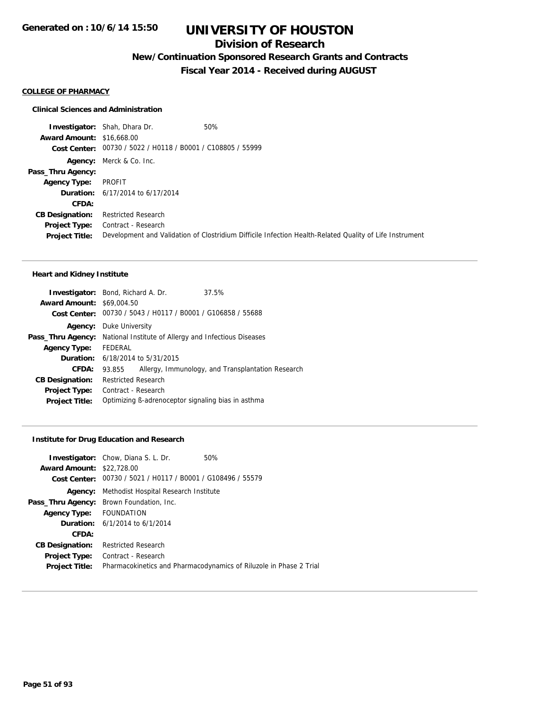## **Division of Research**

**New/Continuation Sponsored Research Grants and Contracts**

**Fiscal Year 2014 - Received during AUGUST**

### **COLLEGE OF PHARMACY**

### **Clinical Sciences and Administration**

**Investigator:** Shah, Dhara Dr. 60% **Award Amount:** \$16,668.00 **Cost Center:** 00730 / 5022 / H0118 / B0001 / C108805 / 55999 **Agency:** Merck & Co. Inc. **Pass\_Thru Agency: Agency Type:** PROFIT **Duration:** 6/17/2014 to 6/17/2014 **CFDA: CB Designation:** Restricted Research **Project Type:** Contract - Research **Project Title:** Development and Validation of Clostridium Difficile Infection Health-Related Quality of Life Instrument

### **Heart and Kidney Institute**

|                                                                                | <b>Investigator:</b> Bond, Richard A. Dr.   | 37.5%                                                       |
|--------------------------------------------------------------------------------|---------------------------------------------|-------------------------------------------------------------|
| <b>Award Amount: \$69,004.50</b>                                               |                                             |                                                             |
|                                                                                |                                             | Cost Center: 00730 / 5043 / H0117 / B0001 / G106858 / 55688 |
|                                                                                | <b>Agency:</b> Duke University              |                                                             |
| <b>Pass_Thru Agency:</b> National Institute of Allergy and Infectious Diseases |                                             |                                                             |
| Agency Type: FEDERAL                                                           |                                             |                                                             |
|                                                                                | <b>Duration:</b> $6/18/2014$ to $5/31/2015$ |                                                             |
| <b>CFDA:</b>                                                                   | 93.855                                      | Allergy, Immunology, and Transplantation Research           |
| <b>CB Designation:</b>                                                         | <b>Restricted Research</b>                  |                                                             |
| <b>Project Type:</b>                                                           | Contract - Research                         |                                                             |
| <b>Project Title:</b>                                                          |                                             | Optimizing B-adrenoceptor signaling bias in asthma          |
|                                                                                |                                             |                                                             |

#### **Institute for Drug Education and Research**

|                                  | <b>Investigator:</b> Chow, Diana S. L. Dr.                  | 50%                                                                |
|----------------------------------|-------------------------------------------------------------|--------------------------------------------------------------------|
| <b>Award Amount: \$22,728.00</b> |                                                             |                                                                    |
|                                  | Cost Center: 00730 / 5021 / H0117 / B0001 / G108496 / 55579 |                                                                    |
| Agency:                          | Methodist Hospital Research Institute                       |                                                                    |
|                                  | <b>Pass_Thru Agency:</b> Brown Foundation, Inc.             |                                                                    |
| Agency Type: FOUNDATION          |                                                             |                                                                    |
|                                  | <b>Duration:</b> $6/1/2014$ to $6/1/2014$                   |                                                                    |
| CFDA:                            |                                                             |                                                                    |
| <b>CB Designation:</b>           | <b>Restricted Research</b>                                  |                                                                    |
| <b>Project Type:</b>             | Contract - Research                                         |                                                                    |
| <b>Project Title:</b>            |                                                             | Pharmacokinetics and Pharmacodynamics of Riluzole in Phase 2 Trial |
|                                  |                                                             |                                                                    |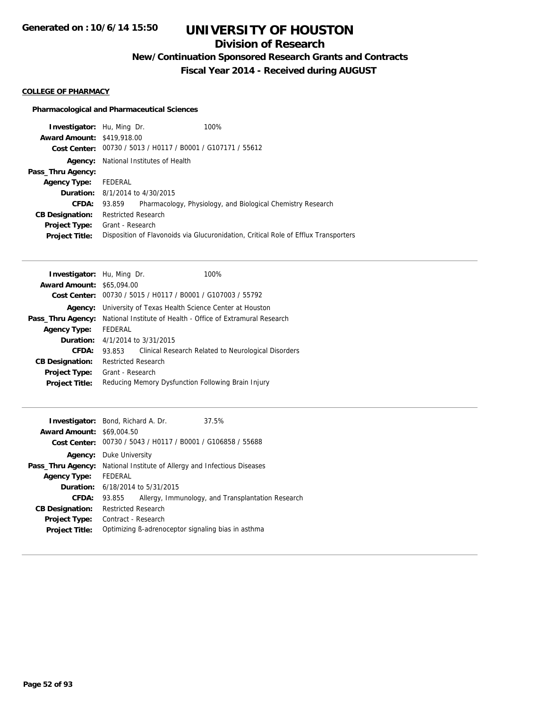## **Division of Research**

**New/Continuation Sponsored Research Grants and Contracts**

**Fiscal Year 2014 - Received during AUGUST**

### **COLLEGE OF PHARMACY**

### **Pharmacological and Pharmaceutical Sciences**

| <b>Investigator:</b> Hu, Ming Dr. |                            |                                                             | 100%                                                                                |
|-----------------------------------|----------------------------|-------------------------------------------------------------|-------------------------------------------------------------------------------------|
| <b>Award Amount: \$419,918.00</b> |                            |                                                             |                                                                                     |
|                                   |                            | Cost Center: 00730 / 5013 / H0117 / B0001 / G107171 / 55612 |                                                                                     |
| Agency:                           |                            | National Institutes of Health                               |                                                                                     |
| Pass_Thru Agency:                 |                            |                                                             |                                                                                     |
| <b>Agency Type:</b>               | FEDERAL                    |                                                             |                                                                                     |
|                                   |                            | <b>Duration:</b> 8/1/2014 to 4/30/2015                      |                                                                                     |
| CFDA:                             | 93.859                     |                                                             | Pharmacology, Physiology, and Biological Chemistry Research                         |
| <b>CB Designation:</b>            | <b>Restricted Research</b> |                                                             |                                                                                     |
| Project Type:                     | Grant - Research           |                                                             |                                                                                     |
| <b>Project Title:</b>             |                            |                                                             | Disposition of Flavonoids via Glucuronidation, Critical Role of Efflux Transporters |
|                                   |                            |                                                             |                                                                                     |

|                      | 100%                                                                                                                                                                                                                                                                                                                                                        |
|----------------------|-------------------------------------------------------------------------------------------------------------------------------------------------------------------------------------------------------------------------------------------------------------------------------------------------------------------------------------------------------------|
| <b>Award Amount:</b> |                                                                                                                                                                                                                                                                                                                                                             |
|                      |                                                                                                                                                                                                                                                                                                                                                             |
|                      |                                                                                                                                                                                                                                                                                                                                                             |
|                      |                                                                                                                                                                                                                                                                                                                                                             |
| FEDERAL              |                                                                                                                                                                                                                                                                                                                                                             |
|                      |                                                                                                                                                                                                                                                                                                                                                             |
| 93.853               | Clinical Research Related to Neurological Disorders                                                                                                                                                                                                                                                                                                         |
|                      |                                                                                                                                                                                                                                                                                                                                                             |
|                      |                                                                                                                                                                                                                                                                                                                                                             |
|                      |                                                                                                                                                                                                                                                                                                                                                             |
|                      | <b>Investigator:</b> Hu, Ming Dr.<br>\$65,094.00<br>00730 / 5015 / H0117 / B0001 / G107003 / 55792<br>University of Texas Health Science Center at Houston<br>National Institute of Health - Office of Extramural Research<br>4/1/2014 to 3/31/2015<br><b>Restricted Research</b><br>Grant - Research<br>Reducing Memory Dysfunction Following Brain Injury |

| <b>Investigator:</b> Bond, Richard A. Dr.<br><b>Award Amount: \$69,004.50</b> |                                                       | Cost Center: 00730 / 5043 / H0117 / B0001 / G106858 / 55688 | 37.5%                                              |
|-------------------------------------------------------------------------------|-------------------------------------------------------|-------------------------------------------------------------|----------------------------------------------------|
| Agency:                                                                       | Duke University                                       |                                                             |                                                    |
| Pass_Thru Agency:                                                             | National Institute of Allergy and Infectious Diseases |                                                             |                                                    |
| <b>Agency Type:</b>                                                           | FEDERAL                                               |                                                             |                                                    |
|                                                                               |                                                       | <b>Duration:</b> 6/18/2014 to 5/31/2015                     |                                                    |
| CFDA:                                                                         | 93.855                                                |                                                             | Allergy, Immunology, and Transplantation Research  |
| <b>CB Designation:</b>                                                        | <b>Restricted Research</b>                            |                                                             |                                                    |
| <b>Project Type:</b>                                                          | Contract - Research                                   |                                                             |                                                    |
| <b>Project Title:</b>                                                         |                                                       |                                                             | Optimizing B-adrenoceptor signaling bias in asthma |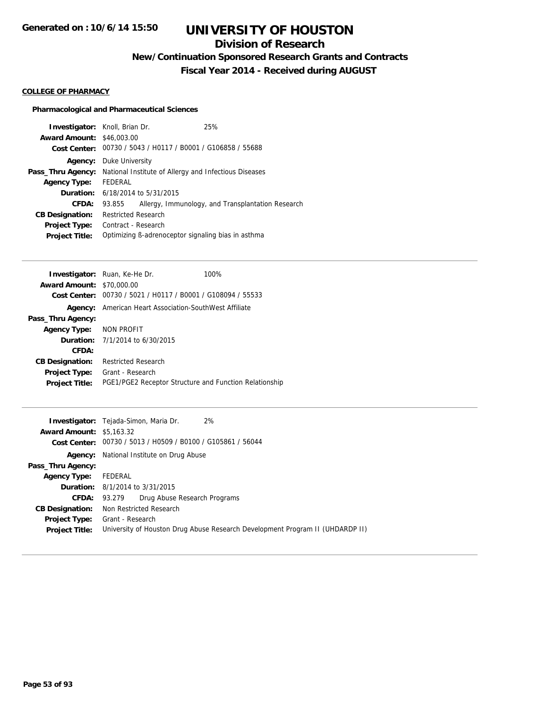## **Division of Research**

**New/Continuation Sponsored Research Grants and Contracts**

**Fiscal Year 2014 - Received during AUGUST**

### **COLLEGE OF PHARMACY**

### **Pharmacological and Pharmaceutical Sciences**

|         | 25%                                                                                                                                                                                                                                                                                                                                                                        |
|---------|----------------------------------------------------------------------------------------------------------------------------------------------------------------------------------------------------------------------------------------------------------------------------------------------------------------------------------------------------------------------------|
|         |                                                                                                                                                                                                                                                                                                                                                                            |
|         |                                                                                                                                                                                                                                                                                                                                                                            |
|         |                                                                                                                                                                                                                                                                                                                                                                            |
|         |                                                                                                                                                                                                                                                                                                                                                                            |
| FEDERAL |                                                                                                                                                                                                                                                                                                                                                                            |
|         |                                                                                                                                                                                                                                                                                                                                                                            |
| 93.855  | Allergy, Immunology, and Transplantation Research                                                                                                                                                                                                                                                                                                                          |
|         |                                                                                                                                                                                                                                                                                                                                                                            |
|         |                                                                                                                                                                                                                                                                                                                                                                            |
|         |                                                                                                                                                                                                                                                                                                                                                                            |
|         | <b>Investigator:</b> Knoll, Brian Dr.<br><b>Award Amount: \$46,003,00</b><br>Cost Center: 00730 / 5043 / H0117 / B0001 / G106858 / 55688<br>Duke University<br>National Institute of Allergy and Infectious Diseases<br><b>Duration:</b> 6/18/2014 to 5/31/2015<br><b>Restricted Research</b><br>Contract - Research<br>Optimizing B-adrenoceptor signaling bias in asthma |

|                                  | <b>Investigator:</b> Ruan, Ke-He Dr.       | 100%                                                   |  |  |
|----------------------------------|--------------------------------------------|--------------------------------------------------------|--|--|
| <b>Award Amount: \$70,000.00</b> |                                            |                                                        |  |  |
| Cost Center:                     |                                            | 00730 / 5021 / H0117 / B0001 / G108094 / 55533         |  |  |
| Agency:                          |                                            | American Heart Association-SouthWest Affiliate         |  |  |
| Pass_Thru Agency:                |                                            |                                                        |  |  |
| Agency Type: NON PROFIT          |                                            |                                                        |  |  |
|                                  | <b>Duration:</b> $7/1/2014$ to $6/30/2015$ |                                                        |  |  |
| CFDA:                            |                                            |                                                        |  |  |
| <b>CB Designation:</b>           | <b>Restricted Research</b>                 |                                                        |  |  |
| <b>Project Type:</b>             | Grant - Research                           |                                                        |  |  |
| <b>Project Title:</b>            |                                            | PGE1/PGE2 Receptor Structure and Function Relationship |  |  |

|                                 | 2%<br><b>Investigator:</b> Tejada-Simon, Maria Dr.                            |
|---------------------------------|-------------------------------------------------------------------------------|
| <b>Award Amount: \$5,163.32</b> |                                                                               |
|                                 | Cost Center: 00730 / 5013 / H0509 / B0100 / G105861 / 56044                   |
| Agency:                         | National Institute on Drug Abuse                                              |
| Pass_Thru Agency:               |                                                                               |
| <b>Agency Type:</b>             | FEDERAL                                                                       |
|                                 | <b>Duration:</b> 8/1/2014 to 3/31/2015                                        |
| <b>CFDA:</b>                    | Drug Abuse Research Programs<br>93.279                                        |
| <b>CB Designation:</b>          | Non Restricted Research                                                       |
|                                 | <b>Project Type:</b> Grant - Research                                         |
| <b>Project Title:</b>           | University of Houston Drug Abuse Research Development Program II (UHDARDP II) |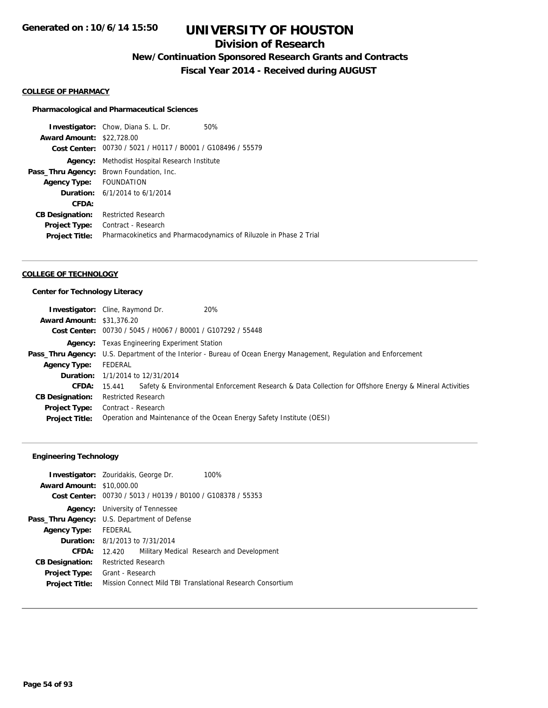## **Division of Research**

**New/Continuation Sponsored Research Grants and Contracts**

**Fiscal Year 2014 - Received during AUGUST**

### **COLLEGE OF PHARMACY**

### **Pharmacological and Pharmaceutical Sciences**

**Investigator:** Chow, Diana S. L. Dr. 50% **Award Amount:** \$22,728.00 **Cost Center:** 00730 / 5021 / H0117 / B0001 / G108496 / 55579 **Agency:** Methodist Hospital Research Institute **Pass\_Thru Agency:** Brown Foundation, Inc. **Agency Type:** FOUNDATION **Duration:** 6/1/2014 to 6/1/2014 **CFDA: CB Designation:** Restricted Research **Project Type:** Contract - Research **Project Title:** Pharmacokinetics and Pharmacodynamics of Riluzole in Phase 2 Trial

### **COLLEGE OF TECHNOLOGY**

### **Center for Technology Literacy**

|                                  | <b>Investigator:</b> Cline, Raymond Dr.                     | 20%                                                                                                               |
|----------------------------------|-------------------------------------------------------------|-------------------------------------------------------------------------------------------------------------------|
| <b>Award Amount: \$31,376.20</b> |                                                             |                                                                                                                   |
|                                  | Cost Center: 00730 / 5045 / H0067 / B0001 / G107292 / 55448 |                                                                                                                   |
|                                  | <b>Agency:</b> Texas Engineering Experiment Station         |                                                                                                                   |
|                                  |                                                             | Pass_Thru Agency: U.S. Department of the Interior - Bureau of Ocean Energy Management, Regulation and Enforcement |
| <b>Agency Type:</b>              | FEDERAL                                                     |                                                                                                                   |
|                                  | <b>Duration:</b> 1/1/2014 to 12/31/2014                     |                                                                                                                   |
|                                  | <b>CFDA: 15.441</b>                                         | Safety & Environmental Enforcement Research & Data Collection for Offshore Energy & Mineral Activities            |
| <b>CB Designation:</b>           | <b>Restricted Research</b>                                  |                                                                                                                   |
| Project Type:                    | Contract - Research                                         |                                                                                                                   |
| <b>Project Title:</b>            |                                                             | Operation and Maintenance of the Ocean Energy Safety Institute (OESI)                                             |

### **Engineering Technology**

|                                  | 100%<br><b>Investigator:</b> Zouridakis, George Dr.         |
|----------------------------------|-------------------------------------------------------------|
| <b>Award Amount: \$10,000.00</b> |                                                             |
|                                  | Cost Center: 00730 / 5013 / H0139 / B0100 / G108378 / 55353 |
| Agency:                          | University of Tennessee                                     |
|                                  | <b>Pass_Thru Agency:</b> U.S. Department of Defense         |
| Agency Type: FEDERAL             |                                                             |
|                                  | <b>Duration:</b> 8/1/2013 to 7/31/2014                      |
| CFDA:                            | Military Medical Research and Development<br>12.420         |
| <b>CB Designation:</b>           | <b>Restricted Research</b>                                  |
| Project Type:                    | Grant - Research                                            |
| <b>Project Title:</b>            | Mission Connect Mild TBI Translational Research Consortium  |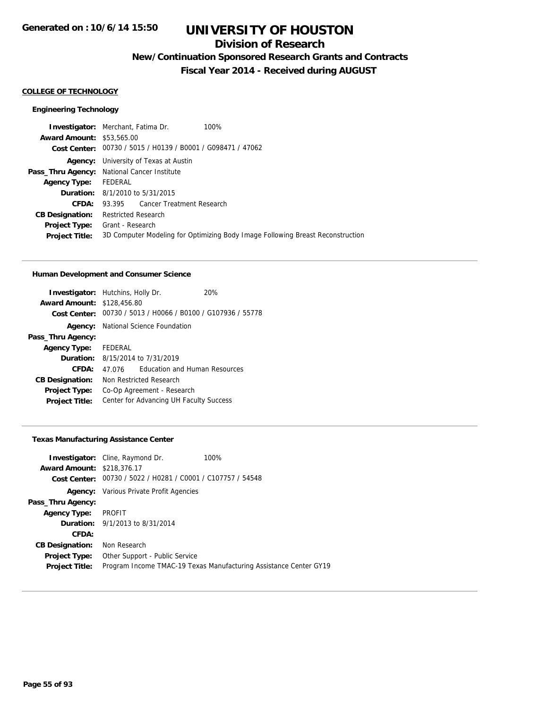## **Division of Research**

**New/Continuation Sponsored Research Grants and Contracts**

**Fiscal Year 2014 - Received during AUGUST**

### **COLLEGE OF TECHNOLOGY**

### **Engineering Technology**

|                                  | <b>Investigator:</b> Merchant, Fatima Dr.                   | 100%                                                                           |
|----------------------------------|-------------------------------------------------------------|--------------------------------------------------------------------------------|
| <b>Award Amount: \$53,565.00</b> |                                                             |                                                                                |
|                                  | Cost Center: 00730 / 5015 / H0139 / B0001 / G098471 / 47062 |                                                                                |
|                                  | <b>Agency:</b> University of Texas at Austin                |                                                                                |
|                                  | <b>Pass_Thru Agency:</b> National Cancer Institute          |                                                                                |
| Agency Type: FEDERAL             |                                                             |                                                                                |
|                                  | <b>Duration:</b> 8/1/2010 to 5/31/2015                      |                                                                                |
| CFDA:                            | 93.395 Cancer Treatment Research                            |                                                                                |
| <b>CB Designation:</b>           | <b>Restricted Research</b>                                  |                                                                                |
| <b>Project Type:</b>             | Grant - Research                                            |                                                                                |
| <b>Project Title:</b>            |                                                             | 3D Computer Modeling for Optimizing Body Image Following Breast Reconstruction |
|                                  |                                                             |                                                                                |

### **Human Development and Consumer Science**

| <b>Investigator:</b> Hutchins, Holly Dr.<br><b>Award Amount: \$128,456.80</b> |                                            |                                      | 20%                                                         |
|-------------------------------------------------------------------------------|--------------------------------------------|--------------------------------------|-------------------------------------------------------------|
|                                                                               |                                            |                                      | Cost Center: 00730 / 5013 / H0066 / B0100 / G107936 / 55778 |
|                                                                               | <b>Agency:</b> National Science Foundation |                                      |                                                             |
| Pass_Thru Agency:                                                             |                                            |                                      |                                                             |
| <b>Agency Type:</b>                                                           | FEDERAL                                    |                                      |                                                             |
|                                                                               | <b>Duration:</b> 8/15/2014 to 7/31/2019    |                                      |                                                             |
| CFDA:                                                                         | 47 076                                     | <b>Education and Human Resources</b> |                                                             |
| <b>CB Designation:</b>                                                        | Non Restricted Research                    |                                      |                                                             |
| <b>Project Type:</b>                                                          |                                            | Co-Op Agreement - Research           |                                                             |
| <b>Project Title:</b>                                                         | Center for Advancing UH Faculty Success    |                                      |                                                             |

## **Texas Manufacturing Assistance Center**

|                                   | <b>Investigator:</b> Cline, Raymond Dr.                     | 100%                                                              |
|-----------------------------------|-------------------------------------------------------------|-------------------------------------------------------------------|
| <b>Award Amount: \$218,376.17</b> |                                                             |                                                                   |
|                                   | Cost Center: 00730 / 5022 / H0281 / C0001 / C107757 / 54548 |                                                                   |
|                                   | <b>Agency:</b> Various Private Profit Agencies              |                                                                   |
| Pass_Thru Agency:                 |                                                             |                                                                   |
| <b>Agency Type:</b>               | PROFIT                                                      |                                                                   |
|                                   | <b>Duration:</b> 9/1/2013 to 8/31/2014                      |                                                                   |
| CFDA:                             |                                                             |                                                                   |
| <b>CB Designation:</b>            | Non Research                                                |                                                                   |
| <b>Project Type:</b>              | Other Support - Public Service                              |                                                                   |
| <b>Project Title:</b>             |                                                             | Program Income TMAC-19 Texas Manufacturing Assistance Center GY19 |
|                                   |                                                             |                                                                   |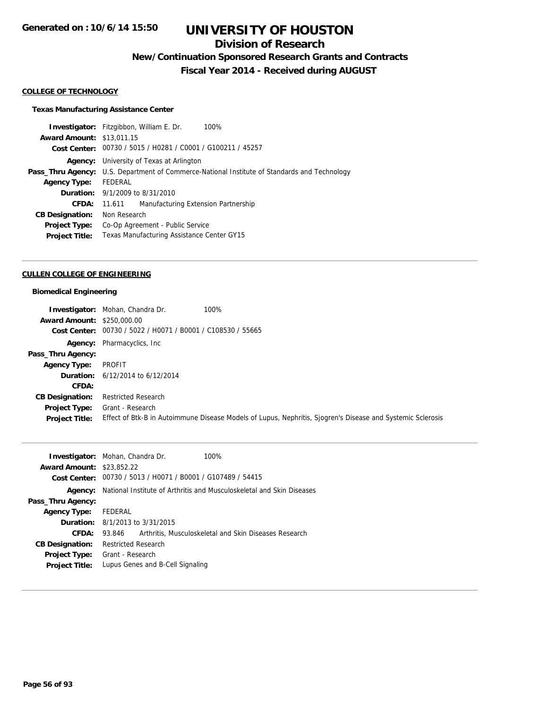## **Division of Research**

**New/Continuation Sponsored Research Grants and Contracts**

**Fiscal Year 2014 - Received during AUGUST**

### **COLLEGE OF TECHNOLOGY**

### **Texas Manufacturing Assistance Center**

**Investigator:** Fitzgibbon, William E. Dr. 100% **Award Amount:** \$13,011.15 **Cost Center:** 00730 / 5015 / H0281 / C0001 / G100211 / 45257 **Agency:** University of Texas at Arlington Pass\_Thru Agency: U.S. Department of Commerce-National Institute of Standards and Technology **Agency Type:** FEDERAL **Duration:** 9/1/2009 to 8/31/2010 **CFDA:** 11.611 Manufacturing Extension Partnership **CB Designation:** Non Research **Project Type:** Co-Op Agreement - Public Service **Project Title:** Texas Manufacturing Assistance Center GY15

#### **CULLEN COLLEGE OF ENGINEERING**

### **Biomedical Engineering**

|                                   | 100%<br><b>Investigator:</b> Mohan, Chandra Dr.                                                            |
|-----------------------------------|------------------------------------------------------------------------------------------------------------|
| <b>Award Amount: \$250,000.00</b> |                                                                                                            |
|                                   | Cost Center: 00730 / 5022 / H0071 / B0001 / C108530 / 55665                                                |
|                                   | <b>Agency:</b> Pharmacyclics, Inc.                                                                         |
| Pass_Thru Agency:                 |                                                                                                            |
| Agency Type:                      | PROFIT                                                                                                     |
|                                   | <b>Duration:</b> $6/12/2014$ to $6/12/2014$                                                                |
| <b>CFDA:</b>                      |                                                                                                            |
| <b>CB Designation:</b>            | <b>Restricted Research</b>                                                                                 |
| Project Type:                     | Grant - Research                                                                                           |
| <b>Project Title:</b>             | Effect of Btk-B in Autoimmune Disease Models of Lupus, Nephritis, Sjogren's Disease and Systemic Sclerosis |

|                                  | <b>Investigator:</b> Mohan, Chandra Dr.<br>100%                       |
|----------------------------------|-----------------------------------------------------------------------|
| <b>Award Amount: \$23,852.22</b> |                                                                       |
| Cost Center:                     | 00730 / 5013 / H0071 / B0001 / G107489 / 54415                        |
| Agency:                          | National Institute of Arthritis and Musculoskeletal and Skin Diseases |
| Pass_Thru Agency:                |                                                                       |
| <b>Agency Type:</b>              | FEDERAL                                                               |
|                                  | <b>Duration:</b> 8/1/2013 to 3/31/2015                                |
| <b>CFDA:</b>                     | Arthritis, Musculoskeletal and Skin Diseases Research<br>93.846       |
| <b>CB Designation:</b>           | <b>Restricted Research</b>                                            |
| <b>Project Type:</b>             | Grant - Research                                                      |
| <b>Project Title:</b>            | Lupus Genes and B-Cell Signaling                                      |
|                                  |                                                                       |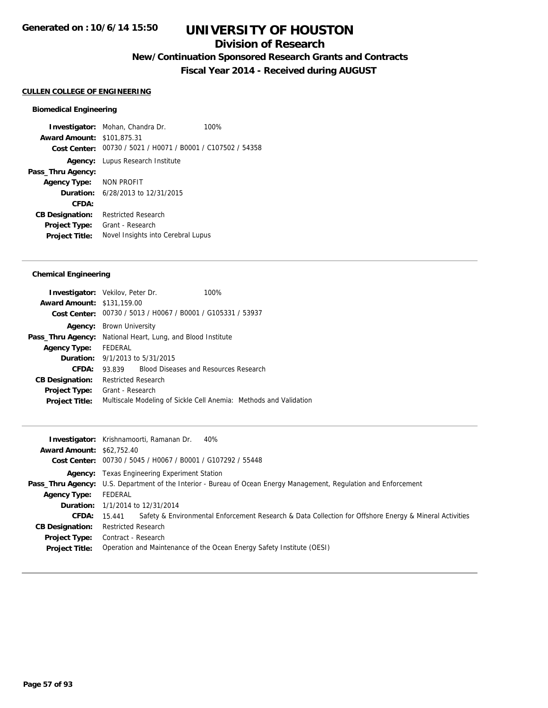## **Division of Research**

**New/Continuation Sponsored Research Grants and Contracts**

**Fiscal Year 2014 - Received during AUGUST**

### **CULLEN COLLEGE OF ENGINEERING**

### **Biomedical Engineering**

**Investigator:** Mohan, Chandra Dr. 100% **Award Amount:** \$101,875.31 **Cost Center:** 00730 / 5021 / H0071 / B0001 / C107502 / 54358 **Agency:** Lupus Research Institute **Pass\_Thru Agency: Agency Type:** NON PROFIT **Duration:** 6/28/2013 to 12/31/2015 **CFDA: CB Designation:** Restricted Research **Project Type:** Grant - Research **Project Title:** Novel Insights into Cerebral Lupus

| <b>Investigator:</b> Vekilov, Peter Dr.                            |                            |                                        | 100%                                                        |                                                                   |
|--------------------------------------------------------------------|----------------------------|----------------------------------------|-------------------------------------------------------------|-------------------------------------------------------------------|
| <b>Award Amount: \$131,159.00</b>                                  |                            |                                        |                                                             |                                                                   |
|                                                                    |                            |                                        | Cost Center: 00730 / 5013 / H0067 / B0001 / G105331 / 53937 |                                                                   |
| Agency:                                                            | <b>Brown University</b>    |                                        |                                                             |                                                                   |
| <b>Pass_Thru Agency:</b> National Heart, Lung, and Blood Institute |                            |                                        |                                                             |                                                                   |
| <b>Agency Type:</b>                                                | FEDERAL                    |                                        |                                                             |                                                                   |
|                                                                    |                            | <b>Duration:</b> 9/1/2013 to 5/31/2015 |                                                             |                                                                   |
| CFDA:                                                              | 93.839                     |                                        | <b>Blood Diseases and Resources Research</b>                |                                                                   |
| <b>CB Designation:</b>                                             | <b>Restricted Research</b> |                                        |                                                             |                                                                   |
| <b>Project Type:</b>                                               | Grant - Research           |                                        |                                                             |                                                                   |
| <b>Project Title:</b>                                              |                            |                                        |                                                             | Multiscale Modeling of Sickle Cell Anemia: Methods and Validation |

|                                  | <b>Investigator:</b> Krishnamoorti, Ramanan Dr.<br>40%                                                                        |
|----------------------------------|-------------------------------------------------------------------------------------------------------------------------------|
| <b>Award Amount: \$62,752.40</b> |                                                                                                                               |
|                                  | Cost Center: 00730 / 5045 / H0067 / B0001 / G107292 / 55448                                                                   |
|                                  | <b>Agency:</b> Texas Engineering Experiment Station                                                                           |
|                                  | Pass_Thru Agency: U.S. Department of the Interior - Bureau of Ocean Energy Management, Regulation and Enforcement             |
| <b>Agency Type:</b>              | FEDERAL                                                                                                                       |
|                                  | <b>Duration:</b> 1/1/2014 to 12/31/2014                                                                                       |
|                                  | Safety & Environmental Enforcement Research & Data Collection for Offshore Energy & Mineral Activities<br><b>CFDA:</b> 15.441 |
| <b>CB Designation:</b>           | Restricted Research                                                                                                           |
|                                  | <b>Project Type:</b> Contract - Research                                                                                      |
| <b>Project Title:</b>            | Operation and Maintenance of the Ocean Energy Safety Institute (OESI)                                                         |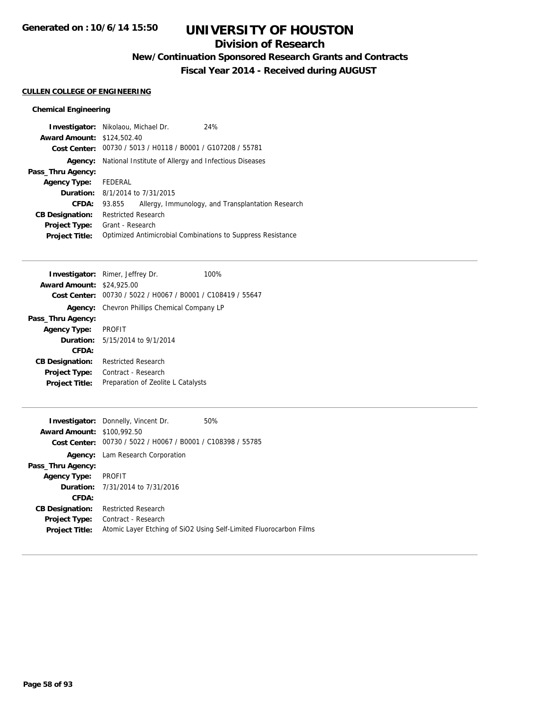## **Division of Research**

**New/Continuation Sponsored Research Grants and Contracts**

**Fiscal Year 2014 - Received during AUGUST**

### **CULLEN COLLEGE OF ENGINEERING**

|                                   | <b>Investigator:</b> Nikolaou, Michael Dr.                  | 24%                                                         |
|-----------------------------------|-------------------------------------------------------------|-------------------------------------------------------------|
| <b>Award Amount: \$124,502.40</b> |                                                             |                                                             |
|                                   | Cost Center: 00730 / 5013 / H0118 / B0001 / G107208 / 55781 |                                                             |
| Agency:                           | National Institute of Allergy and Infectious Diseases       |                                                             |
| Pass_Thru Agency:                 |                                                             |                                                             |
| <b>Agency Type:</b>               | FEDERAL                                                     |                                                             |
|                                   | <b>Duration:</b> 8/1/2014 to 7/31/2015                      |                                                             |
| <b>CFDA:</b>                      | 93.855                                                      | Allergy, Immunology, and Transplantation Research           |
| <b>CB Designation:</b>            | <b>Restricted Research</b>                                  |                                                             |
| <b>Project Type:</b>              | Grant - Research                                            |                                                             |
| <b>Project Title:</b>             |                                                             | Optimized Antimicrobial Combinations to Suppress Resistance |

|                        | <b>Investigator:</b> Rimer, Jeffrey Dr.        | 100% |
|------------------------|------------------------------------------------|------|
| <b>Award Amount:</b>   | \$24,925.00                                    |      |
| Cost Center:           | 00730 / 5022 / H0067 / B0001 / C108419 / 55647 |      |
| Agency:                | Chevron Phillips Chemical Company LP           |      |
| Pass_Thru Agency:      |                                                |      |
| <b>Agency Type:</b>    | <b>PROFIT</b>                                  |      |
|                        | <b>Duration:</b> 5/15/2014 to 9/1/2014         |      |
| CFDA:                  |                                                |      |
| <b>CB Designation:</b> | Restricted Research                            |      |
| <b>Project Type:</b>   | Contract - Research                            |      |
| <b>Project Title:</b>  | Preparation of Zeolite L Catalysts             |      |
|                        |                                                |      |

|                                   | <b>Investigator:</b> Donnelly, Vincent Dr.     | 50%                                                                |
|-----------------------------------|------------------------------------------------|--------------------------------------------------------------------|
| <b>Award Amount: \$100,992.50</b> |                                                |                                                                    |
| Cost Center:                      | 00730 / 5022 / H0067 / B0001 / C108398 / 55785 |                                                                    |
|                                   | <b>Agency:</b> Lam Research Corporation        |                                                                    |
| Pass_Thru Agency:                 |                                                |                                                                    |
| Agency Type: PROFIT               |                                                |                                                                    |
|                                   | <b>Duration:</b> 7/31/2014 to 7/31/2016        |                                                                    |
| CFDA:                             |                                                |                                                                    |
| <b>CB Designation:</b>            | <b>Restricted Research</b>                     |                                                                    |
| <b>Project Type:</b>              | Contract - Research                            |                                                                    |
| <b>Project Title:</b>             |                                                | Atomic Layer Etching of SiO2 Using Self-Limited Fluorocarbon Films |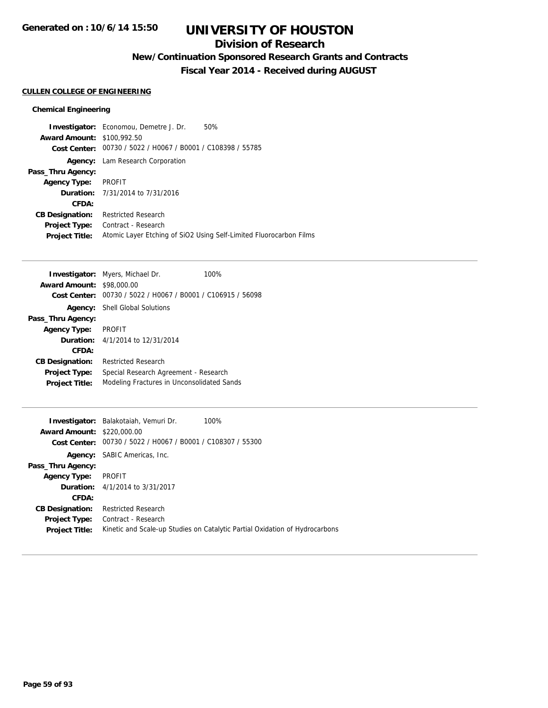## **Division of Research**

**New/Continuation Sponsored Research Grants and Contracts**

**Fiscal Year 2014 - Received during AUGUST**

### **CULLEN COLLEGE OF ENGINEERING**

|                                   | <b>Investigator:</b> Economou, Demetre J. Dr.               | 50%                                                                |
|-----------------------------------|-------------------------------------------------------------|--------------------------------------------------------------------|
| <b>Award Amount: \$100,992.50</b> |                                                             |                                                                    |
|                                   | Cost Center: 00730 / 5022 / H0067 / B0001 / C108398 / 55785 |                                                                    |
| Agency:                           | Lam Research Corporation                                    |                                                                    |
| Pass_Thru Agency:                 |                                                             |                                                                    |
| <b>Agency Type:</b>               | PROFIT                                                      |                                                                    |
|                                   | <b>Duration:</b> 7/31/2014 to 7/31/2016                     |                                                                    |
| CFDA:                             |                                                             |                                                                    |
| <b>CB Designation:</b>            | <b>Restricted Research</b>                                  |                                                                    |
| <b>Project Type:</b>              | Contract - Research                                         |                                                                    |
| <b>Project Title:</b>             |                                                             | Atomic Layer Etching of SiO2 Using Self-Limited Fluorocarbon Films |

| <b>Investigator:</b> Myers, Michael Dr.<br>100%                     |  |
|---------------------------------------------------------------------|--|
| <b>Award Amount: \$98,000.00</b>                                    |  |
| Cost Center: 00730 / 5022 / H0067 / B0001 / C106915 / 56098         |  |
| <b>Shell Global Solutions</b><br>Agency:                            |  |
| Pass_Thru Agency:                                                   |  |
| <b>PROFIT</b><br><b>Agency Type:</b>                                |  |
| <b>Duration:</b> $4/1/2014$ to $12/31/2014$                         |  |
| CFDA:                                                               |  |
| <b>Restricted Research</b><br><b>CB Designation:</b>                |  |
| Special Research Agreement - Research<br><b>Project Type:</b>       |  |
| Modeling Fractures in Unconsolidated Sands<br><b>Project Title:</b> |  |

|                                   | <b>Investigator:</b> Balakotaiah, Vemuri Dr.<br>$100\%$                     |
|-----------------------------------|-----------------------------------------------------------------------------|
| <b>Award Amount: \$220,000.00</b> |                                                                             |
| Cost Center:                      | 00730 / 5022 / H0067 / B0001 / C108307 / 55300                              |
|                                   | <b>Agency:</b> SABIC Americas, Inc.                                         |
| Pass_Thru Agency:                 |                                                                             |
| <b>Agency Type:</b>               | PROFIT                                                                      |
|                                   | <b>Duration:</b> 4/1/2014 to 3/31/2017                                      |
| CFDA:                             |                                                                             |
| <b>CB Designation:</b>            | <b>Restricted Research</b>                                                  |
| <b>Project Type:</b>              | Contract - Research                                                         |
| <b>Project Title:</b>             | Kinetic and Scale-up Studies on Catalytic Partial Oxidation of Hydrocarbons |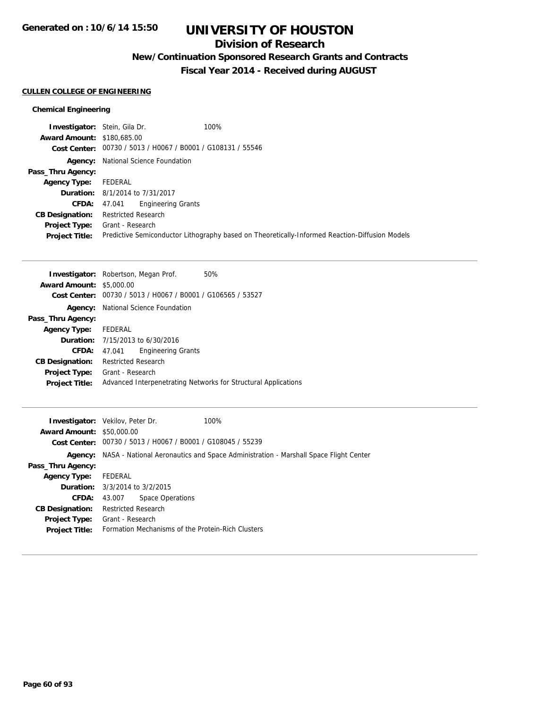## **Division of Research**

**New/Continuation Sponsored Research Grants and Contracts**

**Fiscal Year 2014 - Received during AUGUST**

### **CULLEN COLLEGE OF ENGINEERING**

| <b>Investigator:</b> Stein, Gila Dr.                        | 100%                                                                                           |
|-------------------------------------------------------------|------------------------------------------------------------------------------------------------|
| <b>Award Amount: \$180,685,00</b>                           |                                                                                                |
| Cost Center: 00730 / 5013 / H0067 / B0001 / G108131 / 55546 |                                                                                                |
| <b>Agency:</b> National Science Foundation                  |                                                                                                |
|                                                             |                                                                                                |
| FEDERAL                                                     |                                                                                                |
| <b>Duration:</b> 8/1/2014 to 7/31/2017                      |                                                                                                |
| <b>CFDA:</b> 47.041                                         |                                                                                                |
| Restricted Research                                         |                                                                                                |
| <b>Project Type:</b> Grant - Research                       |                                                                                                |
|                                                             | Predictive Semiconductor Lithography based on Theoretically-Informed Reaction-Diffusion Models |
|                                                             | <b>Engineering Grants</b>                                                                      |

|                                                             | 50%                                                                                                                                                                              |
|-------------------------------------------------------------|----------------------------------------------------------------------------------------------------------------------------------------------------------------------------------|
|                                                             |                                                                                                                                                                                  |
| Cost Center: 00730 / 5013 / H0067 / B0001 / G106565 / 53527 |                                                                                                                                                                                  |
|                                                             |                                                                                                                                                                                  |
|                                                             |                                                                                                                                                                                  |
| FEDERAL                                                     |                                                                                                                                                                                  |
|                                                             |                                                                                                                                                                                  |
| <b>Engineering Grants</b><br>47.041                         |                                                                                                                                                                                  |
| <b>Restricted Research</b>                                  |                                                                                                                                                                                  |
|                                                             |                                                                                                                                                                                  |
|                                                             | Advanced Interpenetrating Networks for Structural Applications                                                                                                                   |
|                                                             | <b>Investigator:</b> Robertson, Megan Prof.<br><b>Award Amount: \$5,000.00</b><br>National Science Foundation<br><b>Duration:</b> $7/15/2013$ to $6/30/2016$<br>Grant - Research |

|                                  | <b>Investigator:</b> Vekilov, Peter Dr.                     | 100%                                                                                               |
|----------------------------------|-------------------------------------------------------------|----------------------------------------------------------------------------------------------------|
| <b>Award Amount: \$50,000.00</b> |                                                             |                                                                                                    |
|                                  | Cost Center: 00730 / 5013 / H0067 / B0001 / G108045 / 55239 |                                                                                                    |
|                                  |                                                             | <b>Agency:</b> NASA - National Aeronautics and Space Administration - Marshall Space Flight Center |
| Pass_Thru Agency:                |                                                             |                                                                                                    |
| <b>Agency Type:</b>              | FEDERAL                                                     |                                                                                                    |
|                                  | <b>Duration:</b> $3/3/2014$ to $3/2/2015$                   |                                                                                                    |
| <b>CFDA:</b>                     | Space Operations<br>43.007                                  |                                                                                                    |
| <b>CB Designation:</b>           | <b>Restricted Research</b>                                  |                                                                                                    |
| <b>Project Type:</b>             | Grant - Research                                            |                                                                                                    |
| <b>Project Title:</b>            | Formation Mechanisms of the Protein-Rich Clusters           |                                                                                                    |
|                                  |                                                             |                                                                                                    |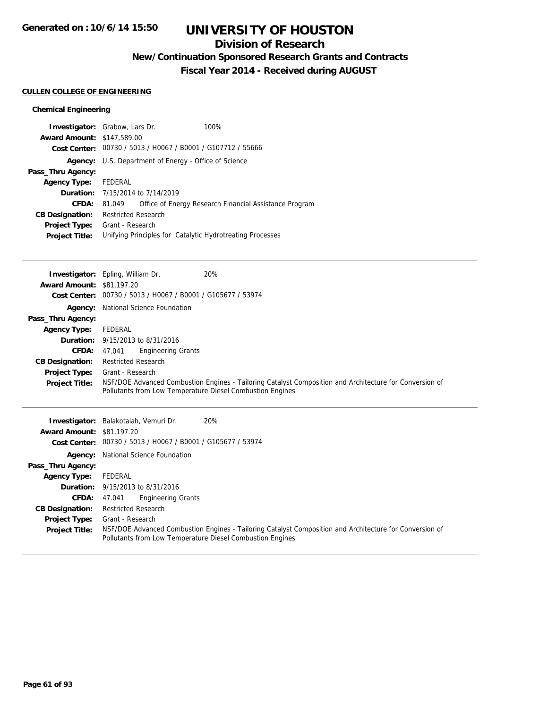## **Division of Research**

**New/Continuation Sponsored Research Grants and Contracts**

**Fiscal Year 2014 - Received during AUGUST**

### **CULLEN COLLEGE OF ENGINEERING**

| <b>Investigator:</b> Grabow, Lars Dr.<br><b>Award Amount: \$147,589.00</b><br>Cost Center: |                                  |                                                              | 100%<br>00730 / 5013 / H0067 / B0001 / G107712 / 55666    |
|--------------------------------------------------------------------------------------------|----------------------------------|--------------------------------------------------------------|-----------------------------------------------------------|
|                                                                                            |                                  | <b>Agency:</b> U.S. Department of Energy - Office of Science |                                                           |
| Pass_Thru Agency:                                                                          |                                  |                                                              |                                                           |
| <b>Agency Type:</b>                                                                        | FEDERAL                          |                                                              |                                                           |
|                                                                                            | Duration: 7/15/2014 to 7/14/2019 |                                                              |                                                           |
| CFDA:                                                                                      | 81.049                           |                                                              | Office of Energy Research Financial Assistance Program    |
| <b>CB Designation:</b>                                                                     | <b>Restricted Research</b>       |                                                              |                                                           |
| <b>Project Type:</b>                                                                       | Grant - Research                 |                                                              |                                                           |
| <b>Project Title:</b>                                                                      |                                  |                                                              | Unifying Principles for Catalytic Hydrotreating Processes |

|                                  | <b>Investigator:</b> Epling, William Dr.                    | 20%                                                                                                     |
|----------------------------------|-------------------------------------------------------------|---------------------------------------------------------------------------------------------------------|
| <b>Award Amount: \$81,197.20</b> |                                                             |                                                                                                         |
| <b>Cost Center:</b>              | 00730 / 5013 / H0067 / B0001 / G105677 / 53974              |                                                                                                         |
| Agency:                          | National Science Foundation                                 |                                                                                                         |
| Pass_Thru Agency:                |                                                             |                                                                                                         |
| <b>Agency Type:</b>              | FEDERAL                                                     |                                                                                                         |
|                                  | <b>Duration:</b> 9/15/2013 to 8/31/2016                     |                                                                                                         |
| <b>CFDA:</b>                     | <b>Engineering Grants</b><br>47.041                         |                                                                                                         |
| <b>CB Designation:</b>           | <b>Restricted Research</b>                                  |                                                                                                         |
| <b>Project Type:</b>             | Grant - Research                                            |                                                                                                         |
| <b>Project Title:</b>            |                                                             | NSF/DOE Advanced Combustion Engines - Tailoring Catalyst Composition and Architecture for Conversion of |
|                                  | Pollutants from Low Temperature Diesel Combustion Engines   |                                                                                                         |
|                                  |                                                             |                                                                                                         |
|                                  |                                                             |                                                                                                         |
|                                  |                                                             | 20%                                                                                                     |
| <b>Award Amount: \$81,197.20</b> | Investigator: Balakotaiah, Vemuri Dr.                       |                                                                                                         |
|                                  | Cost Center: 00730 / 5013 / H0067 / B0001 / G105677 / 53974 |                                                                                                         |
| Agency:                          | National Science Foundation                                 |                                                                                                         |
| Pass_Thru Agency:                |                                                             |                                                                                                         |
| <b>Agency Type:</b>              | FEDERAL                                                     |                                                                                                         |
|                                  | <b>Duration:</b> 9/15/2013 to 8/31/2016                     |                                                                                                         |
| <b>CFDA:</b>                     | <b>Engineering Grants</b><br>47.041                         |                                                                                                         |
| <b>CB Designation:</b>           | <b>Restricted Research</b>                                  |                                                                                                         |
| <b>Project Type:</b>             | Grant - Research                                            |                                                                                                         |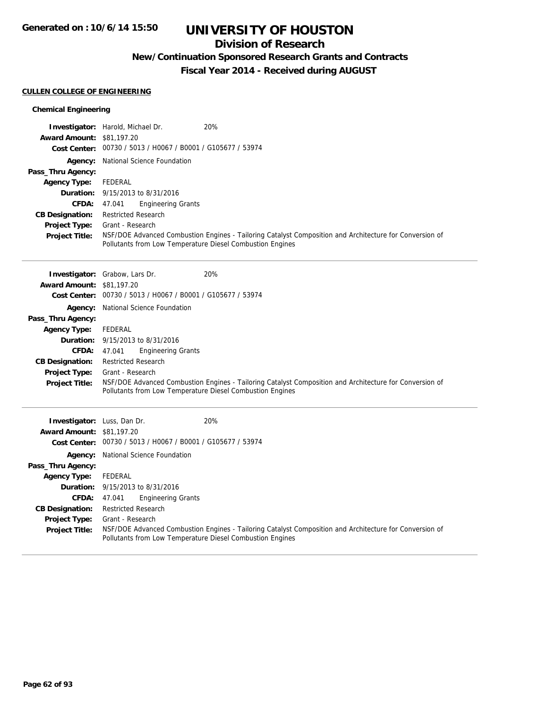## **Division of Research**

## **New/Continuation Sponsored Research Grants and Contracts**

**Fiscal Year 2014 - Received during AUGUST**

### **CULLEN COLLEGE OF ENGINEERING**

|                                  | 20%<br><b>Investigator:</b> Harold, Michael Dr.                                                                                                                      |
|----------------------------------|----------------------------------------------------------------------------------------------------------------------------------------------------------------------|
| <b>Award Amount: \$81,197.20</b> |                                                                                                                                                                      |
|                                  | Cost Center: 00730 / 5013 / H0067 / B0001 / G105677 / 53974                                                                                                          |
|                                  | <b>Agency:</b> National Science Foundation                                                                                                                           |
| Pass_Thru Agency:                |                                                                                                                                                                      |
| <b>Agency Type:</b>              | FEDERAL                                                                                                                                                              |
|                                  | <b>Duration:</b> 9/15/2013 to 8/31/2016                                                                                                                              |
|                                  | <b>Engineering Grants</b><br><b>CFDA:</b> $47.041$                                                                                                                   |
| <b>CB Designation:</b>           | <b>Restricted Research</b>                                                                                                                                           |
| <b>Project Type:</b>             | Grant - Research                                                                                                                                                     |
| <b>Project Title:</b>            | NSF/DOE Advanced Combustion Engines - Tailoring Catalyst Composition and Architecture for Conversion of<br>Pollutants from Low Temperature Diesel Combustion Engines |
|                                  | <b>Investigator:</b> Grabow, Lars Dr.<br>20%                                                                                                                         |

|                                  | <b>Investigator:</b> Grabow, Lars Dr.<br>20%                                                                                                                         |
|----------------------------------|----------------------------------------------------------------------------------------------------------------------------------------------------------------------|
| <b>Award Amount: \$81,197.20</b> |                                                                                                                                                                      |
|                                  | Cost Center: 00730 / 5013 / H0067 / B0001 / G105677 / 53974                                                                                                          |
|                                  | <b>Agency:</b> National Science Foundation                                                                                                                           |
| Pass_Thru Agency:                |                                                                                                                                                                      |
| <b>Agency Type:</b>              | FEDERAL                                                                                                                                                              |
|                                  | <b>Duration:</b> 9/15/2013 to 8/31/2016                                                                                                                              |
| <b>CFDA:</b>                     | <b>Engineering Grants</b><br>47.041                                                                                                                                  |
| <b>CB Designation:</b>           | <b>Restricted Research</b>                                                                                                                                           |
| <b>Project Type:</b>             | Grant - Research                                                                                                                                                     |
| <b>Project Title:</b>            | NSF/DOE Advanced Combustion Engines - Tailoring Catalyst Composition and Architecture for Conversion of<br>Pollutants from Low Temperature Diesel Combustion Engines |
|                                  |                                                                                                                                                                      |

| <b>Investigator:</b> Luss, Dan Dr.<br><b>Award Amount: \$81,197,20</b> |                                                             | 20%                                                                                                     |
|------------------------------------------------------------------------|-------------------------------------------------------------|---------------------------------------------------------------------------------------------------------|
|                                                                        | Cost Center: 00730 / 5013 / H0067 / B0001 / G105677 / 53974 |                                                                                                         |
|                                                                        | <b>Agency:</b> National Science Foundation                  |                                                                                                         |
| Pass_Thru Agency:                                                      |                                                             |                                                                                                         |
| <b>Agency Type:</b>                                                    | FEDERAL                                                     |                                                                                                         |
|                                                                        | <b>Duration:</b> 9/15/2013 to 8/31/2016                     |                                                                                                         |
| CFDA:                                                                  | <b>Engineering Grants</b><br>47.041                         |                                                                                                         |
| <b>CB Designation:</b>                                                 | <b>Restricted Research</b>                                  |                                                                                                         |
| <b>Project Type:</b>                                                   | Grant - Research                                            |                                                                                                         |
| <b>Project Title:</b>                                                  | Pollutants from Low Temperature Diesel Combustion Engines   | NSF/DOE Advanced Combustion Engines - Tailoring Catalyst Composition and Architecture for Conversion of |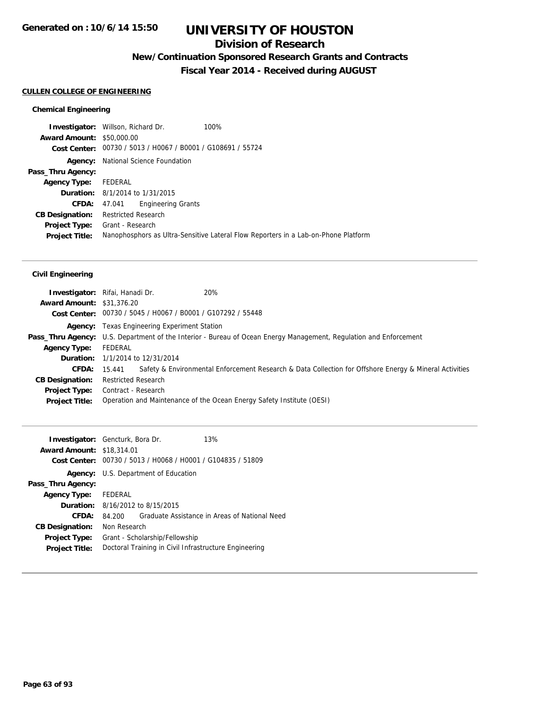## **Division of Research**

**New/Continuation Sponsored Research Grants and Contracts**

**Fiscal Year 2014 - Received during AUGUST**

### **CULLEN COLLEGE OF ENGINEERING**

### **Chemical Engineering**

|                                  | <b>Investigator:</b> Willson, Richard Dr.                   | 100%                                                                               |
|----------------------------------|-------------------------------------------------------------|------------------------------------------------------------------------------------|
| <b>Award Amount: \$50,000.00</b> |                                                             |                                                                                    |
|                                  | Cost Center: 00730 / 5013 / H0067 / B0001 / G108691 / 55724 |                                                                                    |
|                                  | <b>Agency:</b> National Science Foundation                  |                                                                                    |
| Pass_Thru Agency:                |                                                             |                                                                                    |
| <b>Agency Type:</b>              | FEDERAL                                                     |                                                                                    |
|                                  | <b>Duration:</b> 8/1/2014 to 1/31/2015                      |                                                                                    |
| <b>CFDA:</b>                     | <b>Engineering Grants</b><br>47.041                         |                                                                                    |
| <b>CB Designation:</b>           | <b>Restricted Research</b>                                  |                                                                                    |
|                                  | <b>Project Type:</b> Grant - Research                       |                                                                                    |
| <b>Project Title:</b>            |                                                             | Nanophosphors as Ultra-Sensitive Lateral Flow Reporters in a Lab-on-Phone Platform |
|                                  |                                                             |                                                                                    |

|                                  | <b>Investigator:</b> Rifai, Hanadi Dr.                      | 20%                                                                                                                      |
|----------------------------------|-------------------------------------------------------------|--------------------------------------------------------------------------------------------------------------------------|
| <b>Award Amount: \$31,376.20</b> |                                                             |                                                                                                                          |
|                                  | Cost Center: 00730 / 5045 / H0067 / B0001 / G107292 / 55448 |                                                                                                                          |
|                                  | <b>Agency:</b> Texas Engineering Experiment Station         |                                                                                                                          |
|                                  |                                                             | <b>Pass_Thru Agency:</b> U.S. Department of the Interior - Bureau of Ocean Energy Management, Regulation and Enforcement |
| <b>Agency Type:</b>              | FEDERAL                                                     |                                                                                                                          |
|                                  | <b>Duration:</b> 1/1/2014 to 12/31/2014                     |                                                                                                                          |
|                                  | <b>CFDA:</b> 15.441                                         | Safety & Environmental Enforcement Research & Data Collection for Offshore Energy & Mineral Activities                   |
| <b>CB Designation:</b>           | <b>Restricted Research</b>                                  |                                                                                                                          |
|                                  | <b>Project Type:</b> Contract - Research                    |                                                                                                                          |
| <b>Project Title:</b>            |                                                             | Operation and Maintenance of the Ocean Energy Safety Institute (OESI)                                                    |

| <b>Investigator:</b> Gencturk, Bora Dr.<br>13%<br><b>Award Amount: \$18,314.01</b><br>Cost Center: 00730 / 5013 / H0068 / H0001 / G104835 / 51809<br>Agency: U.S. Department of Education<br>Pass_Thru Agency:<br>FEDERAL<br><b>Agency Type:</b><br><b>Duration:</b> 8/16/2012 to 8/15/2015<br>CFDA:<br>Graduate Assistance in Areas of National Need<br>84.200<br>Non Research<br><b>CB Designation:</b><br><b>Project Type:</b><br>Grant - Scholarship/Fellowship |                       |                                                       |  |  |
|---------------------------------------------------------------------------------------------------------------------------------------------------------------------------------------------------------------------------------------------------------------------------------------------------------------------------------------------------------------------------------------------------------------------------------------------------------------------|-----------------------|-------------------------------------------------------|--|--|
|                                                                                                                                                                                                                                                                                                                                                                                                                                                                     |                       |                                                       |  |  |
|                                                                                                                                                                                                                                                                                                                                                                                                                                                                     |                       |                                                       |  |  |
|                                                                                                                                                                                                                                                                                                                                                                                                                                                                     |                       |                                                       |  |  |
|                                                                                                                                                                                                                                                                                                                                                                                                                                                                     |                       |                                                       |  |  |
|                                                                                                                                                                                                                                                                                                                                                                                                                                                                     |                       |                                                       |  |  |
|                                                                                                                                                                                                                                                                                                                                                                                                                                                                     |                       |                                                       |  |  |
|                                                                                                                                                                                                                                                                                                                                                                                                                                                                     |                       |                                                       |  |  |
|                                                                                                                                                                                                                                                                                                                                                                                                                                                                     |                       |                                                       |  |  |
|                                                                                                                                                                                                                                                                                                                                                                                                                                                                     |                       |                                                       |  |  |
|                                                                                                                                                                                                                                                                                                                                                                                                                                                                     |                       |                                                       |  |  |
|                                                                                                                                                                                                                                                                                                                                                                                                                                                                     | <b>Project Title:</b> | Doctoral Training in Civil Infrastructure Engineering |  |  |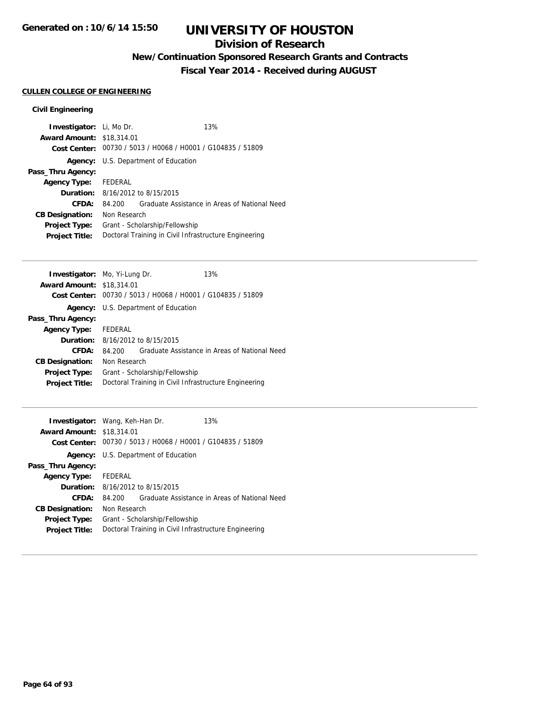## **Division of Research**

**New/Continuation Sponsored Research Grants and Contracts**

**Fiscal Year 2014 - Received during AUGUST**

## **CULLEN COLLEGE OF ENGINEERING**

| <b>Investigator:</b> Li, Mo Dr.  |              |                                                             | 13%                                           |
|----------------------------------|--------------|-------------------------------------------------------------|-----------------------------------------------|
| <b>Award Amount: \$18,314.01</b> |              |                                                             |                                               |
|                                  |              | Cost Center: 00730 / 5013 / H0068 / H0001 / G104835 / 51809 |                                               |
|                                  |              | Agency: U.S. Department of Education                        |                                               |
| Pass_Thru Agency:                |              |                                                             |                                               |
| <b>Agency Type:</b>              | FEDERAL      |                                                             |                                               |
|                                  |              | <b>Duration:</b> 8/16/2012 to 8/15/2015                     |                                               |
| CFDA:                            | 84.200       |                                                             | Graduate Assistance in Areas of National Need |
| <b>CB Designation:</b>           | Non Research |                                                             |                                               |
| <b>Project Type:</b>             |              | Grant - Scholarship/Fellowship                              |                                               |
| <b>Project Title:</b>            |              | Doctoral Training in Civil Infrastructure Engineering       |                                               |

|                                                       |  | 13%                                                                                                                                                                                                                                               |
|-------------------------------------------------------|--|---------------------------------------------------------------------------------------------------------------------------------------------------------------------------------------------------------------------------------------------------|
|                                                       |  |                                                                                                                                                                                                                                                   |
|                                                       |  |                                                                                                                                                                                                                                                   |
|                                                       |  |                                                                                                                                                                                                                                                   |
|                                                       |  |                                                                                                                                                                                                                                                   |
| FEDERAL                                               |  |                                                                                                                                                                                                                                                   |
|                                                       |  |                                                                                                                                                                                                                                                   |
| 84.200                                                |  | Graduate Assistance in Areas of National Need                                                                                                                                                                                                     |
|                                                       |  |                                                                                                                                                                                                                                                   |
| Grant - Scholarship/Fellowship                        |  |                                                                                                                                                                                                                                                   |
| Doctoral Training in Civil Infrastructure Engineering |  |                                                                                                                                                                                                                                                   |
|                                                       |  | <b>Investigator:</b> Mo, Yi-Lung Dr.<br><b>Award Amount: \$18,314.01</b><br>Cost Center: 00730 / 5013 / H0068 / H0001 / G104835 / 51809<br><b>Agency:</b> U.S. Department of Education<br><b>Duration:</b> 8/16/2012 to 8/15/2015<br>Non Research |

| <b>Investigator:</b> Wang, Keh-Han Dr. |                                                       |                                                             | 13%                                           |
|----------------------------------------|-------------------------------------------------------|-------------------------------------------------------------|-----------------------------------------------|
| <b>Award Amount: \$18,314.01</b>       |                                                       |                                                             |                                               |
|                                        |                                                       | Cost Center: 00730 / 5013 / H0068 / H0001 / G104835 / 51809 |                                               |
|                                        |                                                       | Agency: U.S. Department of Education                        |                                               |
| Pass_Thru Agency:                      |                                                       |                                                             |                                               |
| <b>Agency Type:</b>                    | FEDERAL                                               |                                                             |                                               |
|                                        |                                                       | <b>Duration:</b> 8/16/2012 to 8/15/2015                     |                                               |
| CFDA:                                  | 84.200                                                |                                                             | Graduate Assistance in Areas of National Need |
| <b>CB Designation:</b>                 | Non Research                                          |                                                             |                                               |
| <b>Project Type:</b>                   | Grant - Scholarship/Fellowship                        |                                                             |                                               |
| <b>Project Title:</b>                  | Doctoral Training in Civil Infrastructure Engineering |                                                             |                                               |
|                                        |                                                       |                                                             |                                               |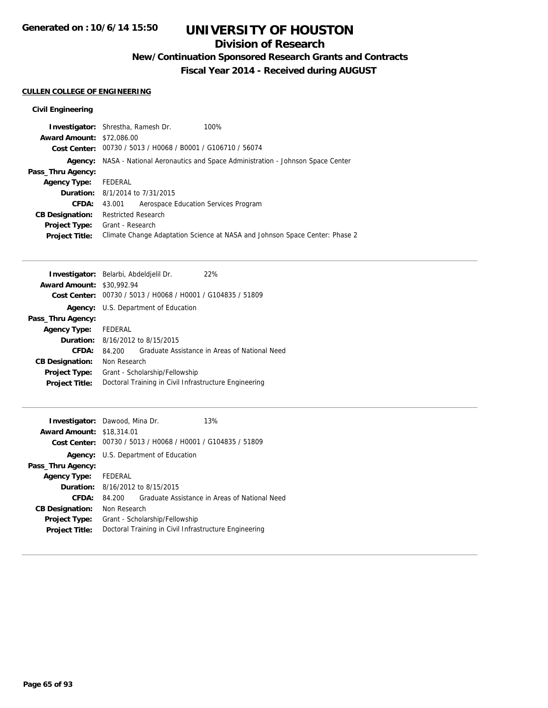## **Division of Research**

**New/Continuation Sponsored Research Grants and Contracts**

**Fiscal Year 2014 - Received during AUGUST**

### **CULLEN COLLEGE OF ENGINEERING**

|                                  | <b>Investigator:</b> Shrestha, Ramesh Dr.                   | 100%                                                                        |
|----------------------------------|-------------------------------------------------------------|-----------------------------------------------------------------------------|
| <b>Award Amount: \$72,086.00</b> |                                                             |                                                                             |
|                                  | Cost Center: 00730 / 5013 / H0068 / B0001 / G106710 / 56074 |                                                                             |
| Agency:                          |                                                             | NASA - National Aeronautics and Space Administration - Johnson Space Center |
| Pass_Thru Agency:                |                                                             |                                                                             |
| <b>Agency Type:</b>              | FEDERAL                                                     |                                                                             |
|                                  | <b>Duration:</b> 8/1/2014 to 7/31/2015                      |                                                                             |
| <b>CFDA:</b>                     | Aerospace Education Services Program<br>43.001              |                                                                             |
| <b>CB Designation:</b>           | <b>Restricted Research</b>                                  |                                                                             |
| <b>Project Type:</b>             | Grant - Research                                            |                                                                             |
| <b>Project Title:</b>            |                                                             | Climate Change Adaptation Science at NASA and Johnson Space Center: Phase 2 |
|                                  |                                                             |                                                                             |

| Investigator: Belarbi, Abdeldjelil Dr. |              |                                                             | 22%                                           |
|----------------------------------------|--------------|-------------------------------------------------------------|-----------------------------------------------|
| <b>Award Amount: \$30,992.94</b>       |              |                                                             |                                               |
|                                        |              | Cost Center: 00730 / 5013 / H0068 / H0001 / G104835 / 51809 |                                               |
|                                        |              | Agency: U.S. Department of Education                        |                                               |
| Pass_Thru Agency:                      |              |                                                             |                                               |
| <b>Agency Type:</b>                    | FEDERAL      |                                                             |                                               |
|                                        |              | <b>Duration:</b> $8/16/2012$ to $8/15/2015$                 |                                               |
| CFDA:                                  | 84.200       |                                                             | Graduate Assistance in Areas of National Need |
| <b>CB Designation:</b>                 | Non Research |                                                             |                                               |
| <b>Project Type:</b>                   |              | Grant - Scholarship/Fellowship                              |                                               |
| <b>Project Title:</b>                  |              | Doctoral Training in Civil Infrastructure Engineering       |                                               |
|                                        |              |                                                             |                                               |

| <b>Investigator:</b> Dawood, Mina Dr. |              |                                                             | 13%                                           |
|---------------------------------------|--------------|-------------------------------------------------------------|-----------------------------------------------|
| <b>Award Amount: \$18,314.01</b>      |              |                                                             |                                               |
|                                       |              | Cost Center: 00730 / 5013 / H0068 / H0001 / G104835 / 51809 |                                               |
|                                       |              | <b>Agency:</b> U.S. Department of Education                 |                                               |
| Pass_Thru Agency:                     |              |                                                             |                                               |
| <b>Agency Type:</b>                   | FEDERAL      |                                                             |                                               |
|                                       |              | <b>Duration:</b> 8/16/2012 to 8/15/2015                     |                                               |
| CFDA:                                 | 84.200       |                                                             | Graduate Assistance in Areas of National Need |
| <b>CB Designation:</b>                | Non Research |                                                             |                                               |
| <b>Project Type:</b>                  |              | Grant - Scholarship/Fellowship                              |                                               |
| <b>Project Title:</b>                 |              | Doctoral Training in Civil Infrastructure Engineering       |                                               |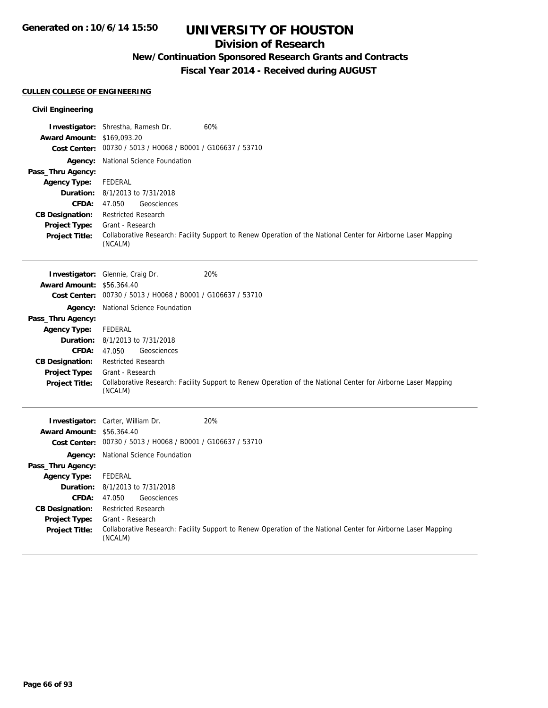## **Division of Research**

**New/Continuation Sponsored Research Grants and Contracts**

**Fiscal Year 2014 - Received during AUGUST**

### **CULLEN COLLEGE OF ENGINEERING**

| <b>Award Amount: \$169,093.20</b> | Investigator: Shrestha, Ramesh Dr.                          | 60%                                                                                                           |
|-----------------------------------|-------------------------------------------------------------|---------------------------------------------------------------------------------------------------------------|
|                                   | Cost Center: 00730 / 5013 / H0068 / B0001 / G106637 / 53710 |                                                                                                               |
| Agency:                           | National Science Foundation                                 |                                                                                                               |
| Pass_Thru Agency:                 |                                                             |                                                                                                               |
| <b>Agency Type:</b>               | <b>FEDERAL</b>                                              |                                                                                                               |
| Duration:                         | 8/1/2013 to 7/31/2018                                       |                                                                                                               |
| CFDA:                             | 47.050<br>Geosciences                                       |                                                                                                               |
| <b>CB Designation:</b>            | <b>Restricted Research</b>                                  |                                                                                                               |
| Project Type:                     | Grant - Research                                            |                                                                                                               |
| <b>Project Title:</b>             | (NCALM)                                                     | Collaborative Research: Facility Support to Renew Operation of the National Center for Airborne Laser Mapping |
|                                   | Investigator: Glennie, Craig Dr.                            | 20%                                                                                                           |
| <b>Award Amount: \$56,364.40</b>  |                                                             |                                                                                                               |
|                                   | Cost Center: 00730 / 5013 / H0068 / B0001 / G106637 / 53710 |                                                                                                               |
| Agency:                           | National Science Foundation                                 |                                                                                                               |
| Pass_Thru Agency:                 |                                                             |                                                                                                               |
| <b>Agency Type:</b>               | <b>FEDERAL</b>                                              |                                                                                                               |
| Duration:                         | 8/1/2013 to 7/31/2018                                       |                                                                                                               |
| <b>CFDA:</b>                      | 47.050<br>Geosciences                                       |                                                                                                               |
| <b>CB Designation:</b>            | <b>Restricted Research</b>                                  |                                                                                                               |
| Project Type:                     | Grant - Research                                            |                                                                                                               |
| Project Title:                    | (NCALM)                                                     | Collaborative Research: Facility Support to Renew Operation of the National Center for Airborne Laser Mapping |
|                                   | <b>Investigator:</b> Carter, William Dr.                    | 20%                                                                                                           |
| <b>Award Amount: \$56,364.40</b>  |                                                             |                                                                                                               |
|                                   | Cost Center: 00730 / 5013 / H0068 / B0001 / G106637 / 53710 |                                                                                                               |
| Agency:                           | National Science Foundation                                 |                                                                                                               |
| Pass_Thru Agency:                 |                                                             |                                                                                                               |
| <b>Agency Type:</b>               | <b>FEDERAL</b>                                              |                                                                                                               |
| Duration:                         | 8/1/2013 to 7/31/2018                                       |                                                                                                               |
| <b>CFDA:</b>                      | 47.050<br>Geosciences                                       |                                                                                                               |
| <b>CB Designation:</b>            | <b>Restricted Research</b>                                  |                                                                                                               |
| Project Type:                     | Grant - Research                                            |                                                                                                               |
| <b>Project Title:</b>             | (NCALM)                                                     | Collaborative Research: Facility Support to Renew Operation of the National Center for Airborne Laser Mapping |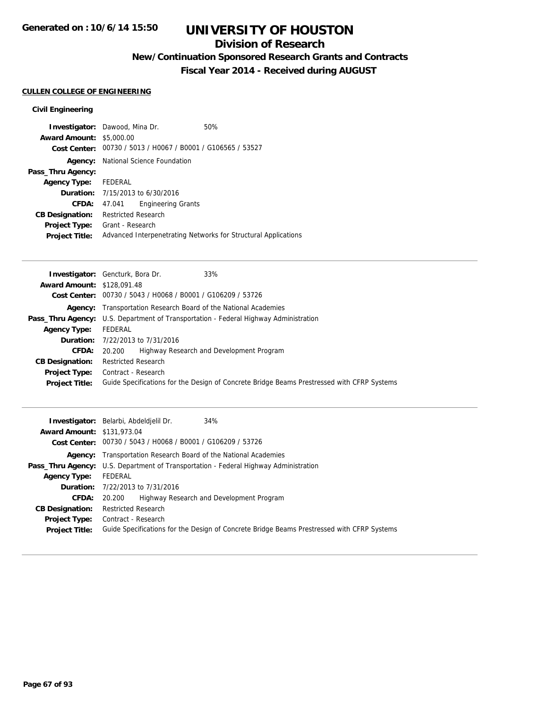## **Division of Research**

**New/Continuation Sponsored Research Grants and Contracts**

**Fiscal Year 2014 - Received during AUGUST**

### **CULLEN COLLEGE OF ENGINEERING**

|                                 | <b>Investigator:</b> Dawood, Mina Dr.                       | 50%                                                            |
|---------------------------------|-------------------------------------------------------------|----------------------------------------------------------------|
| <b>Award Amount: \$5,000.00</b> |                                                             |                                                                |
|                                 | Cost Center: 00730 / 5013 / H0067 / B0001 / G106565 / 53527 |                                                                |
|                                 | <b>Agency:</b> National Science Foundation                  |                                                                |
| Pass_Thru Agency:               |                                                             |                                                                |
| Agency Type: FEDERAL            |                                                             |                                                                |
|                                 | <b>Duration:</b> 7/15/2013 to 6/30/2016                     |                                                                |
| CFDA:                           | <b>Engineering Grants</b><br>47.041                         |                                                                |
| <b>CB Designation:</b>          | <b>Restricted Research</b>                                  |                                                                |
| <b>Project Type:</b>            | Grant - Research                                            |                                                                |
| <b>Project Title:</b>           |                                                             | Advanced Interpenetrating Networks for Structural Applications |

| 33%<br><b>Investigator:</b> Gencturk, Bora Dr.                                              |
|---------------------------------------------------------------------------------------------|
| <b>Award Amount: \$128,091.48</b>                                                           |
| Cost Center: 00730 / 5043 / H0068 / B0001 / G106209 / 53726                                 |
| <b>Agency:</b> Transportation Research Board of the National Academies                      |
| <b>Pass_Thru Agency:</b> U.S. Department of Transportation - Federal Highway Administration |
| FEDERAL                                                                                     |
| <b>Duration:</b> 7/22/2013 to 7/31/2016                                                     |
| Highway Research and Development Program<br>20.200                                          |
| <b>Restricted Research</b>                                                                  |
| <b>Project Type:</b> Contract - Research                                                    |
| Guide Specifications for the Design of Concrete Bridge Beams Prestressed with CFRP Systems  |
|                                                                                             |

|                                   | 34%<br><b>Investigator:</b> Belarbi, Abdeldielil Dr.                                        |
|-----------------------------------|---------------------------------------------------------------------------------------------|
| <b>Award Amount: \$131,973.04</b> |                                                                                             |
|                                   | Cost Center: 00730 / 5043 / H0068 / B0001 / G106209 / 53726                                 |
|                                   | <b>Agency:</b> Transportation Research Board of the National Academies                      |
|                                   | <b>Pass_Thru Agency:</b> U.S. Department of Transportation - Federal Highway Administration |
| <b>Agency Type:</b>               | FEDERAL                                                                                     |
|                                   | <b>Duration:</b> 7/22/2013 to 7/31/2016                                                     |
| <b>CFDA:</b>                      | Highway Research and Development Program<br>20.200                                          |
| <b>CB Designation:</b>            | <b>Restricted Research</b>                                                                  |
|                                   | <b>Project Type:</b> Contract - Research                                                    |
| <b>Project Title:</b>             | Guide Specifications for the Design of Concrete Bridge Beams Prestressed with CFRP Systems  |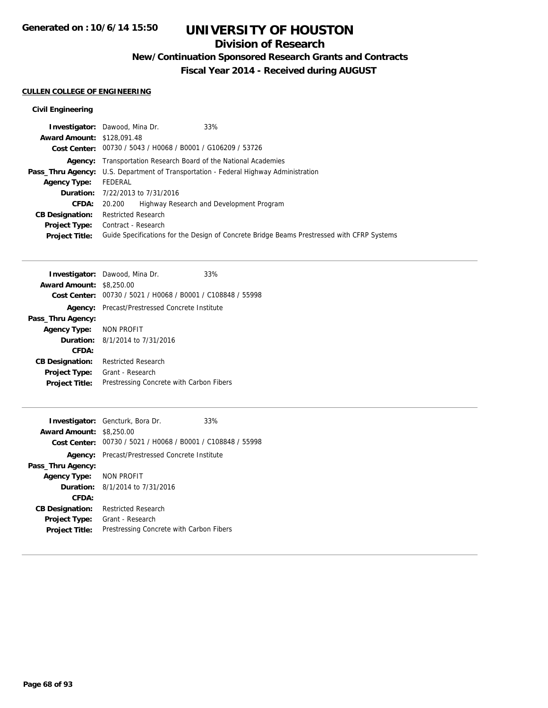## **Division of Research**

**New/Continuation Sponsored Research Grants and Contracts**

**Fiscal Year 2014 - Received during AUGUST**

### **CULLEN COLLEGE OF ENGINEERING**

|                                   | <b>Investigator:</b> Dawood, Mina Dr.<br>33%                                                |
|-----------------------------------|---------------------------------------------------------------------------------------------|
| <b>Award Amount: \$128,091.48</b> |                                                                                             |
|                                   | Cost Center: 00730 / 5043 / H0068 / B0001 / G106209 / 53726                                 |
|                                   | <b>Agency:</b> Transportation Research Board of the National Academies                      |
|                                   | <b>Pass_Thru Agency:</b> U.S. Department of Transportation - Federal Highway Administration |
| <b>Agency Type:</b>               | FEDERAL                                                                                     |
|                                   | <b>Duration:</b> 7/22/2013 to 7/31/2016                                                     |
| <b>CFDA:</b>                      | Highway Research and Development Program<br>20.200                                          |
| <b>CB Designation:</b>            | <b>Restricted Research</b>                                                                  |
| <b>Project Type:</b>              | Contract - Research                                                                         |
| <b>Project Title:</b>             | Guide Specifications for the Design of Concrete Bridge Beams Prestressed with CFRP Systems  |
|                                   |                                                                                             |

|                                 | <b>Investigator:</b> Dawood, Mina Dr.                       | 33% |
|---------------------------------|-------------------------------------------------------------|-----|
| <b>Award Amount: \$8,250.00</b> |                                                             |     |
|                                 | Cost Center: 00730 / 5021 / H0068 / B0001 / C108848 / 55998 |     |
| Agency:                         | Precast/Prestressed Concrete Institute                      |     |
| Pass_Thru Agency:               |                                                             |     |
| Agency Type: NON PROFIT         |                                                             |     |
|                                 | <b>Duration:</b> 8/1/2014 to 7/31/2016                      |     |
| CFDA:                           |                                                             |     |
| <b>CB Designation:</b>          | <b>Restricted Research</b>                                  |     |
| <b>Project Type:</b>            | Grant - Research                                            |     |
| <b>Project Title:</b>           | Prestressing Concrete with Carbon Fibers                    |     |
|                                 |                                                             |     |

|                                 | <b>Investigator:</b> Gencturk, Bora Dr.                     | 33% |
|---------------------------------|-------------------------------------------------------------|-----|
| <b>Award Amount: \$8,250.00</b> |                                                             |     |
|                                 | Cost Center: 00730 / 5021 / H0068 / B0001 / C108848 / 55998 |     |
| Agency:                         | Precast/Prestressed Concrete Institute                      |     |
| Pass_Thru Agency:               |                                                             |     |
| Agency Type: NON PROFIT         |                                                             |     |
|                                 | <b>Duration:</b> 8/1/2014 to 7/31/2016                      |     |
| CFDA:                           |                                                             |     |
| <b>CB Designation:</b>          | <b>Restricted Research</b>                                  |     |
| <b>Project Type:</b>            | Grant - Research                                            |     |
| <b>Project Title:</b>           | Prestressing Concrete with Carbon Fibers                    |     |
|                                 |                                                             |     |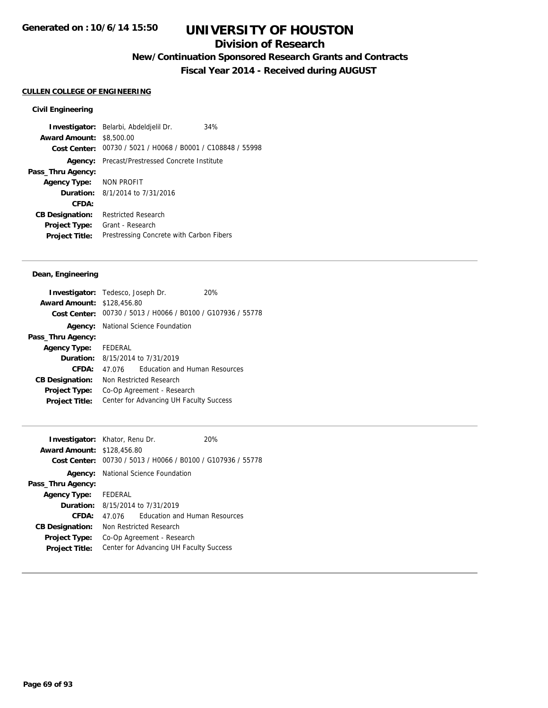## **Division of Research**

**New/Continuation Sponsored Research Grants and Contracts**

**Fiscal Year 2014 - Received during AUGUST**

### **CULLEN COLLEGE OF ENGINEERING**

### **Civil Engineering**

**Investigator:** Belarbi, Abdeldjelil Dr. 34% **Award Amount:** \$8,500.00 **Cost Center:** 00730 / 5021 / H0068 / B0001 / C108848 / 55998 **Agency:** Precast/Prestressed Concrete Institute **Pass\_Thru Agency: Agency Type:** NON PROFIT **Duration:** 8/1/2014 to 7/31/2016 **CFDA: CB Designation:** Restricted Research **Project Type:** Grant - Research **Project Title:** Prestressing Concrete with Carbon Fibers

### **Dean, Engineering**

| <b>Investigator:</b> Tedesco, Joseph Dr. |         |                                                             | 20% |
|------------------------------------------|---------|-------------------------------------------------------------|-----|
| <b>Award Amount: \$128,456.80</b>        |         |                                                             |     |
|                                          |         | Cost Center: 00730 / 5013 / H0066 / B0100 / G107936 / 55778 |     |
|                                          |         | <b>Agency:</b> National Science Foundation                  |     |
| Pass_Thru Agency:                        |         |                                                             |     |
| <b>Agency Type:</b>                      | FEDERAL |                                                             |     |
|                                          |         | <b>Duration:</b> 8/15/2014 to 7/31/2019                     |     |
| CFDA:                                    | 47 076  | <b>Education and Human Resources</b>                        |     |
| <b>CB Designation:</b>                   |         | Non Restricted Research                                     |     |
| <b>Project Type:</b>                     |         | Co-Op Agreement - Research                                  |     |
| <b>Project Title:</b>                    |         | Center for Advancing UH Faculty Success                     |     |

| <b>Investigator:</b> Khator, Renu Dr. |         |                                                             | 20% |
|---------------------------------------|---------|-------------------------------------------------------------|-----|
| <b>Award Amount: \$128,456.80</b>     |         |                                                             |     |
|                                       |         | Cost Center: 00730 / 5013 / H0066 / B0100 / G107936 / 55778 |     |
|                                       |         | <b>Agency:</b> National Science Foundation                  |     |
| Pass_Thru Agency:                     |         |                                                             |     |
| <b>Agency Type:</b>                   | FEDERAL |                                                             |     |
|                                       |         | <b>Duration:</b> 8/15/2014 to 7/31/2019                     |     |
| CFDA:                                 | 47.076  | <b>Education and Human Resources</b>                        |     |
| <b>CB Designation:</b>                |         | Non Restricted Research                                     |     |
| <b>Project Type:</b>                  |         | Co-Op Agreement - Research                                  |     |
| <b>Project Title:</b>                 |         | Center for Advancing UH Faculty Success                     |     |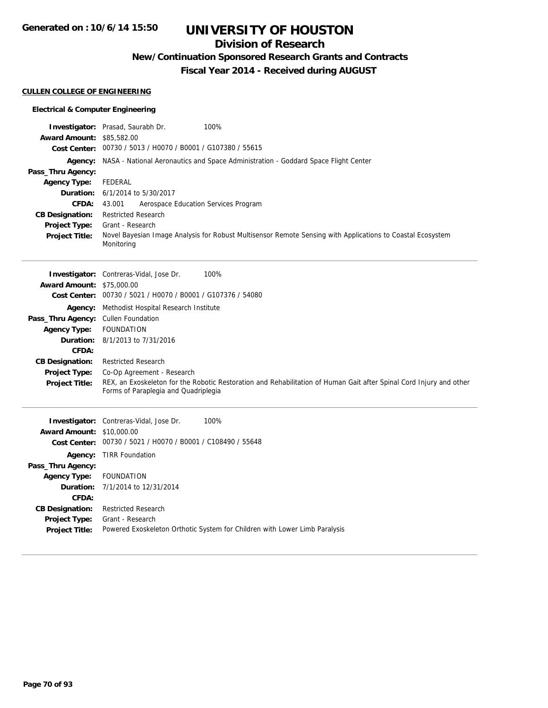**Generated on : 10/6/14 15:50**

# **UNIVERSITY OF HOUSTON**

## **Division of Research**

**New/Continuation Sponsored Research Grants and Contracts**

**Fiscal Year 2014 - Received during AUGUST**

### **CULLEN COLLEGE OF ENGINEERING**

### **Electrical & Computer Engineering**

| <b>Award Amount: \$85,582.00</b>    | Investigator: Prasad, Saurabh Dr.<br>100%                                                                                                         |
|-------------------------------------|---------------------------------------------------------------------------------------------------------------------------------------------------|
|                                     | Cost Center: 00730 / 5013 / H0070 / B0001 / G107380 / 55615                                                                                       |
| Pass_Thru Agency:                   | Agency: NASA - National Aeronautics and Space Administration - Goddard Space Flight Center                                                        |
| <b>Agency Type:</b>                 | <b>FEDERAL</b>                                                                                                                                    |
|                                     | <b>Duration:</b> 6/1/2014 to 5/30/2017                                                                                                            |
| <b>CFDA:</b>                        | 43.001<br>Aerospace Education Services Program                                                                                                    |
| <b>CB Designation:</b>              | <b>Restricted Research</b>                                                                                                                        |
| Project Type:                       | Grant - Research                                                                                                                                  |
| <b>Project Title:</b>               | Novel Bayesian Image Analysis for Robust Multisensor Remote Sensing with Applications to Coastal Ecosystem<br>Monitoring                          |
| <b>Award Amount: \$75,000.00</b>    | 100%<br><b>Investigator:</b> Contreras-Vidal, Jose Dr.                                                                                            |
|                                     | Cost Center: 00730 / 5021 / H0070 / B0001 / G107376 / 54080                                                                                       |
|                                     | <b>Agency:</b> Methodist Hospital Research Institute                                                                                              |
| Pass_Thru Agency: Cullen Foundation |                                                                                                                                                   |
| <b>Agency Type:</b>                 | <b>FOUNDATION</b>                                                                                                                                 |
|                                     | <b>Duration:</b> 8/1/2013 to 7/31/2016                                                                                                            |
| CFDA:                               |                                                                                                                                                   |
| <b>CB Designation:</b>              | <b>Restricted Research</b>                                                                                                                        |
| <b>Project Type:</b>                | Co-Op Agreement - Research<br>REX, an Exoskeleton for the Robotic Restoration and Rehabilitation of Human Gait after Spinal Cord Injury and other |
| <b>Project Title:</b>               | Forms of Paraplegia and Quadriplegia                                                                                                              |
|                                     | 100%<br>Investigator: Contreras-Vidal, Jose Dr.                                                                                                   |
| <b>Award Amount: \$10,000.00</b>    |                                                                                                                                                   |
|                                     | Cost Center: 00730 / 5021 / H0070 / B0001 / C108490 / 55648                                                                                       |
|                                     | Agency: TIRR Foundation                                                                                                                           |
| Pass_Thru Agency:                   |                                                                                                                                                   |
| <b>Agency Type:</b>                 | <b>FOUNDATION</b>                                                                                                                                 |
| Duration:                           | 7/1/2014 to 12/31/2014                                                                                                                            |
| CFDA:                               |                                                                                                                                                   |
| <b>CB Designation:</b>              | <b>Restricted Research</b>                                                                                                                        |
| <b>Project Type:</b>                | Grant - Research<br>Powered Exoskeleton Orthotic System for Children with Lower Limb Paralysis                                                    |
| <b>Project Title:</b>               |                                                                                                                                                   |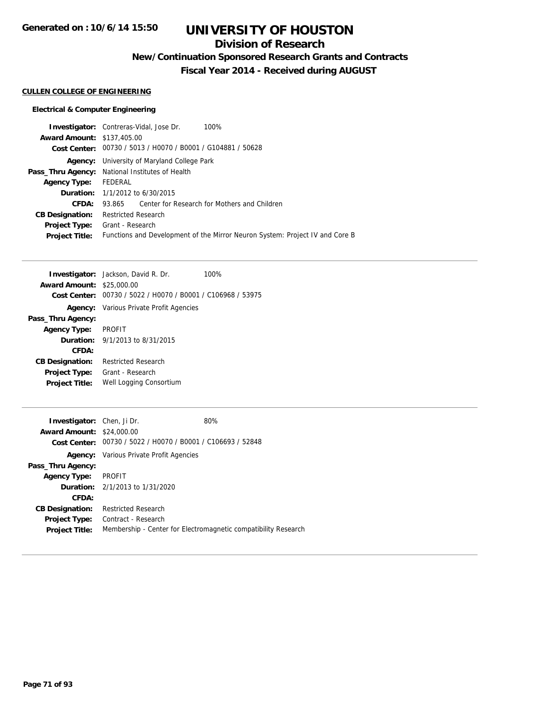## **Division of Research**

**New/Continuation Sponsored Research Grants and Contracts**

**Fiscal Year 2014 - Received during AUGUST**

### **CULLEN COLLEGE OF ENGINEERING**

### **Electrical & Computer Engineering**

| <b>Investigator:</b> Contreras-Vidal, Jose Dr. |                                                                              |  | 100%                                         |
|------------------------------------------------|------------------------------------------------------------------------------|--|----------------------------------------------|
| <b>Award Amount: \$137,405.00</b>              |                                                                              |  |                                              |
|                                                | Cost Center: 00730 / 5013 / H0070 / B0001 / G104881 / 50628                  |  |                                              |
| Agency:                                        | University of Maryland College Park                                          |  |                                              |
|                                                | <b>Pass_Thru Agency:</b> National Institutes of Health                       |  |                                              |
| <b>Agency Type:</b>                            | FEDERAL                                                                      |  |                                              |
|                                                | <b>Duration:</b> 1/1/2012 to 6/30/2015                                       |  |                                              |
| CFDA:                                          | 93.865                                                                       |  | Center for Research for Mothers and Children |
| <b>CB Designation:</b>                         | <b>Restricted Research</b>                                                   |  |                                              |
| <b>Project Type:</b>                           | Grant - Research                                                             |  |                                              |
| <b>Project Title:</b>                          | Functions and Development of the Mirror Neuron System: Project IV and Core B |  |                                              |
|                                                |                                                                              |  |                                              |

|                                  | <b>Investigator:</b> Jackson, David R. Dr.                  | 100% |
|----------------------------------|-------------------------------------------------------------|------|
| <b>Award Amount: \$25,000.00</b> |                                                             |      |
|                                  | Cost Center: 00730 / 5022 / H0070 / B0001 / C106968 / 53975 |      |
|                                  | <b>Agency:</b> Various Private Profit Agencies              |      |
| Pass_Thru Agency:                |                                                             |      |
| <b>Agency Type:</b>              | <b>PROFIT</b>                                               |      |
|                                  | <b>Duration:</b> $9/1/2013$ to $8/31/2015$                  |      |
| CFDA:                            |                                                             |      |
| <b>CB Designation:</b>           | <b>Restricted Research</b>                                  |      |
| <b>Project Type:</b>             | Grant - Research                                            |      |
| <b>Project Title:</b>            | Well Logging Consortium                                     |      |

| <b>Investigator:</b> Chen, Ji Dr. |                                                             | 80%                                                            |
|-----------------------------------|-------------------------------------------------------------|----------------------------------------------------------------|
| <b>Award Amount: \$24,000.00</b>  |                                                             |                                                                |
|                                   | Cost Center: 00730 / 5022 / H0070 / B0001 / C106693 / 52848 |                                                                |
|                                   | <b>Agency:</b> Various Private Profit Agencies              |                                                                |
| Pass_Thru Agency:                 |                                                             |                                                                |
| <b>Agency Type:</b>               | PROFIT                                                      |                                                                |
|                                   | <b>Duration:</b> 2/1/2013 to 1/31/2020                      |                                                                |
| CFDA:                             |                                                             |                                                                |
| <b>CB Designation:</b>            | Restricted Research                                         |                                                                |
| <b>Project Type:</b>              | Contract - Research                                         |                                                                |
| <b>Project Title:</b>             |                                                             | Membership - Center for Electromagnetic compatibility Research |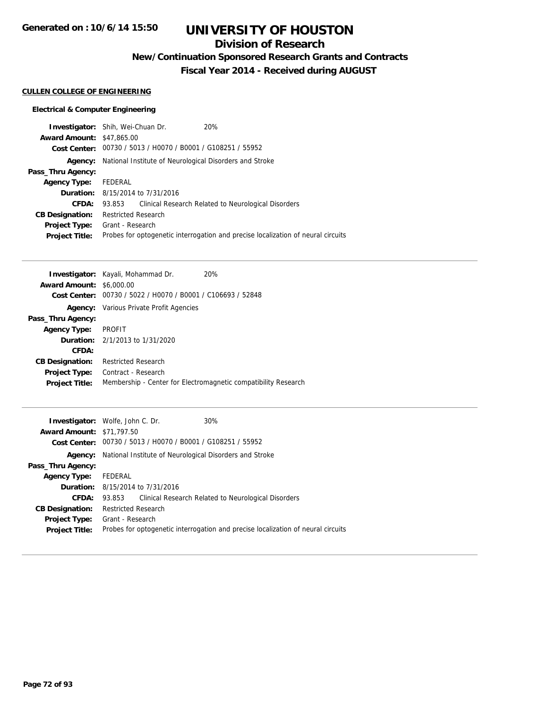## **Division of Research**

**New/Continuation Sponsored Research Grants and Contracts**

**Fiscal Year 2014 - Received during AUGUST**

### **CULLEN COLLEGE OF ENGINEERING**

### **Electrical & Computer Engineering**

|                                  | <b>Investigator:</b> Shih, Wei-Chuan Dr.                               | 20%                                                                              |  |
|----------------------------------|------------------------------------------------------------------------|----------------------------------------------------------------------------------|--|
| <b>Award Amount: \$47,865.00</b> |                                                                        |                                                                                  |  |
|                                  | Cost Center: 00730 / 5013 / H0070 / B0001 / G108251 / 55952            |                                                                                  |  |
|                                  | <b>Agency:</b> National Institute of Neurological Disorders and Stroke |                                                                                  |  |
| Pass_Thru Agency:                |                                                                        |                                                                                  |  |
| Agency Type: FEDERAL             |                                                                        |                                                                                  |  |
|                                  | <b>Duration:</b> 8/15/2014 to 7/31/2016                                |                                                                                  |  |
| CFDA:                            | 93.853                                                                 | Clinical Research Related to Neurological Disorders                              |  |
| <b>CB Designation:</b>           | <b>Restricted Research</b>                                             |                                                                                  |  |
| <b>Project Type:</b>             | Grant - Research                                                       |                                                                                  |  |
| <b>Project Title:</b>            |                                                                        | Probes for optogenetic interrogation and precise localization of neural circuits |  |
|                                  |                                                                        |                                                                                  |  |

|                                 | <b>Investigator:</b> Kayali, Mohammad Dr.      | <b>20%</b>                                                     |
|---------------------------------|------------------------------------------------|----------------------------------------------------------------|
| <b>Award Amount: \$6,000.00</b> |                                                |                                                                |
| Cost Center:                    | 00730 / 5022 / H0070 / B0001 / C106693 / 52848 |                                                                |
| Agency:                         | Various Private Profit Agencies                |                                                                |
| Pass_Thru Agency:               |                                                |                                                                |
| <b>Agency Type:</b>             | <b>PROFIT</b>                                  |                                                                |
|                                 | <b>Duration:</b> 2/1/2013 to 1/31/2020         |                                                                |
| CFDA:                           |                                                |                                                                |
| <b>CB Designation:</b>          | <b>Restricted Research</b>                     |                                                                |
| <b>Project Type:</b>            | Contract - Research                            |                                                                |
| <b>Project Title:</b>           |                                                | Membership - Center for Electromagnetic compatibility Research |

|                                  | <b>Investigator:</b> Wolfe, John C. Dr.                                | 30%                                                                              |  |
|----------------------------------|------------------------------------------------------------------------|----------------------------------------------------------------------------------|--|
| <b>Award Amount: \$71,797.50</b> |                                                                        |                                                                                  |  |
|                                  | Cost Center: 00730 / 5013 / H0070 / B0001 / G108251 / 55952            |                                                                                  |  |
|                                  | <b>Agency:</b> National Institute of Neurological Disorders and Stroke |                                                                                  |  |
| Pass_Thru Agency:                |                                                                        |                                                                                  |  |
| Agency Type: FEDERAL             |                                                                        |                                                                                  |  |
|                                  | <b>Duration:</b> 8/15/2014 to 7/31/2016                                |                                                                                  |  |
| CFDA:                            | 93.853 Clinical Research Related to Neurological Disorders             |                                                                                  |  |
| <b>CB Designation:</b>           | Restricted Research                                                    |                                                                                  |  |
|                                  | <b>Project Type:</b> Grant - Research                                  |                                                                                  |  |
| <b>Project Title:</b>            |                                                                        | Probes for optogenetic interrogation and precise localization of neural circuits |  |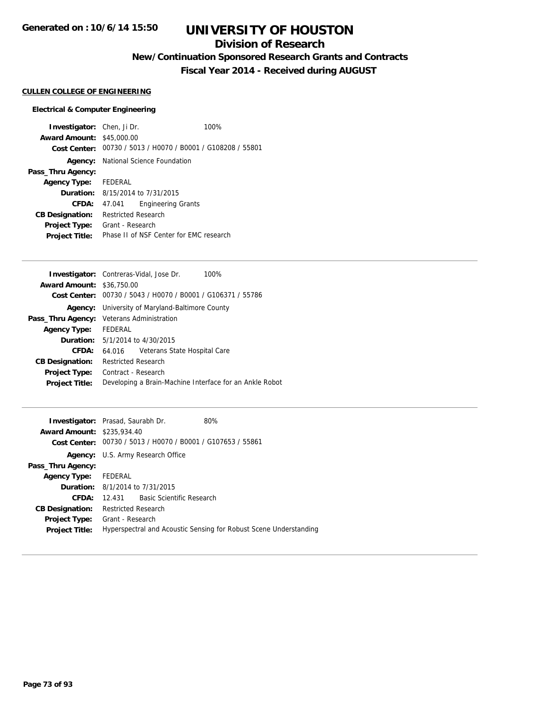## **Division of Research**

**New/Continuation Sponsored Research Grants and Contracts**

**Fiscal Year 2014 - Received during AUGUST**

#### **CULLEN COLLEGE OF ENGINEERING**

#### **Electrical & Computer Engineering**

**Investigator:** Chen, Ji Dr. 100% **Award Amount:** \$45,000.00 **Cost Center:** 00730 / 5013 / H0070 / B0001 / G108208 / 55801 **Agency:** National Science Foundation **Pass\_Thru Agency: Agency Type:** FEDERAL **Duration:** 8/15/2014 to 7/31/2015 **CFDA:** 47.041 Engineering Grants **CB Designation:** Restricted Research **Project Type:** Grant - Research **Project Title:** Phase II of NSF Center for EMC research

|                                  | <b>Investigator:</b> Contreras-Vidal, Jose Dr.<br>100%      |  |  |
|----------------------------------|-------------------------------------------------------------|--|--|
| <b>Award Amount: \$36,750.00</b> |                                                             |  |  |
|                                  | Cost Center: 00730 / 5043 / H0070 / B0001 / G106371 / 55786 |  |  |
| Agency:                          | University of Maryland-Baltimore County                     |  |  |
|                                  | <b>Pass_Thru Agency:</b> Veterans Administration            |  |  |
| Agency Type: FEDERAL             |                                                             |  |  |
|                                  | <b>Duration:</b> 5/1/2014 to 4/30/2015                      |  |  |
| CFDA:                            | Veterans State Hospital Care<br>64.016                      |  |  |
| <b>CB Designation:</b>           | <b>Restricted Research</b>                                  |  |  |
| <b>Project Type:</b>             | Contract - Research                                         |  |  |
| <b>Project Title:</b>            | Developing a Brain-Machine Interface for an Ankle Robot     |  |  |
|                                  |                                                             |  |  |

|                                   | <b>Investigator:</b> Prasad, Saurabh Dr.   | 80%                                                               |  |
|-----------------------------------|--------------------------------------------|-------------------------------------------------------------------|--|
| <b>Award Amount: \$235,934.40</b> |                                            |                                                                   |  |
|                                   |                                            | Cost Center: 00730 / 5013 / H0070 / B0001 / G107653 / 55861       |  |
|                                   | Agency: U.S. Army Research Office          |                                                                   |  |
| Pass_Thru Agency:                 |                                            |                                                                   |  |
| Agency Type: FEDERAL              |                                            |                                                                   |  |
|                                   | <b>Duration:</b> $8/1/2014$ to $7/31/2015$ |                                                                   |  |
| CFDA:                             | 12.431 Basic Scientific Research           |                                                                   |  |
| <b>CB Designation:</b>            | <b>Restricted Research</b>                 |                                                                   |  |
|                                   | <b>Project Type:</b> Grant - Research      |                                                                   |  |
| <b>Project Title:</b>             |                                            | Hyperspectral and Acoustic Sensing for Robust Scene Understanding |  |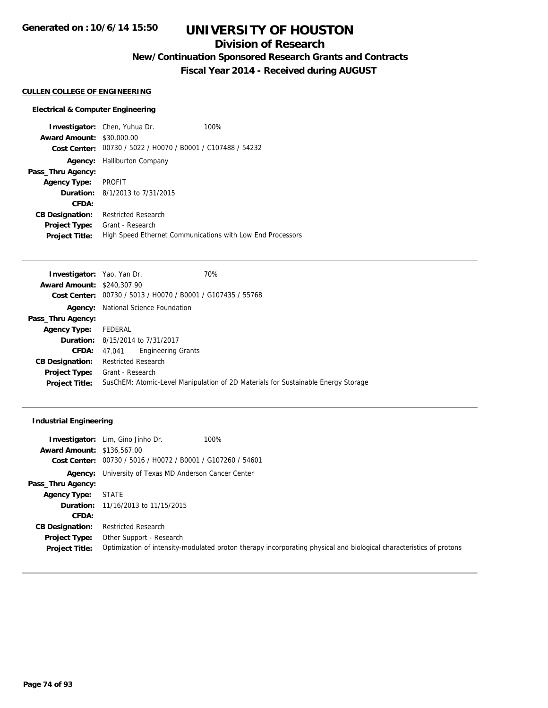## **Division of Research**

**New/Continuation Sponsored Research Grants and Contracts**

**Fiscal Year 2014 - Received during AUGUST**

#### **CULLEN COLLEGE OF ENGINEERING**

#### **Electrical & Computer Engineering**

**Investigator:** Chen, Yuhua Dr. 100% **Award Amount:** \$30,000.00 **Cost Center:** 00730 / 5022 / H0070 / B0001 / C107488 / 54232 **Agency:** Halliburton Company **Pass\_Thru Agency: Agency Type:** PROFIT **Duration:** 8/1/2013 to 7/31/2015 **CFDA: CB Designation:** Restricted Research **Project Type:** Grant - Research **Project Title:** High Speed Ethernet Communications with Low End Processors

| <b>Investigator:</b> Yao, Yan Dr. |                            |                                                             | 70%                                                                               |
|-----------------------------------|----------------------------|-------------------------------------------------------------|-----------------------------------------------------------------------------------|
| <b>Award Amount: \$240,307.90</b> |                            |                                                             |                                                                                   |
|                                   |                            | Cost Center: 00730 / 5013 / H0070 / B0001 / G107435 / 55768 |                                                                                   |
|                                   |                            | <b>Agency:</b> National Science Foundation                  |                                                                                   |
| Pass_Thru Agency:                 |                            |                                                             |                                                                                   |
| <b>Agency Type:</b>               | FEDERAL                    |                                                             |                                                                                   |
|                                   |                            | <b>Duration:</b> 8/15/2014 to 7/31/2017                     |                                                                                   |
| <b>CFDA:</b>                      | 47.041                     | <b>Engineering Grants</b>                                   |                                                                                   |
| <b>CB Designation:</b>            | <b>Restricted Research</b> |                                                             |                                                                                   |
| <b>Project Type:</b>              | Grant - Research           |                                                             |                                                                                   |
| <b>Project Title:</b>             |                            |                                                             | SusChEM: Atomic-Level Manipulation of 2D Materials for Sustainable Energy Storage |

#### **Industrial Engineering**

|                                   | 100%<br><b>Investigator:</b> Lim, Gino Jinho Dr.            |                                                                                                                     |
|-----------------------------------|-------------------------------------------------------------|---------------------------------------------------------------------------------------------------------------------|
| <b>Award Amount: \$136,567.00</b> |                                                             |                                                                                                                     |
|                                   | Cost Center: 00730 / 5016 / H0072 / B0001 / G107260 / 54601 |                                                                                                                     |
| Agency:                           | University of Texas MD Anderson Cancer Center               |                                                                                                                     |
| Pass_Thru Agency:                 |                                                             |                                                                                                                     |
| <b>Agency Type:</b>               | <b>STATE</b>                                                |                                                                                                                     |
|                                   | <b>Duration:</b> 11/16/2013 to 11/15/2015                   |                                                                                                                     |
| CFDA:                             |                                                             |                                                                                                                     |
| <b>CB Designation:</b>            | <b>Restricted Research</b>                                  |                                                                                                                     |
| <b>Project Type:</b>              | Other Support - Research                                    |                                                                                                                     |
| <b>Project Title:</b>             |                                                             | Optimization of intensity-modulated proton therapy incorporating physical and biological characteristics of protons |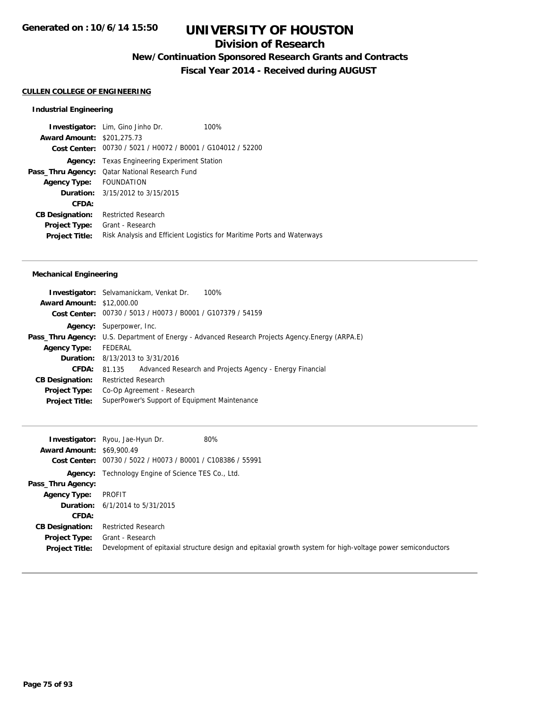## **Division of Research**

**New/Continuation Sponsored Research Grants and Contracts**

**Fiscal Year 2014 - Received during AUGUST**

#### **CULLEN COLLEGE OF ENGINEERING**

### **Industrial Engineering**

|                                   | <b>Investigator:</b> Lim, Gino Jinho Dr.                    | 100%                                                                   |
|-----------------------------------|-------------------------------------------------------------|------------------------------------------------------------------------|
| <b>Award Amount: \$201,275.73</b> |                                                             |                                                                        |
|                                   | Cost Center: 00730 / 5021 / H0072 / B0001 / G104012 / 52200 |                                                                        |
| Agency:                           | Texas Engineering Experiment Station                        |                                                                        |
|                                   | Pass_Thru Agency: Qatar National Research Fund              |                                                                        |
| Agency Type: FOUNDATION           |                                                             |                                                                        |
|                                   | <b>Duration:</b> $3/15/2012$ to $3/15/2015$                 |                                                                        |
| CFDA:                             |                                                             |                                                                        |
| <b>CB Designation:</b>            | <b>Restricted Research</b>                                  |                                                                        |
| <b>Project Type:</b>              | Grant - Research                                            |                                                                        |
| <b>Project Title:</b>             |                                                             | Risk Analysis and Efficient Logistics for Maritime Ports and Waterways |

### **Mechanical Engineering**

|                                  | <b>Investigator:</b> Selvamanickam, Venkat Dr.<br>100%                                                  |  |  |  |
|----------------------------------|---------------------------------------------------------------------------------------------------------|--|--|--|
| <b>Award Amount: \$12,000.00</b> |                                                                                                         |  |  |  |
|                                  | Cost Center: 00730 / 5013 / H0073 / B0001 / G107379 / 54159                                             |  |  |  |
|                                  | <b>Agency:</b> Superpower, Inc.                                                                         |  |  |  |
|                                  | <b>Pass_Thru Agency:</b> U.S. Department of Energy - Advanced Research Projects Agency. Energy (ARPA.E) |  |  |  |
| <b>Agency Type:</b>              | FEDERAL                                                                                                 |  |  |  |
|                                  | <b>Duration:</b> 8/13/2013 to 3/31/2016                                                                 |  |  |  |
| CFDA:                            | Advanced Research and Projects Agency - Energy Financial<br>81.135                                      |  |  |  |
| <b>CB Designation:</b>           | <b>Restricted Research</b>                                                                              |  |  |  |
| <b>Project Type:</b>             | Co-Op Agreement - Research                                                                              |  |  |  |
| <b>Project Title:</b>            | SuperPower's Support of Equipment Maintenance                                                           |  |  |  |
|                                  |                                                                                                         |  |  |  |

|                                  | 80%<br>Investigator: Ryou, Jae-Hyun Dr.                                                                     |
|----------------------------------|-------------------------------------------------------------------------------------------------------------|
| <b>Award Amount: \$69,900.49</b> |                                                                                                             |
| Cost Center:                     | 00730 / 5022 / H0073 / B0001 / C108386 / 55991                                                              |
|                                  | <b>Agency:</b> Technology Engine of Science TES Co., Ltd.                                                   |
| Pass_Thru Agency:                |                                                                                                             |
| <b>Agency Type:</b>              | PROFIT                                                                                                      |
|                                  | <b>Duration:</b> $6/1/2014$ to $5/31/2015$                                                                  |
| CFDA:                            |                                                                                                             |
| <b>CB Designation:</b>           | <b>Restricted Research</b>                                                                                  |
| <b>Project Type:</b>             | Grant - Research                                                                                            |
| <b>Project Title:</b>            | Development of epitaxial structure design and epitaxial growth system for high-voltage power semiconductors |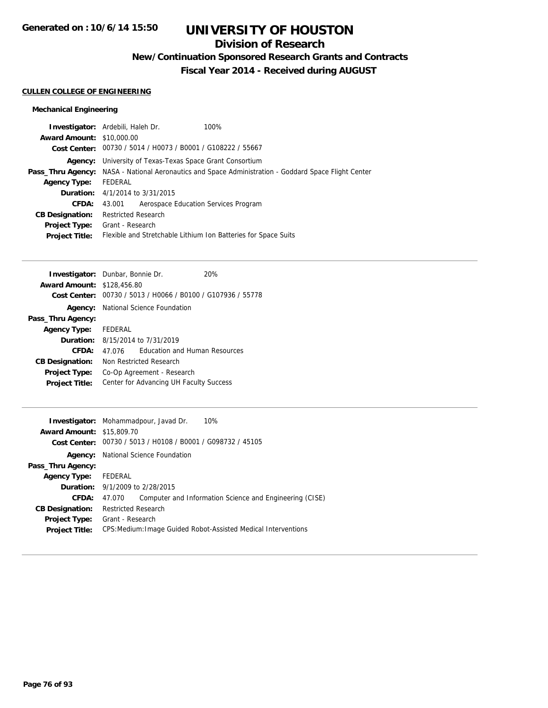## **Division of Research**

**New/Continuation Sponsored Research Grants and Contracts**

**Fiscal Year 2014 - Received during AUGUST**

#### **CULLEN COLLEGE OF ENGINEERING**

### **Mechanical Engineering**

|                                  | <b>Investigator:</b> Ardebili, Haleh Dr.<br>100%                                                            |
|----------------------------------|-------------------------------------------------------------------------------------------------------------|
| <b>Award Amount: \$10,000.00</b> |                                                                                                             |
|                                  | Cost Center: 00730 / 5014 / H0073 / B0001 / G108222 / 55667                                                 |
|                                  | <b>Agency:</b> University of Texas-Texas Space Grant Consortium                                             |
|                                  | <b>Pass_Thru Agency:</b> NASA - National Aeronautics and Space Administration - Goddard Space Flight Center |
| <b>Agency Type:</b>              | FEDERAL                                                                                                     |
|                                  | <b>Duration:</b> 4/1/2014 to 3/31/2015                                                                      |
| <b>CFDA:</b>                     | Aerospace Education Services Program<br>43.001                                                              |
| <b>CB Designation:</b>           | <b>Restricted Research</b>                                                                                  |
| <b>Project Type:</b>             | Grant - Research                                                                                            |
| <b>Project Title:</b>            | Flexible and Stretchable Lithium Ion Batteries for Space Suits                                              |
|                                  |                                                                                                             |

| <b>Investigator:</b> Dunbar, Bonnie Dr. |                                         |                                                             | 20% |
|-----------------------------------------|-----------------------------------------|-------------------------------------------------------------|-----|
| <b>Award Amount: \$128,456.80</b>       |                                         |                                                             |     |
|                                         |                                         | Cost Center: 00730 / 5013 / H0066 / B0100 / G107936 / 55778 |     |
| Agency:                                 |                                         | National Science Foundation                                 |     |
| Pass_Thru Agency:                       |                                         |                                                             |     |
| Agency Type: FEDERAL                    |                                         |                                                             |     |
|                                         | <b>Duration:</b> 8/15/2014 to 7/31/2019 |                                                             |     |
| CFDA:                                   | 47.076                                  | <b>Education and Human Resources</b>                        |     |
| <b>CB Designation:</b>                  | Non Restricted Research                 |                                                             |     |
| <b>Project Type:</b>                    | Co-Op Agreement - Research              |                                                             |     |
| <b>Project Title:</b>                   | Center for Advancing UH Faculty Success |                                                             |     |

|                                  | 10%<br><b>Investigator:</b> Mohammadpour, Javad Dr.               |
|----------------------------------|-------------------------------------------------------------------|
| <b>Award Amount: \$15,809.70</b> |                                                                   |
|                                  | Cost Center: 00730 / 5013 / H0108 / B0001 / G098732 / 45105       |
| Agency:                          | National Science Foundation                                       |
| Pass_Thru Agency:                |                                                                   |
| Agency Type: FEDERAL             |                                                                   |
|                                  | <b>Duration:</b> 9/1/2009 to 2/28/2015                            |
| CFDA:                            | Computer and Information Science and Engineering (CISE)<br>47.070 |
| <b>CB Designation:</b>           | <b>Restricted Research</b>                                        |
| <b>Project Type:</b>             | Grant - Research                                                  |
| <b>Project Title:</b>            | CPS: Medium: Image Guided Robot-Assisted Medical Interventions    |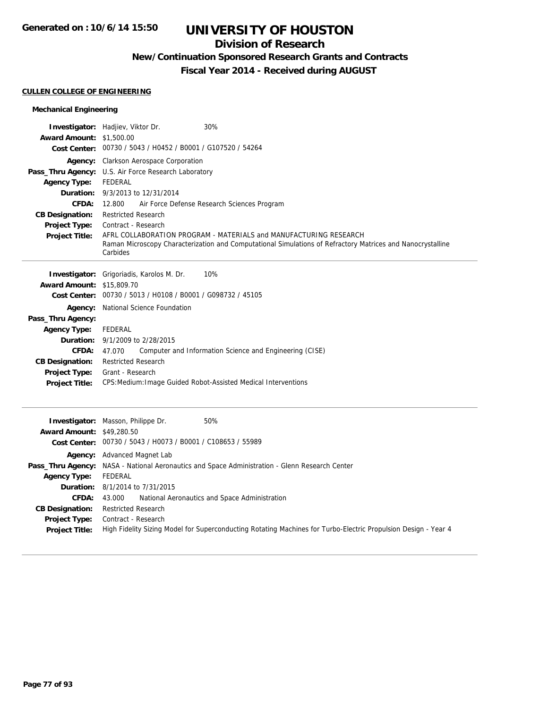## **Division of Research**

## **New/Continuation Sponsored Research Grants and Contracts**

**Fiscal Year 2014 - Received during AUGUST**

#### **CULLEN COLLEGE OF ENGINEERING**

### **Mechanical Engineering**

| <b>Award Amount: \$1,500.00</b>                                                                                                                                          | Investigator: Hadjiev, Viktor Dr.<br>30%<br>Cost Center: 00730 / 5043 / H0452 / B0001 / G107520 / 54264                                                                                                                                                                                                                                                                                                                                                 |
|--------------------------------------------------------------------------------------------------------------------------------------------------------------------------|---------------------------------------------------------------------------------------------------------------------------------------------------------------------------------------------------------------------------------------------------------------------------------------------------------------------------------------------------------------------------------------------------------------------------------------------------------|
| <b>Agency Type:</b><br>Duration:<br><b>CFDA:</b><br><b>CB Designation:</b><br><b>Project Type:</b><br><b>Project Title:</b>                                              | Agency: Clarkson Aerospace Corporation<br>Pass_Thru Agency: U.S. Air Force Research Laboratory<br><b>FEDERAL</b><br>9/3/2013 to 12/31/2014<br>12.800<br>Air Force Defense Research Sciences Program<br><b>Restricted Research</b><br>Contract - Research<br>AFRL COLLABORATION PROGRAM - MATERIALS and MANUFACTURING RESEARCH<br>Raman Microscopy Characterization and Computational Simulations of Refractory Matrices and Nanocrystalline<br>Carbides |
| <b>Award Amount:</b><br>Pass_Thru Agency:<br><b>Agency Type:</b><br>Duration:<br><b>CFDA:</b><br><b>CB Designation:</b><br><b>Project Type:</b><br><b>Project Title:</b> | 10%<br><b>Investigator:</b> Grigoriadis, Karolos M. Dr.<br>\$15,809.70<br>Cost Center: 00730 / 5013 / H0108 / B0001 / G098732 / 45105<br><b>Agency:</b> National Science Foundation<br>FEDERAL<br>9/1/2009 to 2/28/2015<br>47.070<br>Computer and Information Science and Engineering (CISE)<br><b>Restricted Research</b><br>Grant - Research<br>CPS: Medium: Image Guided Robot-Assisted Medical Interventions                                        |
| <b>Award Amount: \$49,280.50</b>                                                                                                                                         | 50%<br>Investigator: Masson, Philippe Dr.<br>Cost Center: 00730 / 5043 / H0073 / B0001 / C108653 / 55989<br>Agency: Advanced Magnet Lab                                                                                                                                                                                                                                                                                                                 |
| <b>Agency Type:</b><br>Duration:<br>CFDA:<br><b>CB Designation:</b><br><b>Project Type:</b><br><b>Project Title:</b>                                                     | Pass_Thru Agency: NASA - National Aeronautics and Space Administration - Glenn Research Center<br><b>FEDERAL</b><br>8/1/2014 to 7/31/2015<br>43.000<br>National Aeronautics and Space Administration<br><b>Restricted Research</b><br>Contract - Research<br>High Fidelity Sizing Model for Superconducting Rotating Machines for Turbo-Electric Propulsion Design - Year 4                                                                             |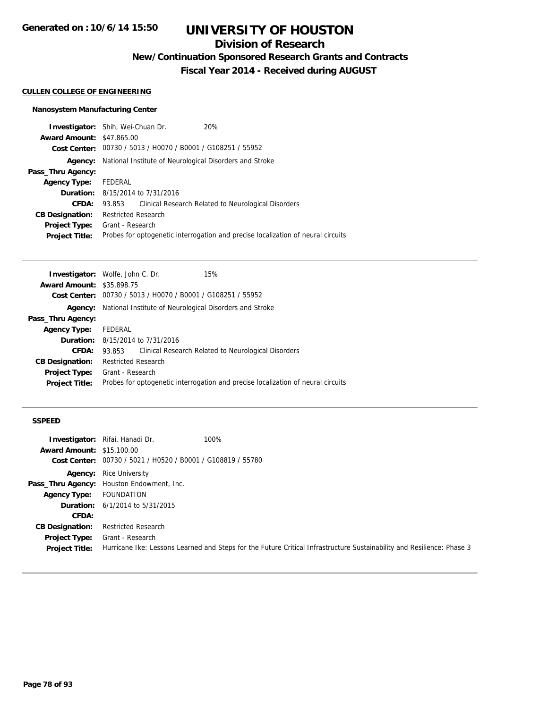## **Division of Research**

**New/Continuation Sponsored Research Grants and Contracts**

**Fiscal Year 2014 - Received during AUGUST**

#### **CULLEN COLLEGE OF ENGINEERING**

### **Nanosystem Manufacturing Center**

|                                         |         | 20%                                                                                                                                                                                                                                                      |
|-----------------------------------------|---------|----------------------------------------------------------------------------------------------------------------------------------------------------------------------------------------------------------------------------------------------------------|
|                                         |         |                                                                                                                                                                                                                                                          |
|                                         |         |                                                                                                                                                                                                                                                          |
|                                         |         |                                                                                                                                                                                                                                                          |
|                                         |         |                                                                                                                                                                                                                                                          |
| FEDERAL                                 |         |                                                                                                                                                                                                                                                          |
| <b>Duration:</b> 8/15/2014 to 7/31/2016 |         |                                                                                                                                                                                                                                                          |
| 93.853                                  |         | Clinical Research Related to Neurological Disorders                                                                                                                                                                                                      |
|                                         |         |                                                                                                                                                                                                                                                          |
|                                         |         |                                                                                                                                                                                                                                                          |
|                                         |         | Probes for optogenetic interrogation and precise localization of neural circuits                                                                                                                                                                         |
|                                         | Agency: | <b>Investigator:</b> Shih, Wei-Chuan Dr.<br><b>Award Amount: \$47,865.00</b><br>Cost Center: 00730 / 5013 / H0070 / B0001 / G108251 / 55952<br>National Institute of Neurological Disorders and Stroke<br><b>Restricted Research</b><br>Grant - Research |

| <b>Investigator:</b> Wolfe, John C. Dr. |                            |                                                             | 15%                                                                              |
|-----------------------------------------|----------------------------|-------------------------------------------------------------|----------------------------------------------------------------------------------|
| <b>Award Amount: \$35,898.75</b>        |                            |                                                             |                                                                                  |
|                                         |                            | Cost Center: 00730 / 5013 / H0070 / B0001 / G108251 / 55952 |                                                                                  |
| Agency:                                 |                            |                                                             | National Institute of Neurological Disorders and Stroke                          |
| Pass_Thru Agency:                       |                            |                                                             |                                                                                  |
| <b>Agency Type:</b>                     | FEDERAL                    |                                                             |                                                                                  |
|                                         |                            | <b>Duration:</b> 8/15/2014 to 7/31/2016                     |                                                                                  |
| CFDA:                                   | 93.853                     |                                                             | Clinical Research Related to Neurological Disorders                              |
| <b>CB Designation:</b>                  | <b>Restricted Research</b> |                                                             |                                                                                  |
| <b>Project Type:</b>                    | Grant - Research           |                                                             |                                                                                  |
| <b>Project Title:</b>                   |                            |                                                             | Probes for optogenetic interrogation and precise localization of neural circuits |
|                                         |                            |                                                             |                                                                                  |

#### **SSPEED**

|                                  | <b>Investigator:</b> Rifai, Hanadi Dr.                      | 100%                                                                                                                   |
|----------------------------------|-------------------------------------------------------------|------------------------------------------------------------------------------------------------------------------------|
| <b>Award Amount: \$15,100.00</b> |                                                             |                                                                                                                        |
|                                  | Cost Center: 00730 / 5021 / H0520 / B0001 / G108819 / 55780 |                                                                                                                        |
|                                  | <b>Agency:</b> Rice University                              |                                                                                                                        |
|                                  | Pass_Thru Agency: Houston Endowment, Inc.                   |                                                                                                                        |
| <b>Agency Type:</b>              | FOUNDATION                                                  |                                                                                                                        |
|                                  | <b>Duration:</b> $6/1/2014$ to $5/31/2015$                  |                                                                                                                        |
| CFDA:                            |                                                             |                                                                                                                        |
| <b>CB Designation:</b>           | <b>Restricted Research</b>                                  |                                                                                                                        |
| <b>Project Type:</b>             | Grant - Research                                            |                                                                                                                        |
| <b>Project Title:</b>            |                                                             | Hurricane Ike: Lessons Learned and Steps for the Future Critical Infrastructure Sustainability and Resilience: Phase 3 |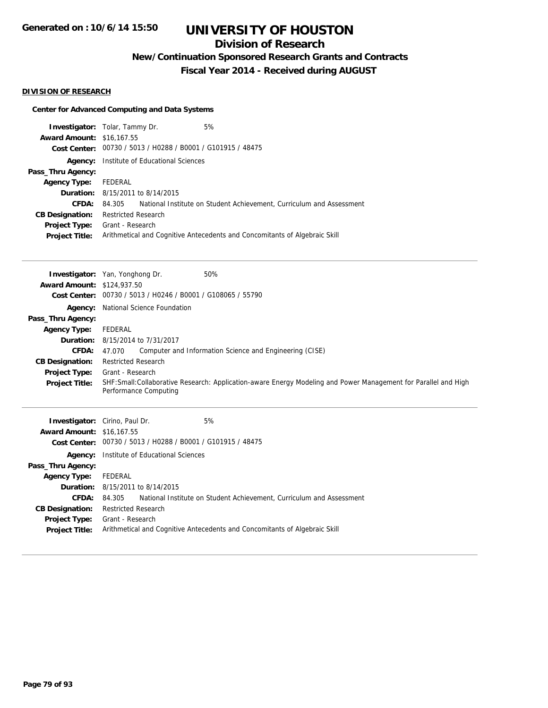## **Division of Research**

**New/Continuation Sponsored Research Grants and Contracts**

**Fiscal Year 2014 - Received during AUGUST**

#### **DIVISION OF RESEARCH**

#### **Center for Advanced Computing and Data Systems**

|                                  | <b>Investigator:</b> Tolar, Tammy Dr.   | 5%                                                                         |
|----------------------------------|-----------------------------------------|----------------------------------------------------------------------------|
| <b>Award Amount: \$16,167.55</b> |                                         |                                                                            |
|                                  |                                         | Cost Center: 00730 / 5013 / H0288 / B0001 / G101915 / 48475                |
| Agency:                          | Institute of Educational Sciences       |                                                                            |
| Pass_Thru Agency:                |                                         |                                                                            |
| <b>Agency Type:</b>              | FEDERAL                                 |                                                                            |
|                                  | <b>Duration:</b> 8/15/2011 to 8/14/2015 |                                                                            |
| CFDA:                            | 84.305                                  | National Institute on Student Achievement, Curriculum and Assessment       |
| <b>CB Designation:</b>           | <b>Restricted Research</b>              |                                                                            |
| <b>Project Type:</b>             | Grant - Research                        |                                                                            |
| <b>Project Title:</b>            |                                         | Arithmetical and Cognitive Antecedents and Concomitants of Algebraic Skill |
|                                  |                                         |                                                                            |

| <b>Award Amount: \$124,937.50</b> | <b>Investigator:</b> Yan, Yonghong Dr.                      | 50%                                                                                                              |
|-----------------------------------|-------------------------------------------------------------|------------------------------------------------------------------------------------------------------------------|
|                                   | Cost Center: 00730 / 5013 / H0246 / B0001 / G108065 / 55790 |                                                                                                                  |
|                                   | <b>Agency:</b> National Science Foundation                  |                                                                                                                  |
| Pass_Thru Agency:                 |                                                             |                                                                                                                  |
| <b>Agency Type:</b>               | FEDERAL                                                     |                                                                                                                  |
|                                   | <b>Duration:</b> 8/15/2014 to 7/31/2017                     |                                                                                                                  |
| <b>CFDA:</b>                      | 47.070                                                      | Computer and Information Science and Engineering (CISE)                                                          |
| <b>CB Designation:</b>            | <b>Restricted Research</b>                                  |                                                                                                                  |
| Project Type:                     | Grant - Research                                            |                                                                                                                  |
| <b>Project Title:</b>             | Performance Computing                                       | SHF: Small: Collaborative Research: Application-aware Energy Modeling and Power Management for Parallel and High |
|                                   |                                                             |                                                                                                                  |
|                                   | <b>Investigator:</b> Cirino, Paul Dr.                       | 5%                                                                                                               |
| <b>Award Amount: \$16,167.55</b>  |                                                             |                                                                                                                  |
|                                   | Cost Center: 00730 / 5013 / H0288 / B0001 / G101915 / 48475 |                                                                                                                  |
|                                   | <b>Agency:</b> Institute of Educational Sciences            |                                                                                                                  |
| Pass_Thru Agency:                 |                                                             |                                                                                                                  |
| <b>Agency Type:</b>               | FEDERAL                                                     |                                                                                                                  |

**CFDA:** 84.305 National Institute on Student Achievement, Curriculum and Assessment

**Project Title:** Arithmetical and Cognitive Antecedents and Concomitants of Algebraic Skill

**CB Designation:** Restricted Research **Project Type:** Grant - Research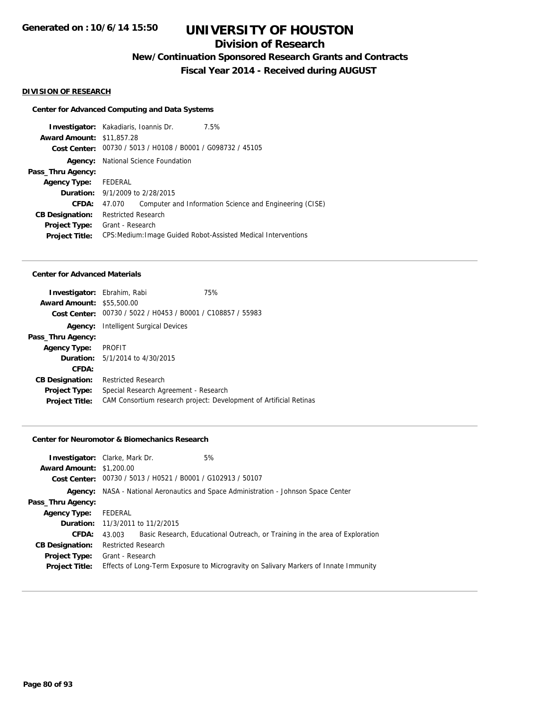## **Division of Research**

**New/Continuation Sponsored Research Grants and Contracts**

**Fiscal Year 2014 - Received during AUGUST**

#### **DIVISION OF RESEARCH**

### **Center for Advanced Computing and Data Systems**

|                                  | <b>Investigator:</b> Kakadiaris, Ioannis Dr.                | 7.5%                                                           |
|----------------------------------|-------------------------------------------------------------|----------------------------------------------------------------|
| <b>Award Amount: \$11,857.28</b> |                                                             |                                                                |
|                                  | Cost Center: 00730 / 5013 / H0108 / B0001 / G098732 / 45105 |                                                                |
| Agency:                          | National Science Foundation                                 |                                                                |
| Pass_Thru Agency:                |                                                             |                                                                |
| Agency Type: FEDERAL             |                                                             |                                                                |
|                                  | <b>Duration:</b> 9/1/2009 to 2/28/2015                      |                                                                |
| CFDA:                            | 47.070                                                      | Computer and Information Science and Engineering (CISE)        |
| <b>CB Designation:</b>           | <b>Restricted Research</b>                                  |                                                                |
| <b>Project Type:</b>             | Grant - Research                                            |                                                                |
| <b>Project Title:</b>            |                                                             | CPS: Medium: Image Guided Robot-Assisted Medical Interventions |
|                                  |                                                             |                                                                |

#### **Center for Advanced Materials**

| <b>Investigator:</b> Ebrahim, Rabi |                                                             | 75%                                                                |
|------------------------------------|-------------------------------------------------------------|--------------------------------------------------------------------|
| <b>Award Amount: \$55,500.00</b>   |                                                             |                                                                    |
|                                    | Cost Center: 00730 / 5022 / H0453 / B0001 / C108857 / 55983 |                                                                    |
| Agency:                            | Intelligent Surgical Devices                                |                                                                    |
| Pass_Thru Agency:                  |                                                             |                                                                    |
| <b>Agency Type:</b>                | PROFIT                                                      |                                                                    |
|                                    | <b>Duration:</b> 5/1/2014 to 4/30/2015                      |                                                                    |
| CFDA:                              |                                                             |                                                                    |
| <b>CB Designation:</b>             | <b>Restricted Research</b>                                  |                                                                    |
| <b>Project Type:</b>               | Special Research Agreement - Research                       |                                                                    |
| <b>Project Title:</b>              |                                                             | CAM Consortium research project: Development of Artificial Retinas |

#### **Center for Neuromotor & Biomechanics Research**

|                                 | <b>Investigator:</b> Clarke, Mark Dr.                       | 5%                                                                                   |
|---------------------------------|-------------------------------------------------------------|--------------------------------------------------------------------------------------|
| <b>Award Amount: \$1,200.00</b> |                                                             |                                                                                      |
|                                 | Cost Center: 00730 / 5013 / H0521 / B0001 / G102913 / 50107 |                                                                                      |
|                                 |                                                             | Agency: NASA - National Aeronautics and Space Administration - Johnson Space Center  |
| Pass_Thru Agency:               |                                                             |                                                                                      |
| <b>Agency Type:</b>             | FEDERAL                                                     |                                                                                      |
|                                 | <b>Duration:</b> 11/3/2011 to 11/2/2015                     |                                                                                      |
| CFDA:                           | 43.003                                                      | Basic Research, Educational Outreach, or Training in the area of Exploration         |
| <b>CB Designation:</b>          | <b>Restricted Research</b>                                  |                                                                                      |
| <b>Project Type:</b>            | Grant - Research                                            |                                                                                      |
| <b>Project Title:</b>           |                                                             | Effects of Long-Term Exposure to Microgravity on Salivary Markers of Innate Immunity |
|                                 |                                                             |                                                                                      |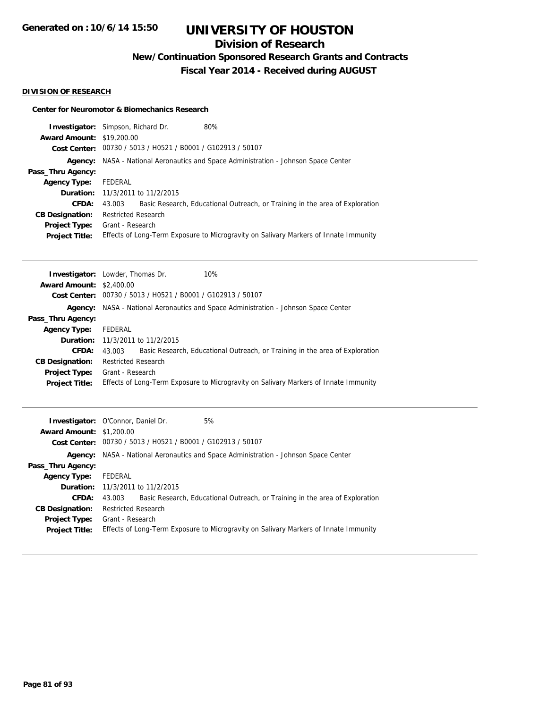## **Division of Research**

**New/Continuation Sponsored Research Grants and Contracts**

**Fiscal Year 2014 - Received during AUGUST**

#### **DIVISION OF RESEARCH**

#### **Center for Neuromotor & Biomechanics Research**

| <b>Investigator:</b> Simpson, Richard Dr. |                            |                                                             | 80%                                                                                  |
|-------------------------------------------|----------------------------|-------------------------------------------------------------|--------------------------------------------------------------------------------------|
| <b>Award Amount: \$19,200.00</b>          |                            |                                                             |                                                                                      |
|                                           |                            | Cost Center: 00730 / 5013 / H0521 / B0001 / G102913 / 50107 |                                                                                      |
|                                           |                            |                                                             | Agency: NASA - National Aeronautics and Space Administration - Johnson Space Center  |
| Pass_Thru Agency:                         |                            |                                                             |                                                                                      |
| <b>Agency Type:</b>                       | FEDERAL                    |                                                             |                                                                                      |
|                                           |                            | <b>Duration:</b> 11/3/2011 to 11/2/2015                     |                                                                                      |
| <b>CFDA:</b>                              | 43.003                     |                                                             | Basic Research, Educational Outreach, or Training in the area of Exploration         |
| <b>CB Designation:</b>                    | <b>Restricted Research</b> |                                                             |                                                                                      |
| <b>Project Type:</b>                      | Grant - Research           |                                                             |                                                                                      |
| <b>Project Title:</b>                     |                            |                                                             | Effects of Long-Term Exposure to Microgravity on Salivary Markers of Innate Immunity |

|                                 | 10%<br><b>Investigator:</b> Lowder, Thomas Dr.                                         |
|---------------------------------|----------------------------------------------------------------------------------------|
| <b>Award Amount: \$2,400.00</b> |                                                                                        |
|                                 | Cost Center: 00730 / 5013 / H0521 / B0001 / G102913 / 50107                            |
|                                 | Agency: NASA - National Aeronautics and Space Administration - Johnson Space Center    |
| Pass_Thru Agency:               |                                                                                        |
| <b>Agency Type:</b>             | FEDERAL                                                                                |
|                                 | <b>Duration:</b> 11/3/2011 to 11/2/2015                                                |
| CFDA:                           | Basic Research, Educational Outreach, or Training in the area of Exploration<br>43.003 |
| <b>CB Designation:</b>          | <b>Restricted Research</b>                                                             |
| <b>Project Type:</b>            | Grant - Research                                                                       |
| <b>Project Title:</b>           | Effects of Long-Term Exposure to Microgravity on Salivary Markers of Innate Immunity   |

|                                 | <b>Investigator:</b> O'Connor, Daniel Dr.<br>5%                                            |
|---------------------------------|--------------------------------------------------------------------------------------------|
| <b>Award Amount: \$1,200.00</b> |                                                                                            |
|                                 | Cost Center: 00730 / 5013 / H0521 / B0001 / G102913 / 50107                                |
|                                 | <b>Agency:</b> NASA - National Aeronautics and Space Administration - Johnson Space Center |
| Pass_Thru Agency:               |                                                                                            |
| <b>Agency Type:</b>             | FEDERAL                                                                                    |
|                                 | <b>Duration:</b> 11/3/2011 to 11/2/2015                                                    |
| <b>CFDA:</b>                    | Basic Research, Educational Outreach, or Training in the area of Exploration<br>43.003     |
| <b>CB Designation:</b>          | <b>Restricted Research</b>                                                                 |
| <b>Project Type:</b>            | Grant - Research                                                                           |
| <b>Project Title:</b>           | Effects of Long-Term Exposure to Microgravity on Salivary Markers of Innate Immunity       |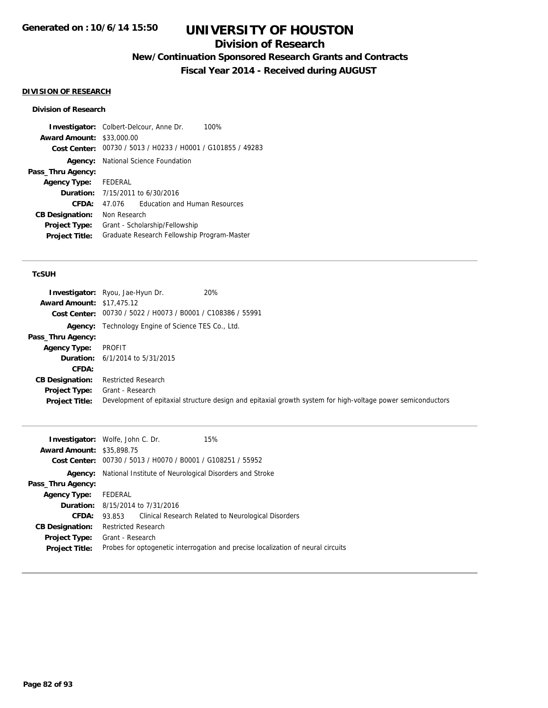## **Division of Research**

**New/Continuation Sponsored Research Grants and Contracts**

**Fiscal Year 2014 - Received during AUGUST**

### **DIVISION OF RESEARCH**

#### **Division of Research**

|                                  | 100%<br><b>Investigator:</b> Colbert-Delcour, Anne Dr.      |
|----------------------------------|-------------------------------------------------------------|
| <b>Award Amount: \$33,000.00</b> |                                                             |
|                                  | Cost Center: 00730 / 5013 / H0233 / H0001 / G101855 / 49283 |
|                                  | <b>Agency:</b> National Science Foundation                  |
| Pass_Thru Agency:                |                                                             |
| <b>Agency Type:</b>              | FEDERAL                                                     |
| <b>Duration:</b>                 | 7/15/2011 to 6/30/2016                                      |
| CFDA:                            | <b>Education and Human Resources</b><br>47 076              |
| <b>CB Designation:</b>           | Non Research                                                |
| <b>Project Type:</b>             | Grant - Scholarship/Fellowship                              |
| <b>Project Title:</b>            | Graduate Research Fellowship Program-Master                 |

| <b>Award Amount: \$17,475.12</b>       | 20%<br><b>Investigator:</b> Ryou, Jae-Hyun Dr.<br>Cost Center: 00730 / 5022 / H0073 / B0001 / C108386 / 55991                   |
|----------------------------------------|---------------------------------------------------------------------------------------------------------------------------------|
|                                        | <b>Agency:</b> Technology Engine of Science TES Co., Ltd.                                                                       |
| Pass_Thru Agency:                      |                                                                                                                                 |
| <b>Agency Type:</b>                    | PROFIT                                                                                                                          |
|                                        | <b>Duration:</b> $6/1/2014$ to $5/31/2015$                                                                                      |
| CFDA:                                  |                                                                                                                                 |
| <b>CB Designation:</b>                 | <b>Restricted Research</b>                                                                                                      |
| Project Type:<br><b>Project Title:</b> | Grant - Research<br>Development of epitaxial structure design and epitaxial growth system for high-voltage power semiconductors |

| <b>Investigator:</b> Wolfe, John C. Dr. |                                                             |  | 15%                                                                              |  |
|-----------------------------------------|-------------------------------------------------------------|--|----------------------------------------------------------------------------------|--|
| <b>Award Amount: \$35,898.75</b>        |                                                             |  |                                                                                  |  |
|                                         | Cost Center: 00730 / 5013 / H0070 / B0001 / G108251 / 55952 |  |                                                                                  |  |
| Agency:                                 | National Institute of Neurological Disorders and Stroke     |  |                                                                                  |  |
| Pass_Thru Agency:                       |                                                             |  |                                                                                  |  |
| <b>Agency Type:</b>                     | FEDERAL                                                     |  |                                                                                  |  |
|                                         | <b>Duration:</b> 8/15/2014 to 7/31/2016                     |  |                                                                                  |  |
| CFDA:                                   | 93.853                                                      |  | Clinical Research Related to Neurological Disorders                              |  |
| <b>CB Designation:</b>                  | <b>Restricted Research</b>                                  |  |                                                                                  |  |
|                                         | <b>Project Type:</b> Grant - Research                       |  |                                                                                  |  |
| <b>Project Title:</b>                   |                                                             |  | Probes for optogenetic interrogation and precise localization of neural circuits |  |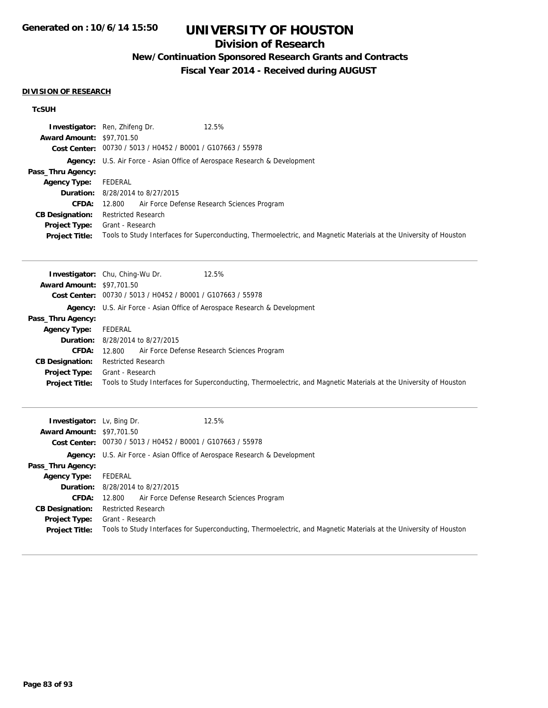## **Division of Research**

## **New/Continuation Sponsored Research Grants and Contracts**

**Fiscal Year 2014 - Received during AUGUST**

#### **DIVISION OF RESEARCH**

|                                  | <b>Investigator:</b> Ren, Zhifeng Dr.<br>12.5%                                                                     |
|----------------------------------|--------------------------------------------------------------------------------------------------------------------|
| <b>Award Amount: \$97,701.50</b> |                                                                                                                    |
|                                  | Cost Center: 00730 / 5013 / H0452 / B0001 / G107663 / 55978                                                        |
|                                  | <b>Agency:</b> U.S. Air Force - Asian Office of Aerospace Research & Development                                   |
| Pass_Thru Agency:                |                                                                                                                    |
| <b>Agency Type:</b>              | FEDERAL                                                                                                            |
|                                  | <b>Duration:</b> 8/28/2014 to 8/27/2015                                                                            |
| <b>CFDA:</b>                     | Air Force Defense Research Sciences Program<br>12.800                                                              |
| <b>CB Designation:</b>           | <b>Restricted Research</b>                                                                                         |
| <b>Project Type:</b>             | Grant - Research                                                                                                   |
| <b>Project Title:</b>            | Tools to Study Interfaces for Superconducting, Thermoelectric, and Magnetic Materials at the University of Houston |

|                                  | <b>Investigator:</b> Chu, Ching-Wu Dr.<br>12.5%                                                                    |
|----------------------------------|--------------------------------------------------------------------------------------------------------------------|
| <b>Award Amount: \$97,701.50</b> |                                                                                                                    |
| Cost Center:                     | 00730 / 5013 / H0452 / B0001 / G107663 / 55978                                                                     |
|                                  | <b>Agency:</b> U.S. Air Force - Asian Office of Aerospace Research & Development                                   |
| Pass_Thru Agency:                |                                                                                                                    |
| <b>Agency Type:</b>              | FEDERAL                                                                                                            |
|                                  | <b>Duration:</b> 8/28/2014 to 8/27/2015                                                                            |
| <b>CFDA:</b>                     | 12.800 Air Force Defense Research Sciences Program                                                                 |
| <b>CB Designation:</b>           | <b>Restricted Research</b>                                                                                         |
| <b>Project Type:</b>             | Grant - Research                                                                                                   |
| <b>Project Title:</b>            | Tools to Study Interfaces for Superconducting, Thermoelectric, and Magnetic Materials at the University of Houston |

| <b>Investigator:</b> Lv, Bing Dr.<br><b>Award Amount: \$97,701.50</b> | 12.5%<br>Cost Center: 00730 / 5013 / H0452 / B0001 / G107663 / 55978                                               |  |  |
|-----------------------------------------------------------------------|--------------------------------------------------------------------------------------------------------------------|--|--|
|                                                                       | <b>Agency:</b> U.S. Air Force - Asian Office of Aerospace Research & Development                                   |  |  |
| Pass_Thru Agency:                                                     |                                                                                                                    |  |  |
| <b>Agency Type:</b>                                                   | FEDERAL                                                                                                            |  |  |
|                                                                       | <b>Duration:</b> 8/28/2014 to 8/27/2015                                                                            |  |  |
| CFDA:                                                                 | 12.800 Air Force Defense Research Sciences Program                                                                 |  |  |
| <b>CB Designation:</b>                                                | <b>Restricted Research</b>                                                                                         |  |  |
| <b>Project Type:</b>                                                  | Grant - Research                                                                                                   |  |  |
| <b>Project Title:</b>                                                 | Tools to Study Interfaces for Superconducting, Thermoelectric, and Magnetic Materials at the University of Houston |  |  |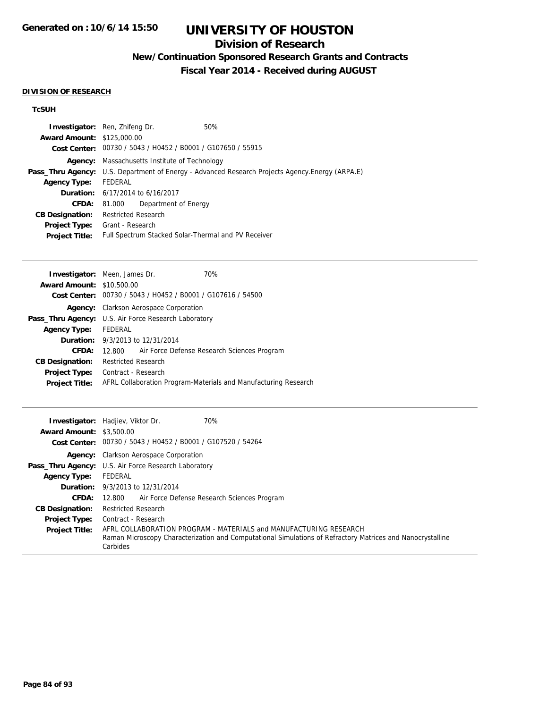## **Division of Research**

**New/Continuation Sponsored Research Grants and Contracts**

**Fiscal Year 2014 - Received during AUGUST**

#### **DIVISION OF RESEARCH**

|                                   | <b>Investigator:</b> Ren, Zhifeng Dr.                       | 50%                                                                                                     |  |
|-----------------------------------|-------------------------------------------------------------|---------------------------------------------------------------------------------------------------------|--|
| <b>Award Amount: \$125,000.00</b> |                                                             |                                                                                                         |  |
|                                   | Cost Center: 00730 / 5043 / H0452 / B0001 / G107650 / 55915 |                                                                                                         |  |
|                                   | <b>Agency:</b> Massachusetts Institute of Technology        |                                                                                                         |  |
|                                   |                                                             | <b>Pass_Thru Agency:</b> U.S. Department of Energy - Advanced Research Projects Agency. Energy (ARPA.E) |  |
| <b>Agency Type:</b>               | FEDERAL                                                     |                                                                                                         |  |
|                                   | <b>Duration:</b> 6/17/2014 to 6/16/2017                     |                                                                                                         |  |
| <b>CFDA:</b>                      | Department of Energy<br>81.000                              |                                                                                                         |  |
| <b>CB Designation:</b>            | Restricted Research                                         |                                                                                                         |  |
| <b>Project Type:</b>              | Grant - Research                                            |                                                                                                         |  |
| <b>Project Title:</b>             |                                                             | Full Spectrum Stacked Solar-Thermal and PV Receiver                                                     |  |
|                                   |                                                             |                                                                                                         |  |

|                                                                 |  | 70%                                                                                                                                                                 |
|-----------------------------------------------------------------|--|---------------------------------------------------------------------------------------------------------------------------------------------------------------------|
| <b>Award Amount: \$10,500.00</b>                                |  |                                                                                                                                                                     |
| Cost Center: 00730 / 5043 / H0452 / B0001 / G107616 / 54500     |  |                                                                                                                                                                     |
| Agency: Clarkson Aerospace Corporation                          |  |                                                                                                                                                                     |
| <b>Pass_Thru Agency:</b> U.S. Air Force Research Laboratory     |  |                                                                                                                                                                     |
| Agency Type: FEDERAL                                            |  |                                                                                                                                                                     |
|                                                                 |  |                                                                                                                                                                     |
|                                                                 |  |                                                                                                                                                                     |
|                                                                 |  |                                                                                                                                                                     |
| Contract - Research                                             |  |                                                                                                                                                                     |
| AFRL Collaboration Program-Materials and Manufacturing Research |  |                                                                                                                                                                     |
|                                                                 |  | <b>Investigator:</b> Meen, James Dr.<br><b>Duration:</b> 9/3/2013 to 12/31/2014<br>12.800 Air Force Defense Research Sciences Program<br><b>Restricted Research</b> |

|                                 | 70%<br><b>Investigator:</b> Hadjiev, Viktor Dr.                                                                                                                                             |
|---------------------------------|---------------------------------------------------------------------------------------------------------------------------------------------------------------------------------------------|
| <b>Award Amount: \$3,500.00</b> |                                                                                                                                                                                             |
|                                 | Cost Center: 00730 / 5043 / H0452 / B0001 / G107520 / 54264                                                                                                                                 |
|                                 | <b>Agency:</b> Clarkson Aerospace Corporation                                                                                                                                               |
|                                 | <b>Pass_Thru Agency:</b> U.S. Air Force Research Laboratory                                                                                                                                 |
| <b>Agency Type:</b>             | FEDERAL                                                                                                                                                                                     |
|                                 | <b>Duration:</b> 9/3/2013 to 12/31/2014                                                                                                                                                     |
| <b>CFDA:</b>                    | Air Force Defense Research Sciences Program<br>12.800                                                                                                                                       |
| <b>CB Designation:</b>          | <b>Restricted Research</b>                                                                                                                                                                  |
| <b>Project Type:</b>            | Contract - Research                                                                                                                                                                         |
| <b>Project Title:</b>           | AFRL COLLABORATION PROGRAM - MATERIALS and MANUFACTURING RESEARCH<br>Raman Microscopy Characterization and Computational Simulations of Refractory Matrices and Nanocrystalline<br>Carbides |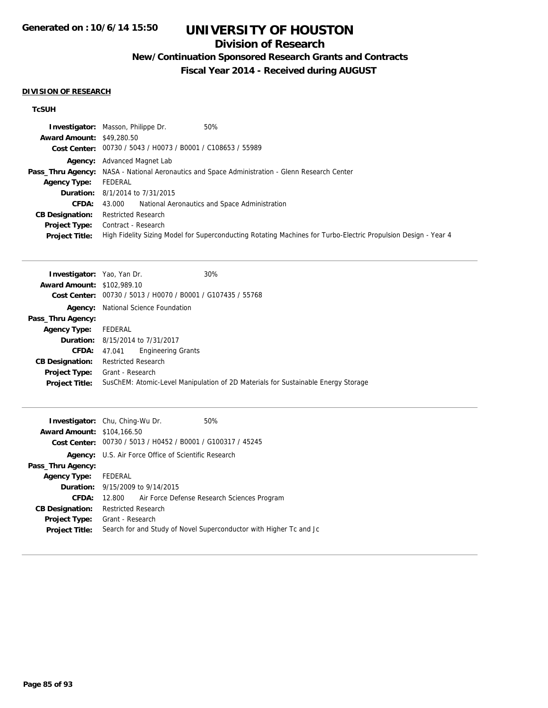## **Division of Research**

## **New/Continuation Sponsored Research Grants and Contracts**

**Fiscal Year 2014 - Received during AUGUST**

#### **DIVISION OF RESEARCH**

|                                  | <b>Investigator:</b> Masson, Philippe Dr.<br>50%                                                               |
|----------------------------------|----------------------------------------------------------------------------------------------------------------|
| <b>Award Amount: \$49,280.50</b> |                                                                                                                |
|                                  | Cost Center: 00730 / 5043 / H0073 / B0001 / C108653 / 55989                                                    |
|                                  | <b>Agency:</b> Advanced Magnet Lab                                                                             |
|                                  | <b>Pass_Thru Agency:</b> NASA - National Aeronautics and Space Administration - Glenn Research Center          |
| Agency Type:                     | FEDERAL                                                                                                        |
|                                  | <b>Duration:</b> 8/1/2014 to 7/31/2015                                                                         |
| <b>CFDA:</b>                     | National Aeronautics and Space Administration<br>43.000                                                        |
| <b>CB Designation:</b>           | <b>Restricted Research</b>                                                                                     |
| <b>Project Type:</b>             | Contract - Research                                                                                            |
| <b>Project Title:</b>            | High Fidelity Sizing Model for Superconducting Rotating Machines for Turbo-Electric Propulsion Design - Year 4 |

| <b>Investigator:</b> Yao, Yan Dr. |                                            | 30%                                                                               |
|-----------------------------------|--------------------------------------------|-----------------------------------------------------------------------------------|
| <b>Award Amount: \$102,989.10</b> |                                            |                                                                                   |
|                                   |                                            | Cost Center: 00730 / 5013 / H0070 / B0001 / G107435 / 55768                       |
|                                   | <b>Agency:</b> National Science Foundation |                                                                                   |
| Pass_Thru Agency:                 |                                            |                                                                                   |
| <b>Agency Type:</b>               | FEDERAL                                    |                                                                                   |
|                                   | <b>Duration:</b> 8/15/2014 to 7/31/2017    |                                                                                   |
|                                   | <b>CFDA:</b> 47.041 Engineering Grants     |                                                                                   |
| <b>CB Designation:</b>            | <b>Restricted Research</b>                 |                                                                                   |
| <b>Project Type:</b>              | Grant - Research                           |                                                                                   |
| <b>Project Title:</b>             |                                            | SusChEM: Atomic-Level Manipulation of 2D Materials for Sustainable Energy Storage |

|                                   | <b>Investigator:</b> Chu, Ching-Wu Dr.                      | 50%                                                                |  |
|-----------------------------------|-------------------------------------------------------------|--------------------------------------------------------------------|--|
| <b>Award Amount: \$104,166.50</b> |                                                             |                                                                    |  |
|                                   | Cost Center: 00730 / 5013 / H0452 / B0001 / G100317 / 45245 |                                                                    |  |
|                                   | <b>Agency:</b> U.S. Air Force Office of Scientific Research |                                                                    |  |
| Pass_Thru Agency:                 |                                                             |                                                                    |  |
| Agency Type: FEDERAL              |                                                             |                                                                    |  |
|                                   | <b>Duration:</b> 9/15/2009 to 9/14/2015                     |                                                                    |  |
| CFDA:                             | 12.800                                                      | Air Force Defense Research Sciences Program                        |  |
| <b>CB Designation:</b>            | <b>Restricted Research</b>                                  |                                                                    |  |
| Project Type:                     | Grant - Research                                            |                                                                    |  |
| <b>Project Title:</b>             |                                                             | Search for and Study of Novel Superconductor with Higher Tc and Jc |  |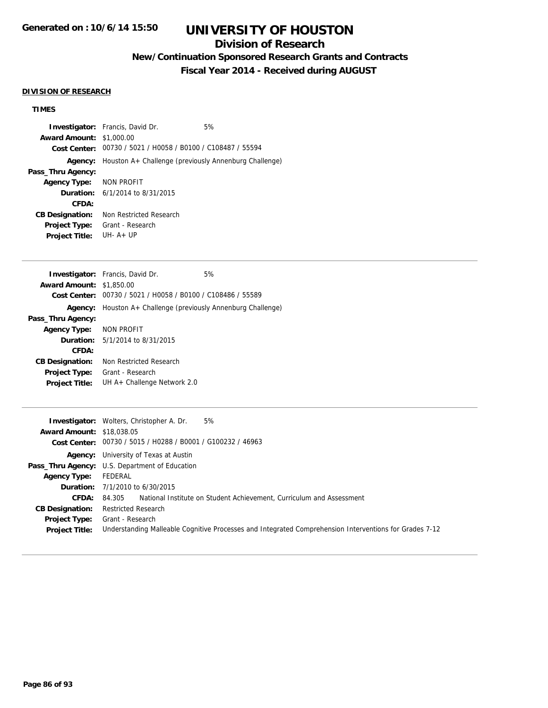## **Division of Research**

## **New/Continuation Sponsored Research Grants and Contracts**

**Fiscal Year 2014 - Received during AUGUST**

## **DIVISION OF RESEARCH**

| <b>Award Amount: \$1,000.00</b>  | <b>Investigator:</b> Francis, David Dr.<br>5%                                                          |
|----------------------------------|--------------------------------------------------------------------------------------------------------|
|                                  | Cost Center: 00730 / 5021 / H0058 / B0100 / C108487 / 55594                                            |
| Agency:                          | Houston A+ Challenge (previously Annenburg Challenge)                                                  |
| Pass_Thru Agency:                |                                                                                                        |
| <b>Agency Type:</b>              | <b>NON PROFIT</b>                                                                                      |
| Duration:                        | 6/1/2014 to 8/31/2015                                                                                  |
| CFDA:                            |                                                                                                        |
| <b>CB Designation:</b>           | Non Restricted Research                                                                                |
| <b>Project Type:</b>             | Grant - Research<br>UH- $A+UP$                                                                         |
| <b>Project Title:</b>            |                                                                                                        |
|                                  | Investigator: Francis, David Dr.<br>5%                                                                 |
| <b>Award Amount: \$1,850.00</b>  |                                                                                                        |
|                                  | Cost Center: 00730 / 5021 / H0058 / B0100 / C108486 / 55589                                            |
| Agency:                          | Houston A+ Challenge (previously Annenburg Challenge)                                                  |
| Pass_Thru Agency:                |                                                                                                        |
| <b>Agency Type:</b>              | NON PROFIT                                                                                             |
| Duration:                        | 5/1/2014 to 8/31/2015                                                                                  |
| CFDA:                            |                                                                                                        |
| <b>CB Designation:</b>           | Non Restricted Research                                                                                |
| Project Type:                    | Grant - Research                                                                                       |
| <b>Project Title:</b>            | UH A+ Challenge Network 2.0                                                                            |
|                                  |                                                                                                        |
| <b>Award Amount: \$18,038.05</b> | Investigator: Wolters, Christopher A. Dr.<br>5%                                                        |
|                                  | Cost Center: 00730 / 5015 / H0288 / B0001 / G100232 / 46963                                            |
|                                  | Agency: University of Texas at Austin                                                                  |
|                                  | Pass_Thru Agency: U.S. Department of Education                                                         |
| <b>Agency Type:</b>              | <b>FEDERAL</b>                                                                                         |
| Duration:                        | 7/1/2010 to 6/30/2015                                                                                  |
| CFDA:                            | National Institute on Student Achievement, Curriculum and Assessment<br>84.305                         |
| <b>CB Designation:</b>           | <b>Restricted Research</b>                                                                             |
| <b>Project Type:</b>             | Grant - Research                                                                                       |
| <b>Project Title:</b>            | Understanding Malleable Cognitive Processes and Integrated Comprehension Interventions for Grades 7-12 |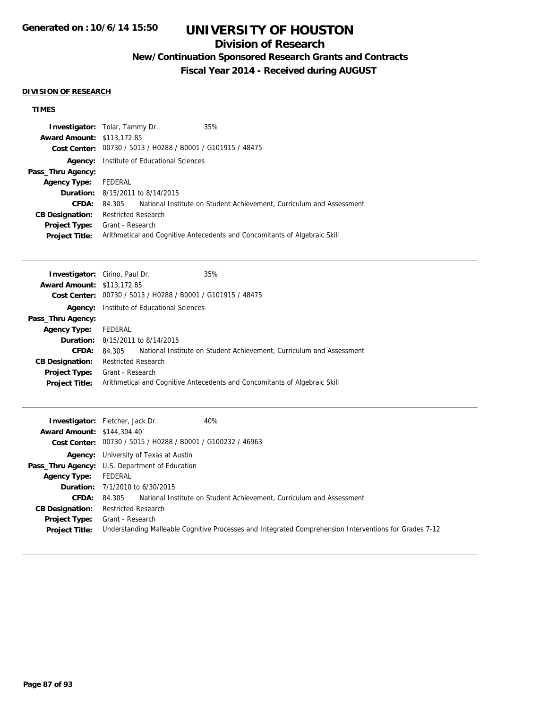## **Division of Research**

## **New/Continuation Sponsored Research Grants and Contracts**

**Fiscal Year 2014 - Received during AUGUST**

#### **DIVISION OF RESEARCH**

|                                                                            |  | 35%                                                                                                                                    |
|----------------------------------------------------------------------------|--|----------------------------------------------------------------------------------------------------------------------------------------|
|                                                                            |  |                                                                                                                                        |
| <b>Cost Center:</b>                                                        |  |                                                                                                                                        |
| <b>Agency:</b> Institute of Educational Sciences                           |  |                                                                                                                                        |
|                                                                            |  |                                                                                                                                        |
| FEDERAL                                                                    |  |                                                                                                                                        |
| <b>Duration:</b> 8/15/2011 to 8/14/2015                                    |  |                                                                                                                                        |
|                                                                            |  | National Institute on Student Achievement, Curriculum and Assessment                                                                   |
| <b>Restricted Research</b>                                                 |  |                                                                                                                                        |
| Grant - Research                                                           |  |                                                                                                                                        |
| Arithmetical and Cognitive Antecedents and Concomitants of Algebraic Skill |  |                                                                                                                                        |
|                                                                            |  | <b>Investigator:</b> Tolar, Tammy Dr.<br><b>Award Amount: \$113,172.85</b><br>00730 / 5013 / H0288 / B0001 / G101915 / 48475<br>84.305 |

| <b>Investigator:</b> Cirino, Paul Dr. |                                                             |                                         | 35%                                                                        |
|---------------------------------------|-------------------------------------------------------------|-----------------------------------------|----------------------------------------------------------------------------|
| <b>Award Amount: \$113,172.85</b>     |                                                             |                                         |                                                                            |
|                                       | Cost Center: 00730 / 5013 / H0288 / B0001 / G101915 / 48475 |                                         |                                                                            |
| Agency:                               | Institute of Educational Sciences                           |                                         |                                                                            |
| Pass_Thru Agency:                     |                                                             |                                         |                                                                            |
| <b>Agency Type:</b>                   | FEDERAL                                                     |                                         |                                                                            |
|                                       |                                                             | <b>Duration:</b> 8/15/2011 to 8/14/2015 |                                                                            |
| CFDA:                                 | 84.305                                                      |                                         | National Institute on Student Achievement, Curriculum and Assessment       |
| <b>CB Designation:</b>                | <b>Restricted Research</b>                                  |                                         |                                                                            |
| <b>Project Type:</b>                  | Grant - Research                                            |                                         |                                                                            |
| <b>Project Title:</b>                 |                                                             |                                         | Arithmetical and Cognitive Antecedents and Concomitants of Algebraic Skill |
|                                       |                                                             |                                         |                                                                            |

| <b>Award Amount: \$144,304.40</b> | 40%<br><b>Investigator:</b> Fletcher, Jack Dr.<br>Cost Center: 00730 / 5015 / H0288 / B0001 / G100232 / 46963 |  |
|-----------------------------------|---------------------------------------------------------------------------------------------------------------|--|
|                                   | <b>Agency:</b> University of Texas at Austin                                                                  |  |
|                                   | <b>Pass_Thru Agency:</b> U.S. Department of Education                                                         |  |
| <b>Agency Type:</b> FEDERAL       |                                                                                                               |  |
|                                   | <b>Duration:</b> 7/1/2010 to 6/30/2015                                                                        |  |
| <b>CFDA:</b>                      | National Institute on Student Achievement, Curriculum and Assessment<br>84.305                                |  |
| <b>CB Designation:</b>            | <b>Restricted Research</b>                                                                                    |  |
| <b>Project Type:</b>              | Grant - Research                                                                                              |  |
| <b>Project Title:</b>             | Understanding Malleable Cognitive Processes and Integrated Comprehension Interventions for Grades 7-12        |  |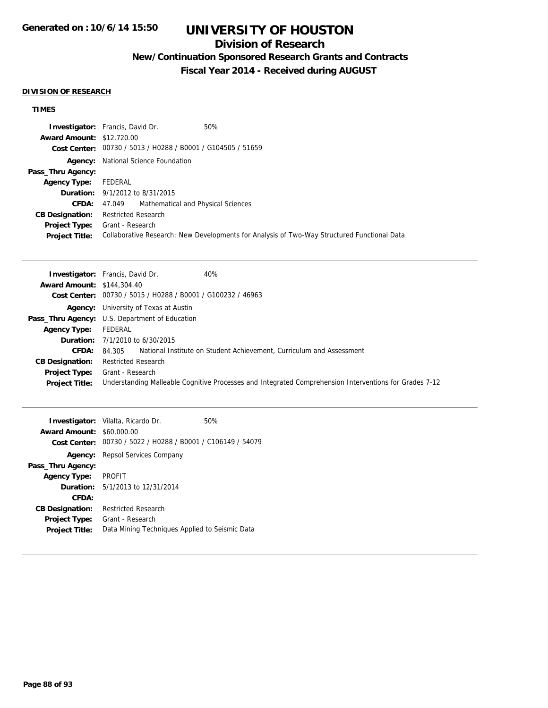## **Division of Research**

## **New/Continuation Sponsored Research Grants and Contracts**

**Fiscal Year 2014 - Received during AUGUST**

#### **DIVISION OF RESEARCH**

|                                  | <b>Investigator:</b> Francis, David Dr.                     | 50%                                                                                         |
|----------------------------------|-------------------------------------------------------------|---------------------------------------------------------------------------------------------|
| <b>Award Amount: \$12,720.00</b> |                                                             |                                                                                             |
|                                  | Cost Center: 00730 / 5013 / H0288 / B0001 / G104505 / 51659 |                                                                                             |
|                                  | <b>Agency:</b> National Science Foundation                  |                                                                                             |
| Pass_Thru Agency:                |                                                             |                                                                                             |
| <b>Agency Type:</b>              | FEDERAL                                                     |                                                                                             |
|                                  | <b>Duration:</b> 9/1/2012 to 8/31/2015                      |                                                                                             |
| CFDA:                            | Mathematical and Physical Sciences<br>47.049                |                                                                                             |
| <b>CB Designation:</b>           | <b>Restricted Research</b>                                  |                                                                                             |
|                                  | <b>Project Type:</b> Grant - Research                       |                                                                                             |
| <b>Project Title:</b>            |                                                             | Collaborative Research: New Developments for Analysis of Two-Way Structured Functional Data |

|                                   | 40%<br><b>Investigator:</b> Francis, David Dr.                                                         |
|-----------------------------------|--------------------------------------------------------------------------------------------------------|
| <b>Award Amount: \$144,304.40</b> |                                                                                                        |
|                                   | Cost Center: 00730 / 5015 / H0288 / B0001 / G100232 / 46963                                            |
|                                   | <b>Agency:</b> University of Texas at Austin                                                           |
|                                   | <b>Pass_Thru Agency:</b> U.S. Department of Education                                                  |
| <b>Agency Type:</b>               | FEDERAL                                                                                                |
|                                   | <b>Duration:</b> $7/1/2010$ to $6/30/2015$                                                             |
| CFDA:                             | 84.305 National Institute on Student Achievement, Curriculum and Assessment                            |
| <b>CB Designation:</b>            | <b>Restricted Research</b>                                                                             |
| <b>Project Type:</b>              | Grant - Research                                                                                       |
| <b>Project Title:</b>             | Understanding Malleable Cognitive Processes and Integrated Comprehension Interventions for Grades 7-12 |

|                                  | <b>Investigator:</b> Vilalta, Ricardo Dr.<br>50%            |  |
|----------------------------------|-------------------------------------------------------------|--|
| <b>Award Amount: \$60,000.00</b> |                                                             |  |
|                                  | Cost Center: 00730 / 5022 / H0288 / B0001 / C106149 / 54079 |  |
|                                  | <b>Agency:</b> Repsol Services Company                      |  |
| Pass_Thru Agency:                |                                                             |  |
| <b>Agency Type:</b>              | <b>PROFIT</b>                                               |  |
|                                  | <b>Duration:</b> $5/1/2013$ to $12/31/2014$                 |  |
| CFDA:                            |                                                             |  |
| <b>CB Designation:</b>           | Restricted Research                                         |  |
| <b>Project Type:</b>             | Grant - Research                                            |  |
| <b>Project Title:</b>            | Data Mining Techniques Applied to Seismic Data              |  |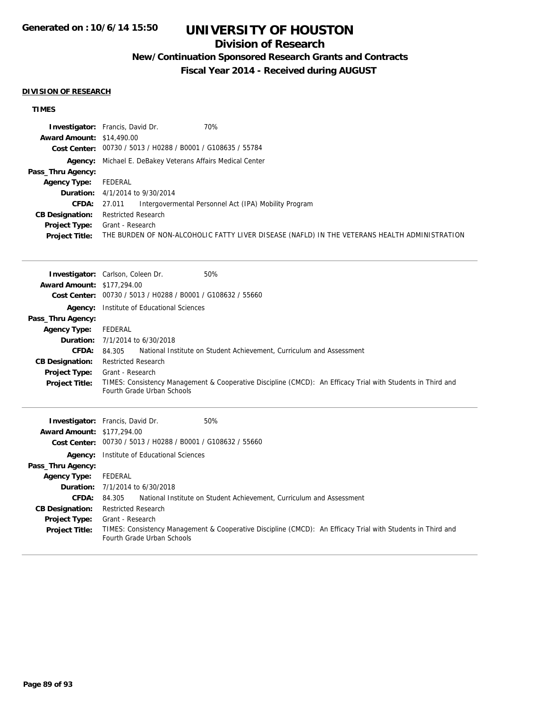## **Division of Research**

## **New/Continuation Sponsored Research Grants and Contracts**

**Fiscal Year 2014 - Received during AUGUST**

#### **DIVISION OF RESEARCH**

|                                  | <b>Investigator:</b> Francis, David Dr.<br>70%                                                |
|----------------------------------|-----------------------------------------------------------------------------------------------|
| <b>Award Amount: \$14,490.00</b> |                                                                                               |
|                                  | Cost Center: 00730 / 5013 / H0288 / B0001 / G108635 / 55784                                   |
|                                  | Agency: Michael E. DeBakey Veterans Affairs Medical Center                                    |
| Pass_Thru Agency:                |                                                                                               |
| Agency Type:                     | FEDERAL                                                                                       |
|                                  | <b>Duration:</b> $4/1/2014$ to $9/30/2014$                                                    |
| CFDA:                            | Intergovermental Personnel Act (IPA) Mobility Program<br>27.011                               |
| <b>CB Designation:</b>           | Restricted Research                                                                           |
| Project Type:                    | Grant - Research                                                                              |
| <b>Project Title:</b>            | THE BURDEN OF NON-ALCOHOLIC FATTY LIVER DISEASE (NAFLD) IN THE VETERANS HEALTH ADMINISTRATION |

|                                   | <b>Investigator:</b> Carlson, Coleen Dr.<br>50%                                                                                           |
|-----------------------------------|-------------------------------------------------------------------------------------------------------------------------------------------|
| <b>Award Amount: \$177,294.00</b> |                                                                                                                                           |
| <b>Cost Center:</b>               | 00730 / 5013 / H0288 / B0001 / G108632 / 55660                                                                                            |
| Agency:                           | Institute of Educational Sciences                                                                                                         |
| Pass_Thru Agency:                 |                                                                                                                                           |
| <b>Agency Type:</b>               | FEDERAL                                                                                                                                   |
| Duration:                         | 7/1/2014 to 6/30/2018                                                                                                                     |
| <b>CFDA:</b>                      | National Institute on Student Achievement, Curriculum and Assessment<br>84.305                                                            |
| <b>CB Designation:</b>            | <b>Restricted Research</b>                                                                                                                |
| <b>Project Type:</b>              | Grant - Research                                                                                                                          |
| <b>Project Title:</b>             | TIMES: Consistency Management & Cooperative Discipline (CMCD): An Efficacy Trial with Students in Third and<br>Fourth Grade Urban Schools |
|                                   |                                                                                                                                           |
|                                   |                                                                                                                                           |
|                                   | <b>Investigator:</b> Francis, David Dr.<br>50%                                                                                            |
| <b>Award Amount: \$177,294.00</b> |                                                                                                                                           |
|                                   | Cost Center: 00730 / 5013 / H0288 / B0001 / G108632 / 55660                                                                               |
| Agency:                           | Institute of Educational Sciences                                                                                                         |
| Pass_Thru Agency:                 |                                                                                                                                           |
| <b>Agency Type:</b>               | FEDERAL                                                                                                                                   |
| Duration:                         | 7/1/2014 to 6/30/2018                                                                                                                     |
| CFDA:                             | National Institute on Student Achievement, Curriculum and Assessment<br>84.305                                                            |
| <b>CB Designation:</b>            | <b>Restricted Research</b>                                                                                                                |
| <b>Project Type:</b>              | Grant - Research                                                                                                                          |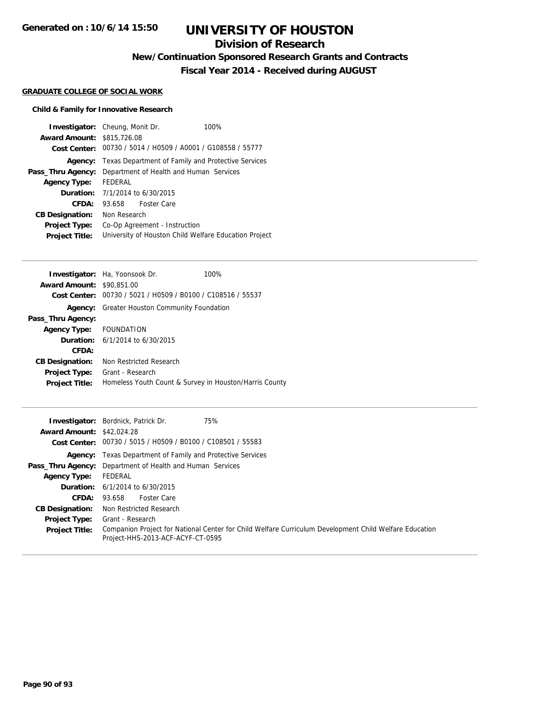## **Division of Research**

**New/Continuation Sponsored Research Grants and Contracts**

**Fiscal Year 2014 - Received during AUGUST**

#### **GRADUATE COLLEGE OF SOCIAL WORK**

### **Child & Family for Innovative Research**

| <b>Investigator:</b> Cheung, Monit Dr.     |              |                               | 100%                                                              |
|--------------------------------------------|--------------|-------------------------------|-------------------------------------------------------------------|
| <b>Award Amount: \$815,726.08</b>          |              |                               |                                                                   |
|                                            |              |                               | Cost Center: 00730 / 5014 / H0509 / A0001 / G108558 / 55777       |
|                                            |              |                               | <b>Agency:</b> Texas Department of Family and Protective Services |
| Pass_Thru Agency:                          |              |                               | Department of Health and Human Services                           |
| <b>Agency Type:</b>                        | FEDERAL      |                               |                                                                   |
| <b>Duration:</b> $7/1/2014$ to $6/30/2015$ |              |                               |                                                                   |
| CFDA:                                      | 93.658       | <b>Foster Care</b>            |                                                                   |
| <b>CB Designation:</b>                     | Non Research |                               |                                                                   |
| <b>Project Type:</b>                       |              | Co-Op Agreement - Instruction |                                                                   |
| <b>Project Title:</b>                      |              |                               | University of Houston Child Welfare Education Project             |

| <b>Investigator:</b> Ha, Yoonsook Dr.                       | 100% |
|-------------------------------------------------------------|------|
| <b>Award Amount: \$90,851,00</b>                            |      |
| Cost Center: 00730 / 5021 / H0509 / B0100 / C108516 / 55537 |      |
| Greater Houston Community Foundation                        |      |
|                                                             |      |
| Agency Type: FOUNDATION                                     |      |
| <b>Duration:</b> $6/1/2014$ to $6/30/2015$                  |      |
|                                                             |      |
| Non Restricted Research                                     |      |
| Grant - Research                                            |      |
| Homeless Youth Count & Survey in Houston/Harris County      |      |
|                                                             |      |

| <b>Award Amount: \$42,024.28</b> | <b>Investigator:</b> Bordnick, Patrick Dr.<br>75%<br>Cost Center: 00730 / 5015 / H0509 / B0100 / C108501 / 55583                            |
|----------------------------------|---------------------------------------------------------------------------------------------------------------------------------------------|
|                                  | <b>Agency:</b> Texas Department of Family and Protective Services                                                                           |
|                                  | <b>Pass_Thru Agency:</b> Department of Health and Human Services                                                                            |
| <b>Agency Type:</b>              | FEDERAL                                                                                                                                     |
|                                  | <b>Duration:</b> $6/1/2014$ to $6/30/2015$                                                                                                  |
| <b>CFDA:</b>                     | 93.658 Foster Care                                                                                                                          |
| <b>CB Designation:</b>           | Non Restricted Research                                                                                                                     |
| <b>Project Type:</b>             | Grant - Research                                                                                                                            |
| <b>Project Title:</b>            | Companion Project for National Center for Child Welfare Curriculum Development Child Welfare Education<br>Project-HHS-2013-ACF-ACYF-CT-0595 |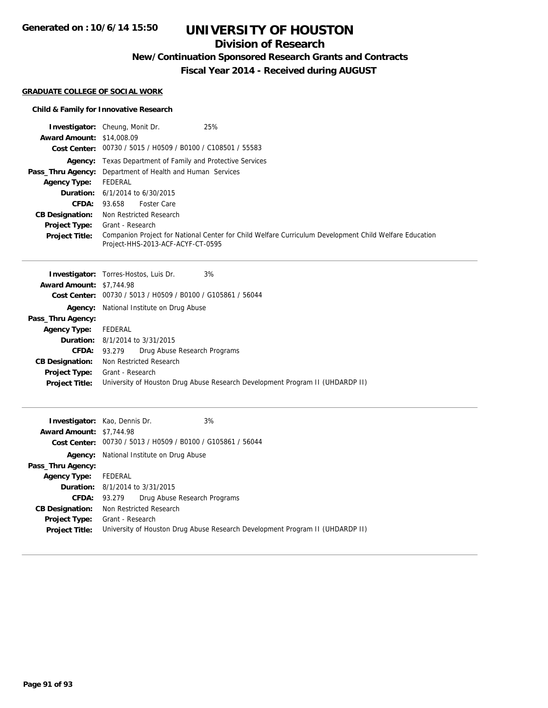## **Division of Research**

**New/Continuation Sponsored Research Grants and Contracts**

**Fiscal Year 2014 - Received during AUGUST**

#### **GRADUATE COLLEGE OF SOCIAL WORK**

#### **Child & Family for Innovative Research**

**Agency:** National Institute on Drug Abuse

**CFDA:** 93.279 Drug Abuse Research Programs

**Project Title:** University of Houston Drug Abuse Research Development Program II (UHDARDP II)

**Duration:** 8/1/2014 to 3/31/2015

**CB Designation:** Non Restricted Research **Project Type:** Grant - Research

| <b>Award Amount:</b>                                                                                                                                                                                                  | <b>Investigator:</b> Cheung, Monit Dr.<br>25%<br>\$14,008.09                                                                                                                                                                                                                                                                                                  |
|-----------------------------------------------------------------------------------------------------------------------------------------------------------------------------------------------------------------------|---------------------------------------------------------------------------------------------------------------------------------------------------------------------------------------------------------------------------------------------------------------------------------------------------------------------------------------------------------------|
| Pass_Thru Agency:<br><b>Agency Type:</b><br>Duration:<br><b>CFDA:</b><br><b>CB Designation:</b>                                                                                                                       | Cost Center: 00730 / 5015 / H0509 / B0100 / C108501 / 55583<br><b>Agency:</b> Texas Department of Family and Protective Services<br>Department of Health and Human Services<br><b>FEDERAL</b><br>6/1/2014 to 6/30/2015<br><b>Foster Care</b><br>93.658<br>Non Restricted Research                                                                             |
| <b>Project Type:</b><br><b>Project Title:</b>                                                                                                                                                                         | Grant - Research<br>Companion Project for National Center for Child Welfare Curriculum Development Child Welfare Education<br>Project-HHS-2013-ACF-ACYF-CT-0595                                                                                                                                                                                               |
| <b>Award Amount: \$7,744.98</b><br><b>Cost Center:</b><br>Agency:<br>Pass_Thru Agency:<br><b>Agency Type:</b><br>Duration:<br><b>CFDA:</b><br><b>CB Designation:</b><br><b>Project Type:</b><br><b>Project Title:</b> | 3%<br><b>Investigator:</b> Torres-Hostos, Luis Dr.<br>00730 / 5013 / H0509 / B0100 / G105861 / 56044<br>National Institute on Drug Abuse<br><b>FEDERAL</b><br>8/1/2014 to 3/31/2015<br>Drug Abuse Research Programs<br>93.279<br>Non Restricted Research<br>Grant - Research<br>University of Houston Drug Abuse Research Development Program II (UHDARDP II) |
| <b>Award Amount: \$7,744.98</b>                                                                                                                                                                                       | 3%<br><b>Investigator:</b> Kao, Dennis Dr.<br>Cost Center: 00730 / 5013 / H0509 / B0100 / G105861 / 56044                                                                                                                                                                                                                                                     |

**Pass\_Thru Agency:**

**Agency Type:** FEDERAL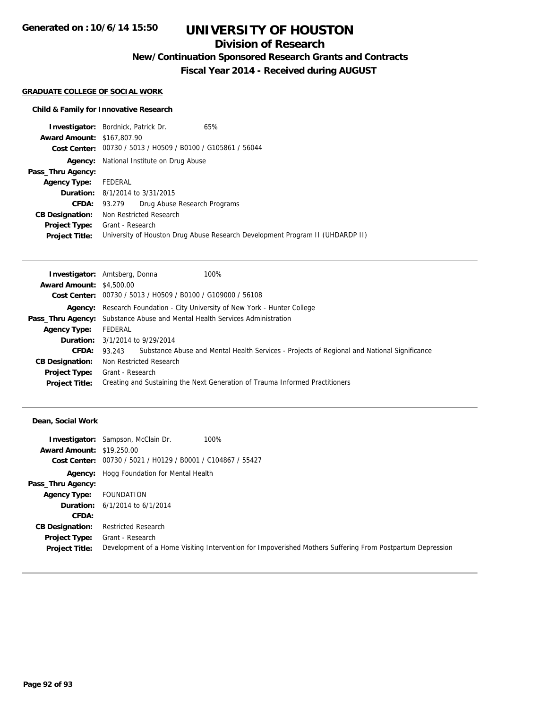## **Division of Research**

**New/Continuation Sponsored Research Grants and Contracts**

**Fiscal Year 2014 - Received during AUGUST**

#### **GRADUATE COLLEGE OF SOCIAL WORK**

### **Child & Family for Innovative Research**

|                                   | <b>Investigator:</b> Bordnick, Patrick Dr.<br>65%                             |  |  |
|-----------------------------------|-------------------------------------------------------------------------------|--|--|
| <b>Award Amount: \$167,807.90</b> |                                                                               |  |  |
|                                   | Cost Center: 00730 / 5013 / H0509 / B0100 / G105861 / 56044                   |  |  |
| Agency:                           | National Institute on Drug Abuse                                              |  |  |
| Pass_Thru Agency:                 |                                                                               |  |  |
| <b>Agency Type:</b>               | FEDERAL                                                                       |  |  |
|                                   | <b>Duration:</b> 8/1/2014 to 3/31/2015                                        |  |  |
| CFDA:                             | Drug Abuse Research Programs<br>93.279                                        |  |  |
| <b>CB Designation:</b>            | Non Restricted Research                                                       |  |  |
| <b>Project Type:</b>              | Grant - Research                                                              |  |  |
| <b>Project Title:</b>             | University of Houston Drug Abuse Research Development Program II (UHDARDP II) |  |  |

|                                 | <b>Investigator:</b> Amtsberg, Donna<br>100%                                                       |
|---------------------------------|----------------------------------------------------------------------------------------------------|
| <b>Award Amount: \$4,500.00</b> |                                                                                                    |
|                                 | Cost Center: 00730 / 5013 / H0509 / B0100 / G109000 / 56108                                        |
|                                 | Agency: Research Foundation - City University of New York - Hunter College                         |
|                                 | <b>Pass_Thru Agency:</b> Substance Abuse and Mental Health Services Administration                 |
| <b>Agency Type:</b>             | FEDERAL                                                                                            |
|                                 | <b>Duration:</b> 3/1/2014 to 9/29/2014                                                             |
| <b>CFDA:</b>                    | 93.243 Substance Abuse and Mental Health Services - Projects of Regional and National Significance |
| <b>CB Designation:</b>          | Non Restricted Research                                                                            |
| <b>Project Type:</b>            | Grant - Research                                                                                   |
| <b>Project Title:</b>           | Creating and Sustaining the Next Generation of Trauma Informed Practitioners                       |

#### **Dean, Social Work**

| <b>Award Amount: \$19,250.00</b> | <b>Investigator:</b> Sampson, McClain Dr.<br>100%<br>Cost Center: 00730 / 5021 / H0129 / B0001 / C104867 / 55427 |
|----------------------------------|------------------------------------------------------------------------------------------------------------------|
|                                  |                                                                                                                  |
|                                  | <b>Agency:</b> Hogg Foundation for Mental Health                                                                 |
| Pass_Thru Agency:                |                                                                                                                  |
| <b>Agency Type:</b>              | FOUNDATION                                                                                                       |
|                                  | <b>Duration:</b> $6/1/2014$ to $6/1/2014$                                                                        |
| <b>CFDA:</b>                     |                                                                                                                  |
| <b>CB Designation:</b>           | <b>Restricted Research</b>                                                                                       |
| <b>Project Type:</b>             | Grant - Research                                                                                                 |
| <b>Project Title:</b>            | Development of a Home Visiting Intervention for Impoverished Mothers Suffering From Postpartum Depression        |